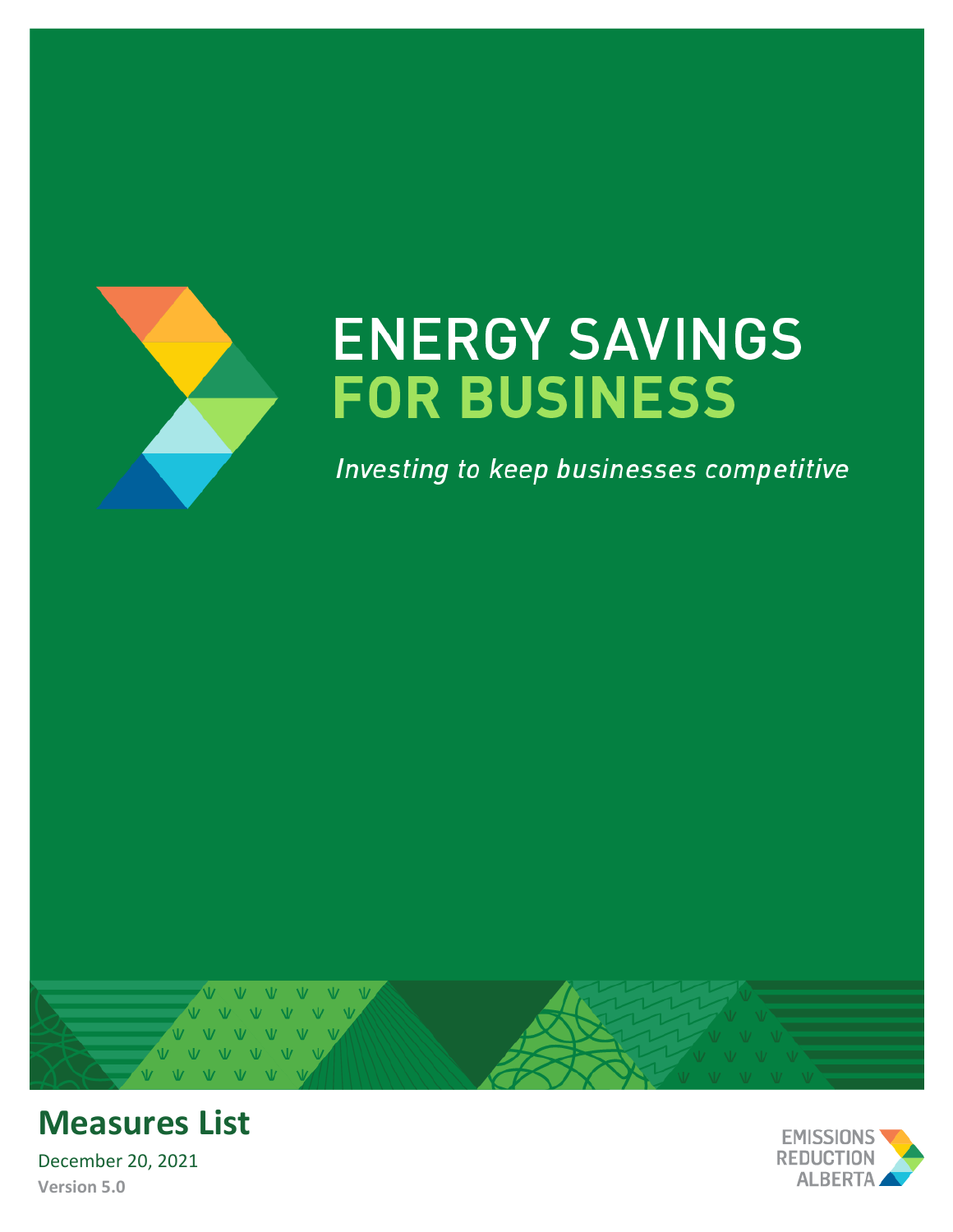<span id="page-0-0"></span>

# **ENERGY SAVINGS FOR BUSINESS**

Investing to keep businesses competitive





December 20, 2021 **Version 5.0**

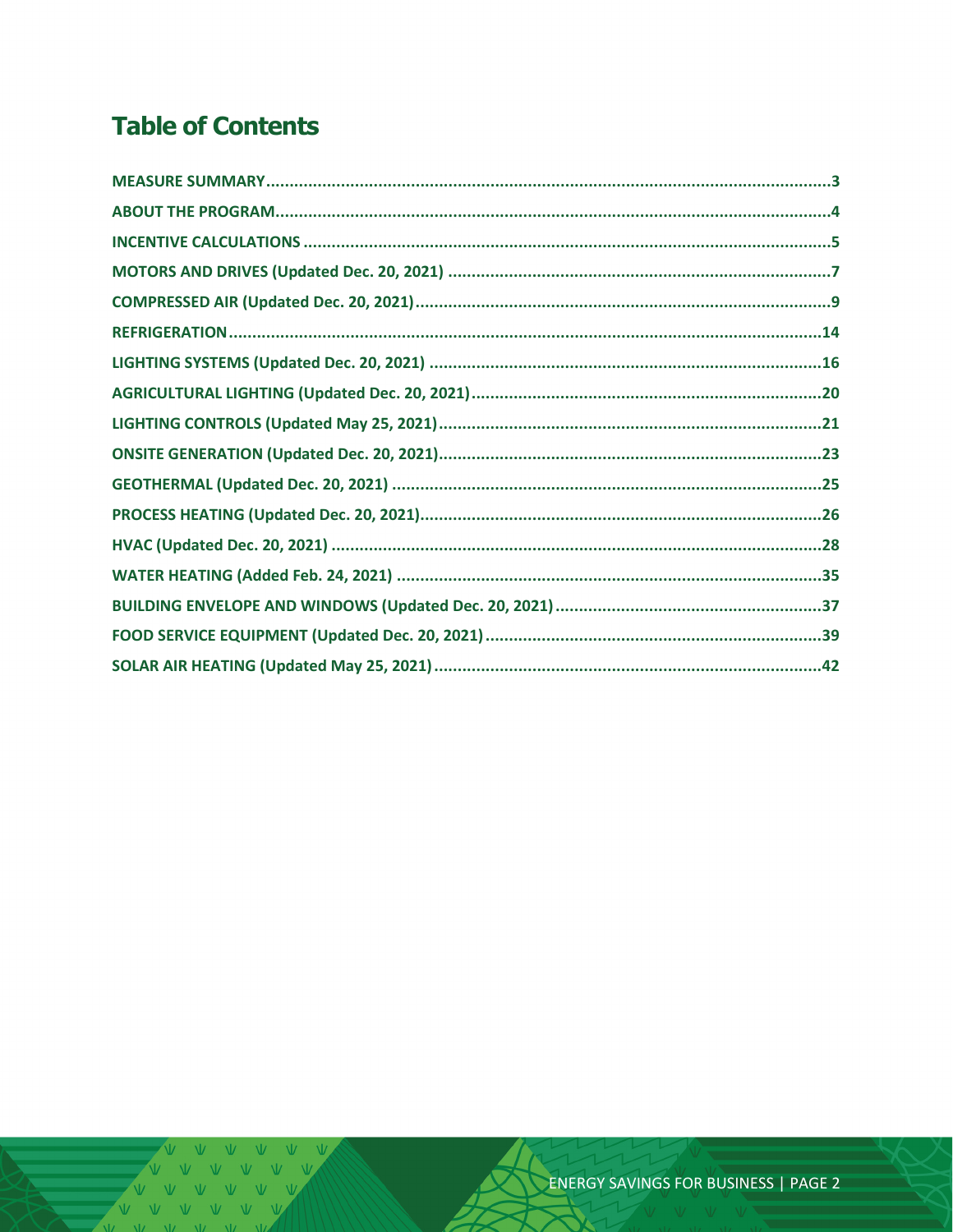# **Table of Contents**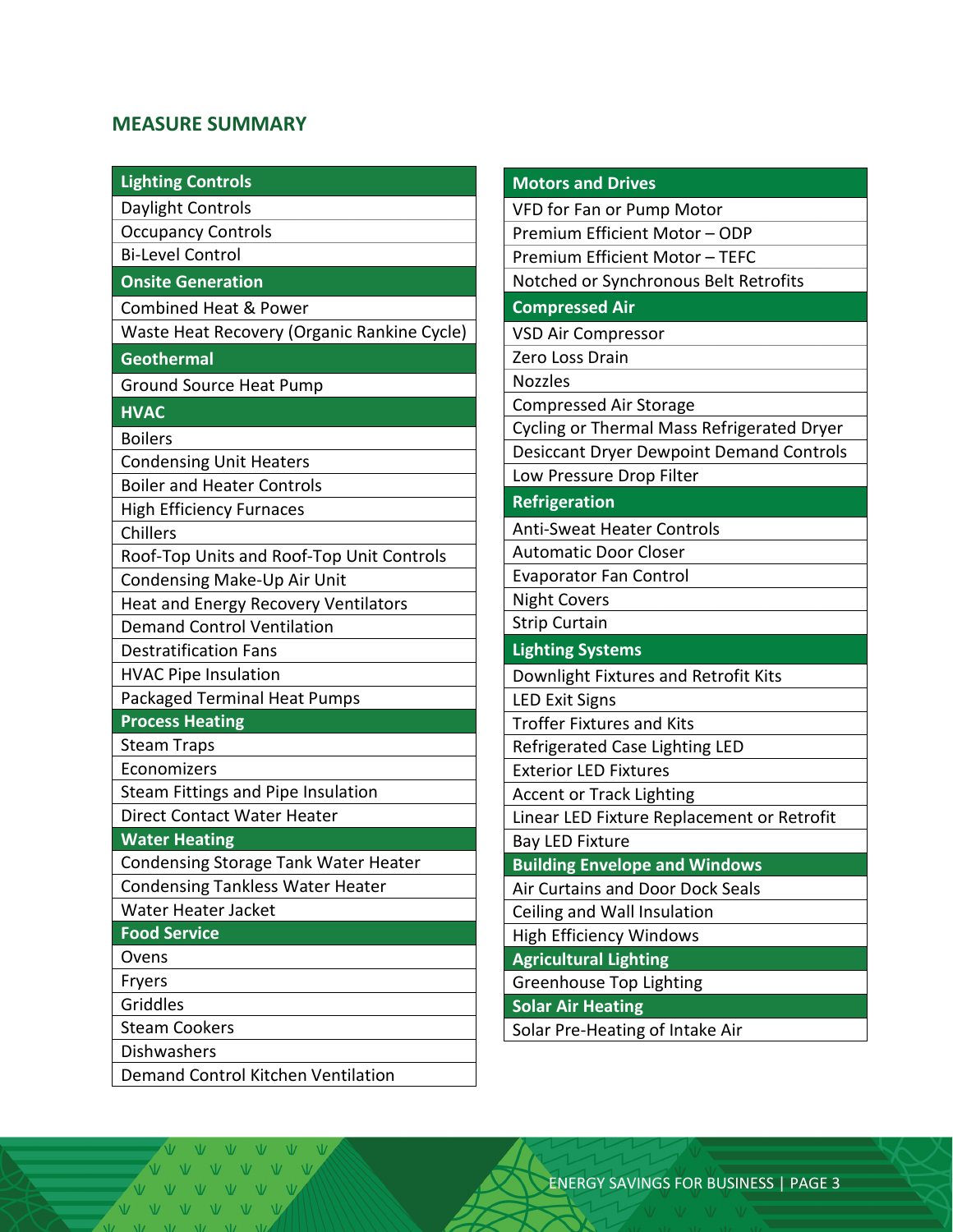#### <span id="page-2-0"></span>**MEASURE SUMMARY**

| <b>Lighting Controls</b>                                  | <b>Motors and Drives</b>                        |
|-----------------------------------------------------------|-------------------------------------------------|
| Daylight Controls                                         | VFD for Fan or Pump Motor                       |
| <b>Occupancy Controls</b>                                 | Premium Efficient Motor - ODP                   |
| <b>Bi-Level Control</b>                                   | Premium Efficient Motor - TEFC                  |
| <b>Onsite Generation</b>                                  | Notched or Synchronous Belt Retrofits           |
| <b>Combined Heat &amp; Power</b>                          | <b>Compressed Air</b>                           |
| Waste Heat Recovery (Organic Rankine Cycle)               | <b>VSD Air Compressor</b>                       |
| <b>Geothermal</b>                                         | Zero Loss Drain                                 |
| <b>Ground Source Heat Pump</b>                            | <b>Nozzles</b>                                  |
| <b>HVAC</b>                                               | Compressed Air Storage                          |
| <b>Boilers</b>                                            | Cycling or Thermal Mass Refrigerated Dryer      |
| <b>Condensing Unit Heaters</b>                            | <b>Desiccant Dryer Dewpoint Demand Controls</b> |
| <b>Boiler and Heater Controls</b>                         | Low Pressure Drop Filter                        |
| <b>High Efficiency Furnaces</b>                           | Refrigeration                                   |
| Chillers                                                  | <b>Anti-Sweat Heater Controls</b>               |
| Roof-Top Units and Roof-Top Unit Controls                 | <b>Automatic Door Closer</b>                    |
| Condensing Make-Up Air Unit                               | <b>Evaporator Fan Control</b>                   |
| <b>Heat and Energy Recovery Ventilators</b>               | <b>Night Covers</b>                             |
| <b>Strip Curtain</b><br><b>Demand Control Ventilation</b> |                                                 |
| <b>Destratification Fans</b>                              | <b>Lighting Systems</b>                         |
| <b>HVAC Pipe Insulation</b>                               | Downlight Fixtures and Retrofit Kits            |
| Packaged Terminal Heat Pumps                              | <b>LED Exit Signs</b>                           |
| <b>Process Heating</b>                                    | <b>Troffer Fixtures and Kits</b>                |
| <b>Steam Traps</b>                                        | Refrigerated Case Lighting LED                  |
| Economizers                                               | <b>Exterior LED Fixtures</b>                    |
| Steam Fittings and Pipe Insulation                        | <b>Accent or Track Lighting</b>                 |
| <b>Direct Contact Water Heater</b>                        | Linear LED Fixture Replacement or Retrofit      |
| <b>Water Heating</b>                                      | <b>Bay LED Fixture</b>                          |
| Condensing Storage Tank Water Heater                      | <b>Building Envelope and Windows</b>            |
| <b>Condensing Tankless Water Heater</b>                   | Air Curtains and Door Dock Seals                |
| Water Heater Jacket                                       | Ceiling and Wall Insulation                     |
| <b>Food Service</b>                                       | <b>High Efficiency Windows</b>                  |
| Ovens                                                     | <b>Agricultural Lighting</b>                    |
| Fryers                                                    | <b>Greenhouse Top Lighting</b>                  |
| Griddles                                                  | <b>Solar Air Heating</b>                        |
| <b>Steam Cookers</b>                                      | Solar Pre-Heating of Intake Air                 |
| Dishwashers                                               |                                                 |
| Demand Control Kitchen Ventilation                        |                                                 |

 $V$   $V$   $V$ VVV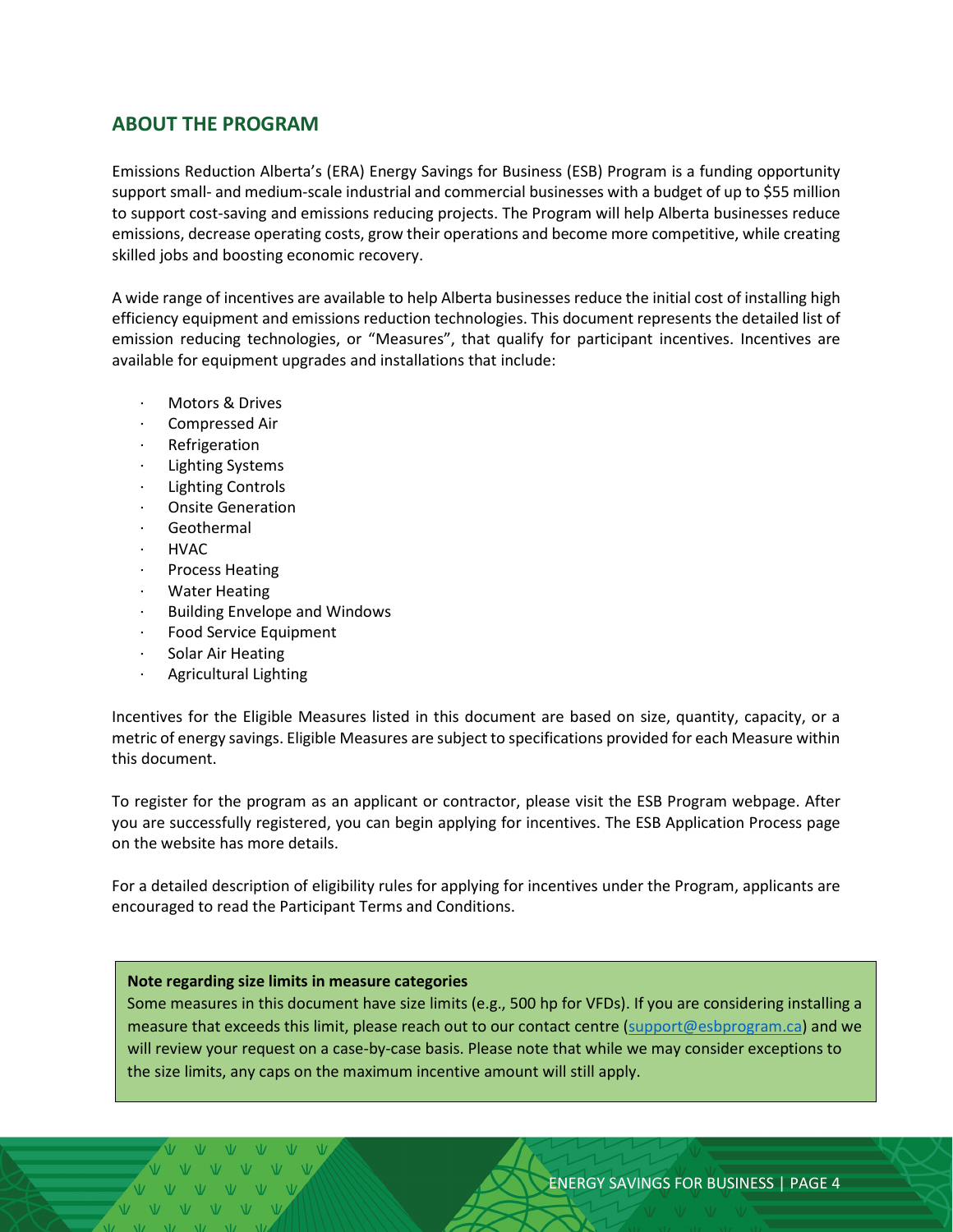#### <span id="page-3-0"></span>**ABOUT THE PROGRAM**

Emissions Reduction Alberta's (ERA) Energy Savings for Business (ESB) Program is a funding opportunity support small- and medium-scale industrial and commercial businesses with a budget of up to \$55 million to support cost-saving and emissions reducing projects. The Program will help Alberta businesses reduce emissions, decrease operating costs, grow their operations and become more competitive, while creating skilled jobs and boosting economic recovery.

A wide range of incentives are available to help Alberta businesses reduce the initial cost of installing high efficiency equipment and emissions reduction technologies. This document represents the detailed list of emission reducing technologies, or "Measures", that qualify for participant incentives. Incentives are available for equipment upgrades and installations that include:

- Motors & Drives
- Compressed Air
- **Refrigeration**
- Lighting Systems
- · Lighting Controls
- · Onsite Generation
- · Geothermal
- · HVAC
- · Process Heating
- **Water Heating**
- · Building Envelope and Windows
- Food Service Equipment
- Solar Air Heating
- Agricultural Lighting

Incentives for the Eligible Measures listed in this document are based on size, quantity, capacity, or a metric of energy savings. Eligible Measures are subject to specifications provided for each Measure within this document.

To register for the program as an applicant or contractor, please visit the ESB Program webpage. After you are successfully registered, you can begin applying for incentives. The ESB Application Process page on the website has more details.

For a detailed description of eligibility rules for applying for incentives under the Program, applicants are encouraged to read the Participant Terms and Conditions.

#### <span id="page-3-1"></span>**Note regarding size limits in measure categories**

Some measures in this document have size limits (e.g., 500 hp for VFDs). If you are considering installing a measure that exceeds this limit, please reach out to our contact centre [\(support@esbprogram.ca\)](mailto:support@esbprogram.ca) and we will review your request on a case-by-case basis. Please note that while we may consider exceptions to the size limits, any caps on the maximum incentive amount will still apply.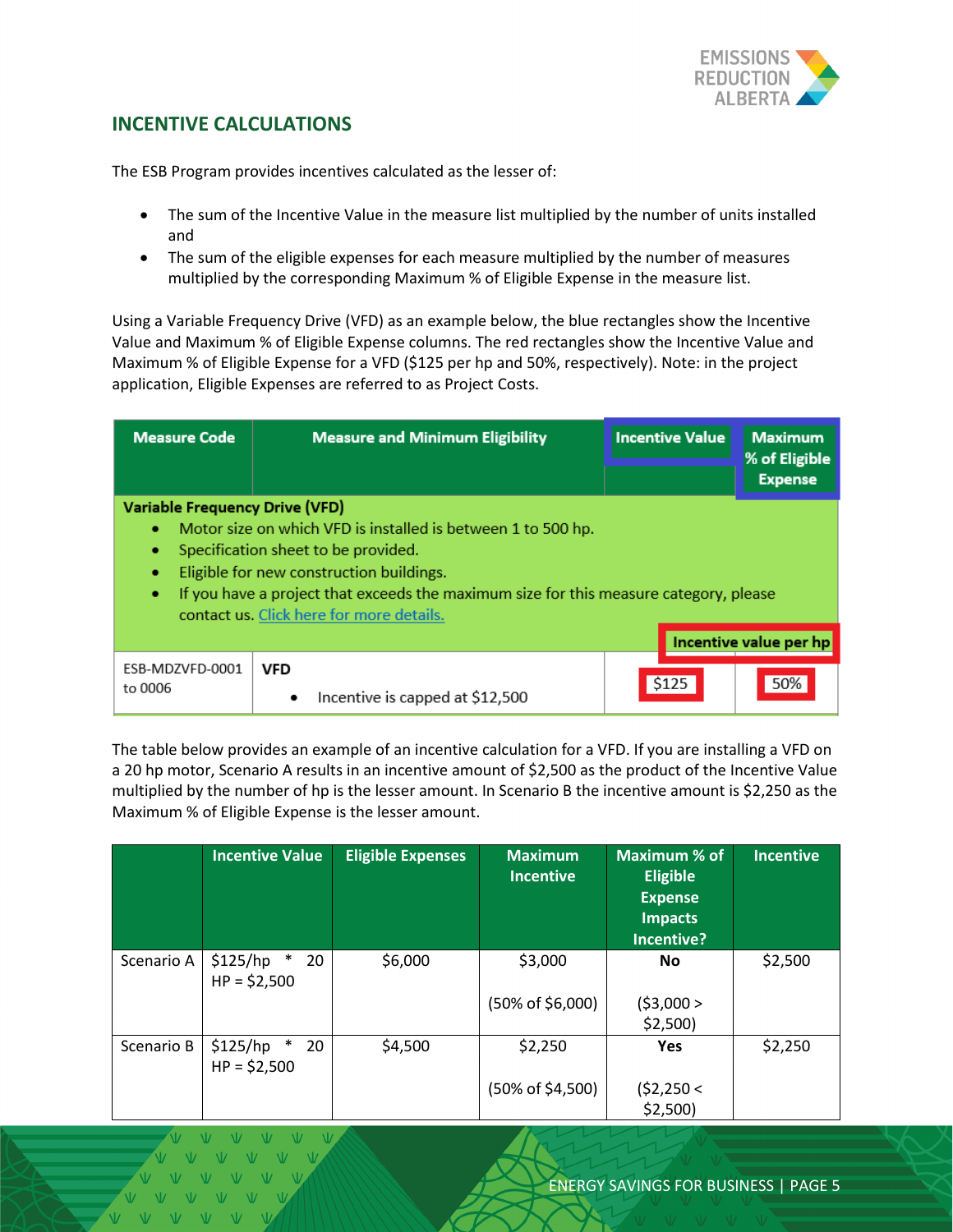

#### <span id="page-4-0"></span>**INCENTIVE CALCULATIONS**

The ESB Program provides incentives calculated as the lesser of:

- The sum of the Incentive Value in the measure list multiplied by the number of units installed and
- The sum of the eligible expenses for each measure multiplied by the number of measures multiplied by the corresponding Maximum % of Eligible Expense in the measure list.

Using a Variable Frequency Drive (VFD) as an example below, the blue rectangles show the Incentive Value and Maximum % of Eligible Expense columns. The red rectangles show the Incentive Value and Maximum % of Eligible Expense for a VFD (\$125 per hp and 50%, respectively). Note: in the project application, Eligible Expenses are referred to as Project Costs.

| <b>Measure Code</b>                                       | <b>Measure and Minimum Eligibility</b>                                                                                                                                                                                                                                               | <b>Incentive Value</b> | <b>Maximum</b><br>% of Eligible<br><b>Expense</b> |
|-----------------------------------------------------------|--------------------------------------------------------------------------------------------------------------------------------------------------------------------------------------------------------------------------------------------------------------------------------------|------------------------|---------------------------------------------------|
| <b>Variable Frequency Drive (VFD)</b><br>٠<br>٠<br>٠<br>٠ | Motor size on which VFD is installed is between 1 to 500 hp.<br>Specification sheet to be provided.<br>Eligible for new construction buildings.<br>If you have a project that exceeds the maximum size for this measure category, please<br>contact us. Click here for more details. |                        |                                                   |
|                                                           |                                                                                                                                                                                                                                                                                      |                        | Incentive value per hp                            |
| ESB-MDZVFD-0001<br>to 0006                                | <b>VFD</b><br>Incentive is capped at \$12,500<br>٠                                                                                                                                                                                                                                   | \$125                  | 50%                                               |

The table below provides an example of an incentive calculation for a VFD. If you are installing a VFD on a 20 hp motor, Scenario A results in an incentive amount of \$2,500 as the product of the Incentive Value multiplied by the number of hp is the lesser amount. In Scenario B the incentive amount is \$2,250 as the Maximum % of Eligible Expense is the lesser amount.

|            | <b>Incentive Value</b>                    | <b>Eligible Expenses</b> | <b>Maximum</b><br><b>Incentive</b> | Maximum % of<br><b>Eligible</b><br><b>Expense</b><br><b>Impacts</b><br>Incentive? | <b>Incentive</b> |
|------------|-------------------------------------------|--------------------------|------------------------------------|-----------------------------------------------------------------------------------|------------------|
| Scenario A | \$125/hp<br>$\ast$<br>20<br>$HP = $2,500$ | \$6,000                  | \$3,000                            | No                                                                                | \$2,500          |
|            |                                           |                          | $(50\% \text{ of } $6,000)$        | (53,000 ><br>\$2,500                                                              |                  |
| Scenario B | \$125/hp<br>$\ast$<br>20<br>$HP = $2,500$ | \$4,500                  | \$2,250                            | <b>Yes</b>                                                                        | \$2,250          |
|            |                                           |                          | $(50\% \text{ of } $4,500)$        | (52,250<<br>$$2,500$ )                                                            |                  |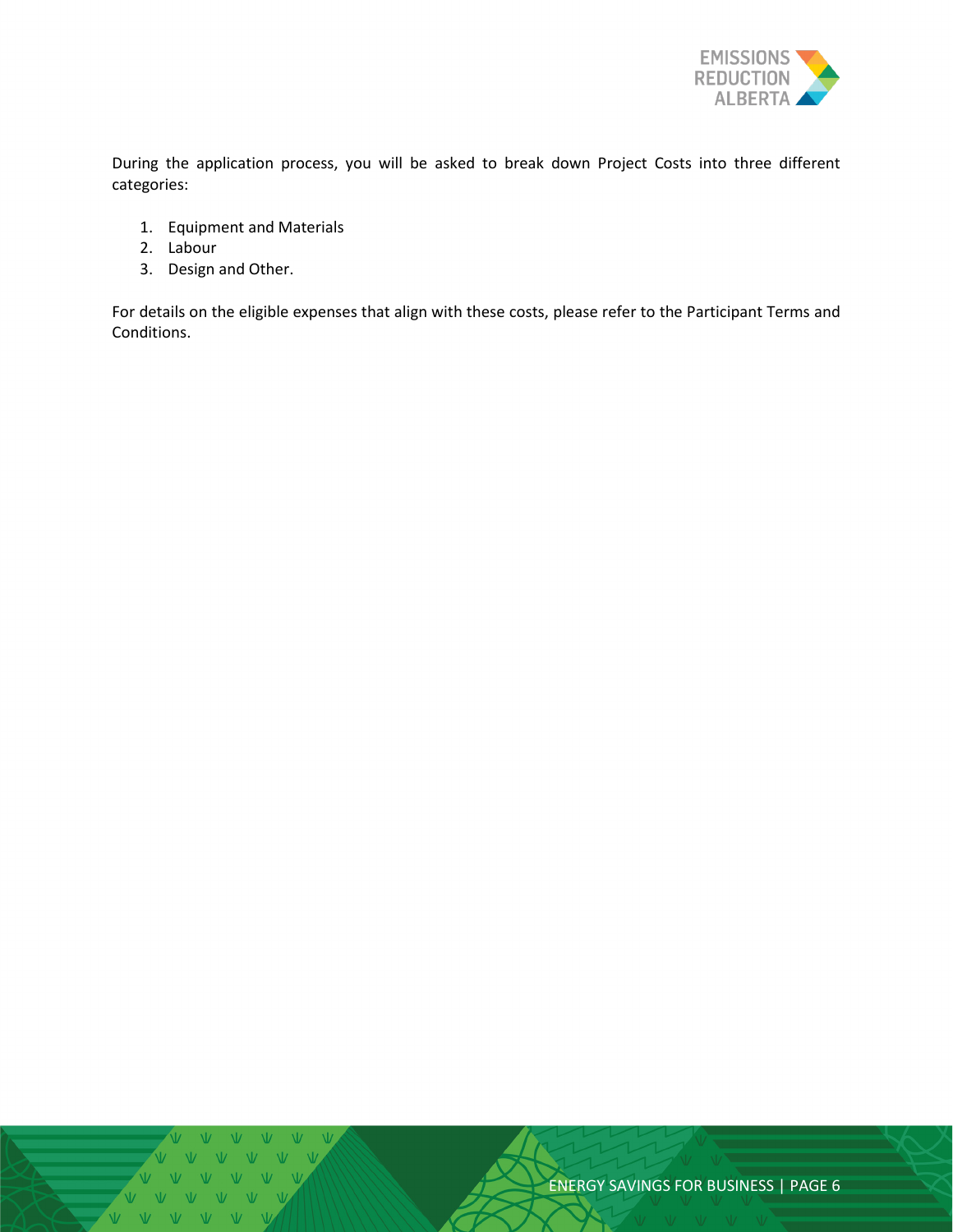

During the application process, you will be asked to break down Project Costs into three different categories:

- 1. Equipment and Materials
- 2. Labour
- 3. Design and Other.

For details on the eligible expenses that align with these costs, please refer to the Participant Terms and Conditions.

 $\overline{M}$   $\overline{M}$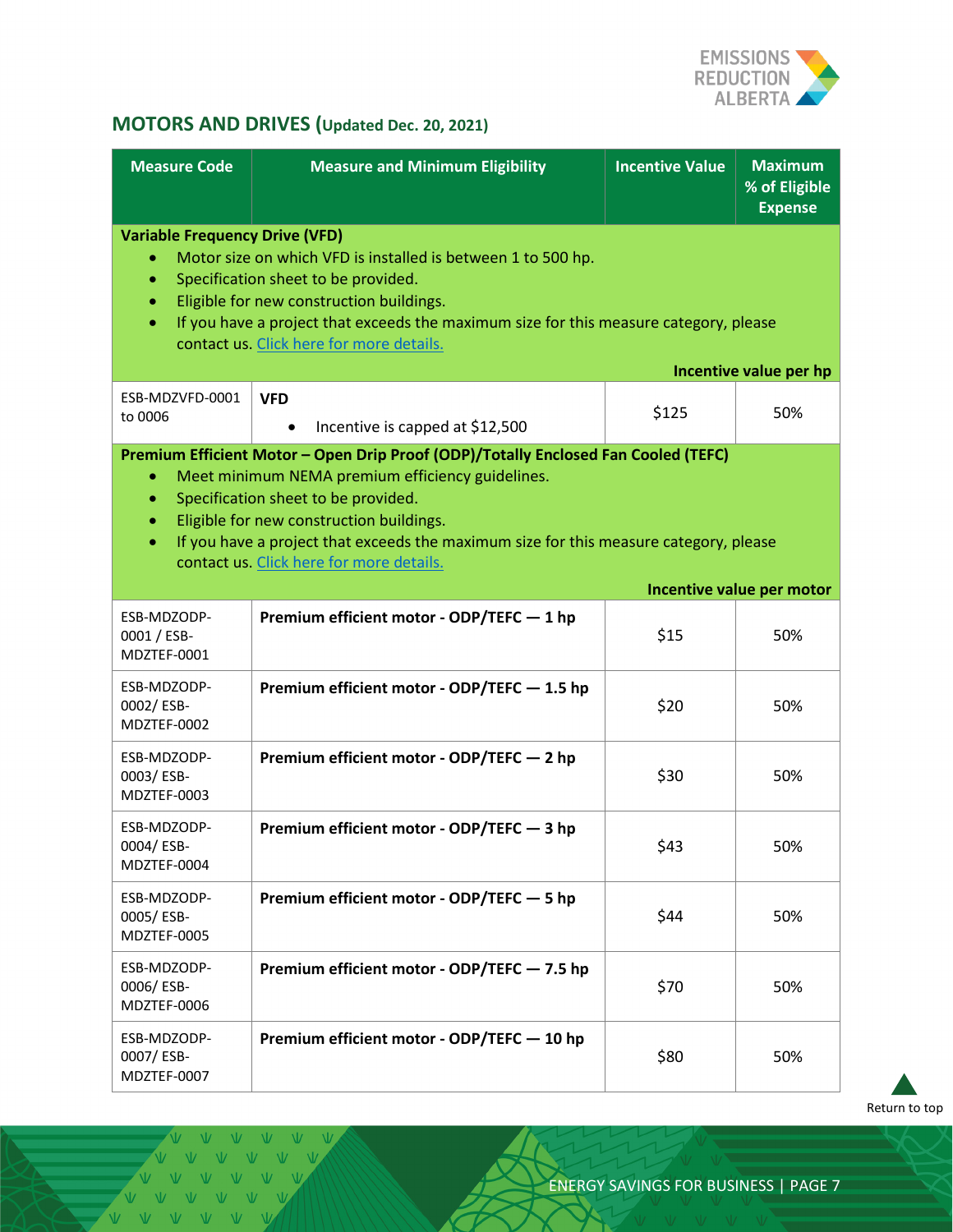

# <span id="page-6-0"></span>**MOTORS AND DRIVES (Updated Dec. 20, 2021)**

| <b>Measure Code</b>                                                       | <b>Measure and Minimum Eligibility</b>                                                                                                                                                                                                                                                                                                                         | <b>Incentive Value</b> | <b>Maximum</b><br>% of Eligible<br><b>Expense</b> |
|---------------------------------------------------------------------------|----------------------------------------------------------------------------------------------------------------------------------------------------------------------------------------------------------------------------------------------------------------------------------------------------------------------------------------------------------------|------------------------|---------------------------------------------------|
| <b>Variable Frequency Drive (VFD)</b><br>$\bullet$<br>۰<br>۰<br>$\bullet$ | Motor size on which VFD is installed is between 1 to 500 hp.<br>Specification sheet to be provided.<br>Eligible for new construction buildings.<br>If you have a project that exceeds the maximum size for this measure category, please<br>contact us. Click here for more details.                                                                           |                        |                                                   |
| ESB-MDZVFD-0001<br>to 0006                                                | <b>VFD</b><br>Incentive is capped at \$12,500<br>$\bullet$                                                                                                                                                                                                                                                                                                     | \$125                  | Incentive value per hp<br>50%                     |
| $\bullet$<br>$\bullet$<br>$\bullet$<br>$\bullet$                          | Premium Efficient Motor - Open Drip Proof (ODP)/Totally Enclosed Fan Cooled (TEFC)<br>Meet minimum NEMA premium efficiency guidelines.<br>Specification sheet to be provided.<br>Eligible for new construction buildings.<br>If you have a project that exceeds the maximum size for this measure category, please<br>contact us. Click here for more details. |                        | Incentive value per motor                         |
| ESB-MDZODP-<br>0001 / ESB-<br>MDZTEF-0001                                 | Premium efficient motor - ODP/TEFC - 1 hp                                                                                                                                                                                                                                                                                                                      | \$15                   | 50%                                               |
| ESB-MDZODP-<br>0002/ESB-<br>MDZTEF-0002                                   | Premium efficient motor - ODP/TEFC - 1.5 hp                                                                                                                                                                                                                                                                                                                    | \$20                   | 50%                                               |
| ESB-MDZODP-<br>0003/ESB-<br>MDZTEF-0003                                   | Premium efficient motor - ODP/TEFC - 2 hp                                                                                                                                                                                                                                                                                                                      | \$30                   | 50%                                               |
| ESB-MDZODP-<br>0004/ESB-<br>MDZTEF-0004                                   | Premium efficient motor - ODP/TEFC - 3 hp                                                                                                                                                                                                                                                                                                                      | \$43                   | 50%                                               |
| ESB-MDZODP-<br>0005/ESB-<br>MDZTEF-0005                                   | Premium efficient motor - ODP/TEFC - 5 hp                                                                                                                                                                                                                                                                                                                      | \$44                   | 50%                                               |
| ESB-MDZODP-<br>0006/ESB-<br>MDZTEF-0006                                   | Premium efficient motor - ODP/TEFC - 7.5 hp                                                                                                                                                                                                                                                                                                                    | \$70                   | 50%                                               |
| ESB-MDZODP-<br>0007/ESB-<br>MDZTEF-0007                                   | Premium efficient motor - ODP/TEFC - 10 hp                                                                                                                                                                                                                                                                                                                     | \$80                   | 50%                                               |

[Return to](#page-0-0) top

V V  $N$  $V = V$   $V = V$ VVVVVV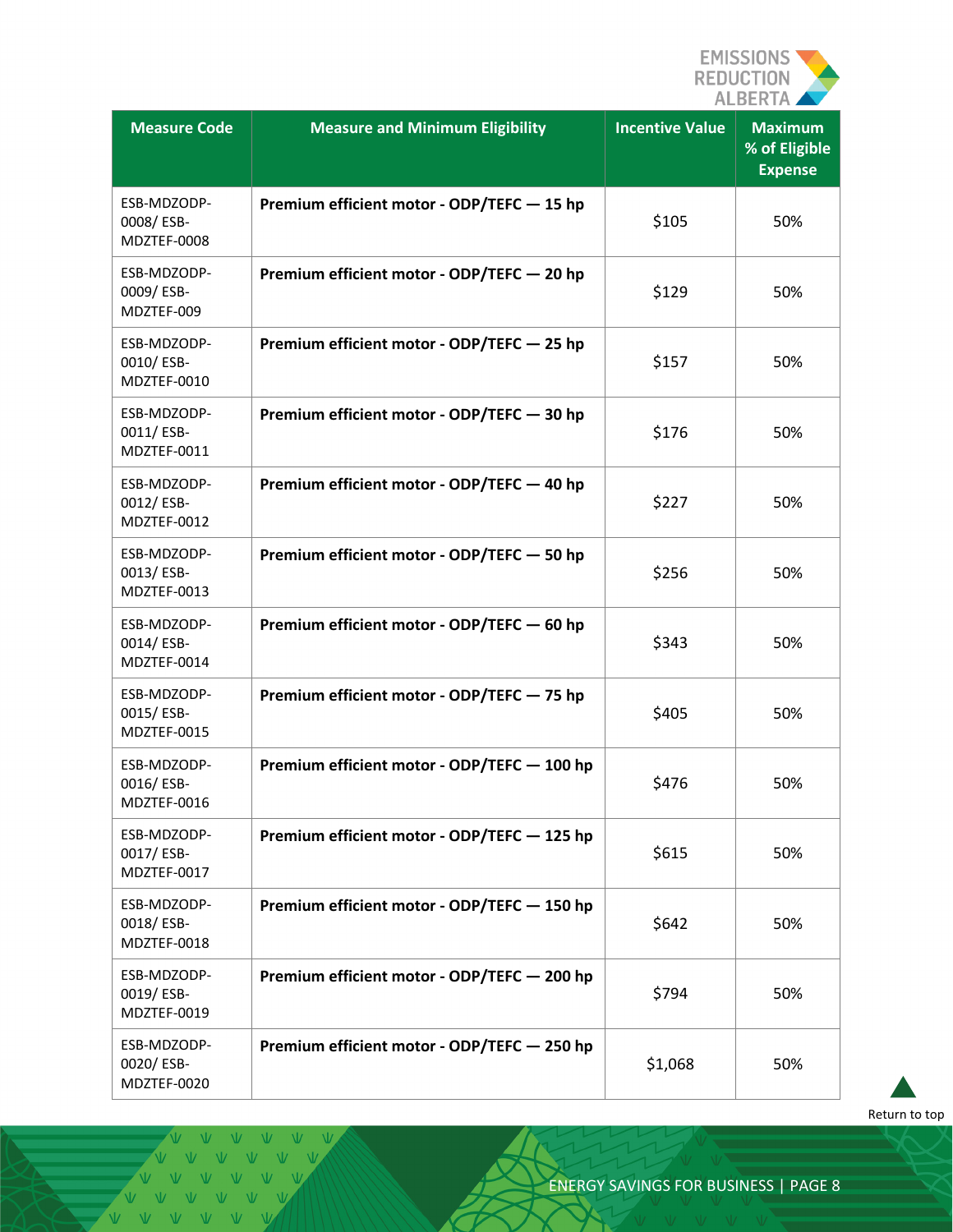

| <b>Measure Code</b>                     | <b>Measure and Minimum Eligibility</b>      | <b>Incentive Value</b> | <b>Maximum</b><br>% of Eligible<br><b>Expense</b> |
|-----------------------------------------|---------------------------------------------|------------------------|---------------------------------------------------|
| ESB-MDZODP-<br>0008/ESB-<br>MDZTEF-0008 | Premium efficient motor - ODP/TEFC - 15 hp  | \$105                  | 50%                                               |
| ESB-MDZODP-<br>0009/ESB-<br>MDZTEF-009  | Premium efficient motor - ODP/TEFC - 20 hp  | \$129                  | 50%                                               |
| ESB-MDZODP-<br>0010/ESB-<br>MDZTEF-0010 | Premium efficient motor - ODP/TEFC - 25 hp  | \$157                  | 50%                                               |
| ESB-MDZODP-<br>0011/ESB-<br>MDZTEF-0011 | Premium efficient motor - ODP/TEFC - 30 hp  | \$176                  | 50%                                               |
| ESB-MDZODP-<br>0012/ESB-<br>MDZTEF-0012 | Premium efficient motor - ODP/TEFC - 40 hp  | \$227                  | 50%                                               |
| ESB-MDZODP-<br>0013/ESB-<br>MDZTEF-0013 | Premium efficient motor - ODP/TEFC - 50 hp  | \$256                  | 50%                                               |
| ESB-MDZODP-<br>0014/ESB-<br>MDZTEF-0014 | Premium efficient motor - ODP/TEFC - 60 hp  | \$343                  | 50%                                               |
| ESB-MDZODP-<br>0015/ESB-<br>MDZTEF-0015 | Premium efficient motor - ODP/TEFC - 75 hp  | \$405                  | 50%                                               |
| ESB-MDZODP-<br>0016/ESB-<br>MDZTEF-0016 | Premium efficient motor - ODP/TEFC - 100 hp | \$476                  | 50%                                               |
| ESB-MDZODP-<br>0017/ESB-<br>MDZTEF-0017 | Premium efficient motor - ODP/TEFC - 125 hp | \$615                  | 50%                                               |
| ESB-MDZODP-<br>0018/ESB-<br>MDZTEF-0018 | Premium efficient motor - ODP/TEFC - 150 hp | \$642                  | 50%                                               |
| ESB-MDZODP-<br>0019/ESB-<br>MDZTEF-0019 | Premium efficient motor - ODP/TEFC - 200 hp | \$794                  | 50%                                               |
| ESB-MDZODP-<br>0020/ESB-<br>MDZTEF-0020 | Premium efficient motor - ODP/TEFC - 250 hp | \$1,068                | 50%                                               |

[Return to](#page-0-0) top

V V V V V V VVVVVVV VVVVVV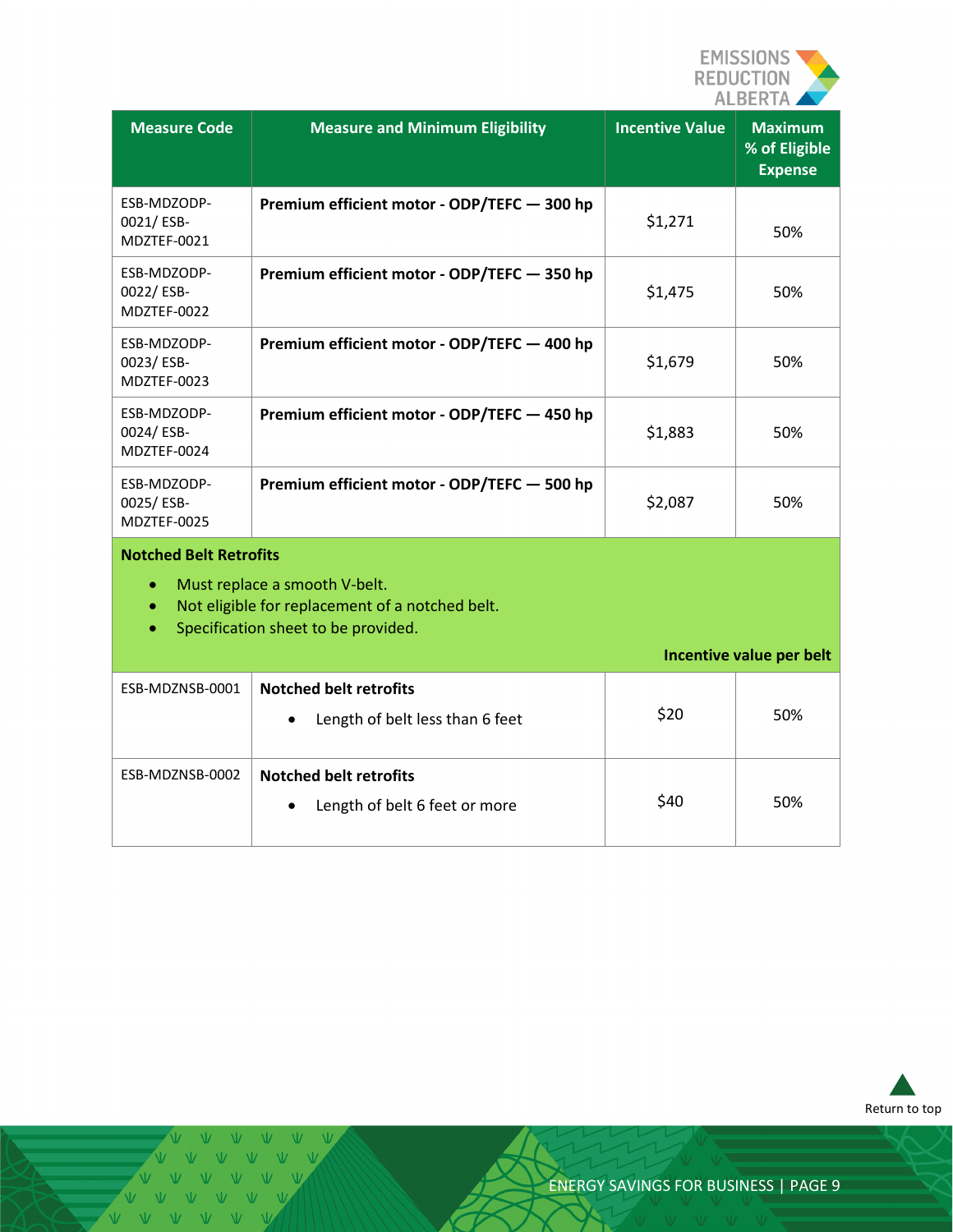

<span id="page-8-0"></span>

| <b>Measure Code</b>                                     | <b>Measure and Minimum Eligibility</b>                                                                                  | <b>Incentive Value</b> | <b>Maximum</b><br>% of Eligible<br><b>Expense</b> |
|---------------------------------------------------------|-------------------------------------------------------------------------------------------------------------------------|------------------------|---------------------------------------------------|
| ESB-MDZODP-<br>0021/ESB-<br>MDZTEF-0021                 | Premium efficient motor - ODP/TEFC - 300 hp                                                                             | \$1,271                | 50%                                               |
| ESB-MDZODP-<br>0022/ESB-<br>MDZTEF-0022                 | Premium efficient motor - ODP/TEFC - 350 hp                                                                             | \$1,475                | 50%                                               |
| ESB-MDZODP-<br>0023/ESB-<br>MDZTEF-0023                 | Premium efficient motor - ODP/TEFC - 400 hp                                                                             | \$1,679                | 50%                                               |
| ESB-MDZODP-<br>0024/ESB-<br>MDZTEF-0024                 | Premium efficient motor - ODP/TEFC - 450 hp                                                                             | \$1,883                | 50%                                               |
| ESB-MDZODP-<br>0025/ESB-<br>MDZTEF-0025                 | Premium efficient motor - ODP/TEFC - 500 hp                                                                             | \$2,087                | 50%                                               |
| <b>Notched Belt Retrofits</b><br>$\bullet$<br>$\bullet$ | Must replace a smooth V-belt.<br>Not eligible for replacement of a notched belt.<br>Specification sheet to be provided. |                        | Incentive value per belt                          |
| ESB-MDZNSB-0001                                         | <b>Notched belt retrofits</b>                                                                                           |                        |                                                   |
|                                                         | Length of belt less than 6 feet                                                                                         | \$20                   | 50%                                               |
| ESB-MDZNSB-0002                                         | <b>Notched belt retrofits</b>                                                                                           | \$40                   | 50%                                               |
|                                                         | Length of belt 6 feet or more                                                                                           |                        |                                                   |

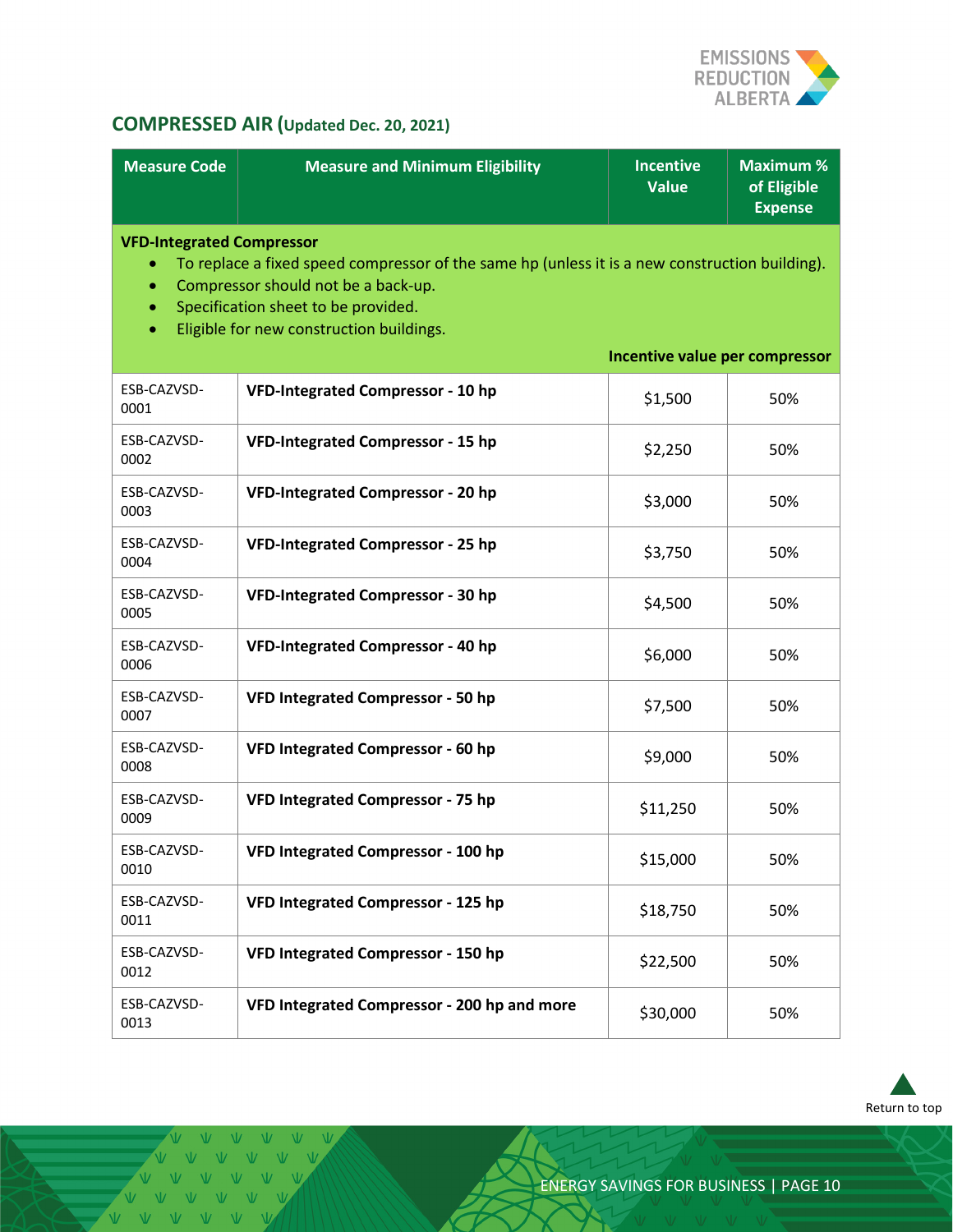

# **COMPRESSED AIR (Updated Dec. 20, 2021)**

| <b>Measure Code</b>                                                                                                                                                                                                                                                                            | <b>Measure and Minimum Eligibility</b>      | <b>Incentive</b><br><b>Value</b> | <b>Maximum %</b><br>of Eligible<br><b>Expense</b> |
|------------------------------------------------------------------------------------------------------------------------------------------------------------------------------------------------------------------------------------------------------------------------------------------------|---------------------------------------------|----------------------------------|---------------------------------------------------|
| <b>VFD-Integrated Compressor</b><br>To replace a fixed speed compressor of the same hp (unless it is a new construction building).<br>Compressor should not be a back-up.<br>Specification sheet to be provided.<br>Eligible for new construction buildings.<br>Incentive value per compressor |                                             |                                  |                                                   |
| ESB-CAZVSD-<br>0001                                                                                                                                                                                                                                                                            | <b>VFD-Integrated Compressor - 10 hp</b>    | \$1,500                          | 50%                                               |
| ESB-CAZVSD-<br>0002                                                                                                                                                                                                                                                                            | <b>VFD-Integrated Compressor - 15 hp</b>    | \$2,250                          | 50%                                               |
| ESB-CAZVSD-<br>0003                                                                                                                                                                                                                                                                            | VFD-Integrated Compressor - 20 hp           | \$3,000                          | 50%                                               |
| ESB-CAZVSD-<br>0004                                                                                                                                                                                                                                                                            | <b>VFD-Integrated Compressor - 25 hp</b>    | \$3,750                          | 50%                                               |
| ESB-CAZVSD-<br>0005                                                                                                                                                                                                                                                                            | <b>VFD-Integrated Compressor - 30 hp</b>    | \$4,500                          | 50%                                               |
| ESB-CAZVSD-<br>0006                                                                                                                                                                                                                                                                            | <b>VFD-Integrated Compressor - 40 hp</b>    | \$6,000                          | 50%                                               |
| ESB-CAZVSD-<br>0007                                                                                                                                                                                                                                                                            | <b>VFD Integrated Compressor - 50 hp</b>    | \$7,500                          | 50%                                               |
| ESB-CAZVSD-<br>0008                                                                                                                                                                                                                                                                            | VFD Integrated Compressor - 60 hp           | \$9,000                          | 50%                                               |
| ESB-CAZVSD-<br>0009                                                                                                                                                                                                                                                                            | VFD Integrated Compressor - 75 hp           | \$11,250                         | 50%                                               |
| ESB-CAZVSD-<br>0010                                                                                                                                                                                                                                                                            | VFD Integrated Compressor - 100 hp          | \$15,000                         | 50%                                               |
| ESB-CAZVSD-<br>0011                                                                                                                                                                                                                                                                            | VFD Integrated Compressor - 125 hp          | \$18,750                         | 50%                                               |
| ESB-CAZVSD-<br>0012                                                                                                                                                                                                                                                                            | VFD Integrated Compressor - 150 hp          | \$22,500                         | 50%                                               |
| ESB-CAZVSD-<br>0013                                                                                                                                                                                                                                                                            | VFD Integrated Compressor - 200 hp and more | \$30,000                         | 50%                                               |



 $V - W$ VVVVV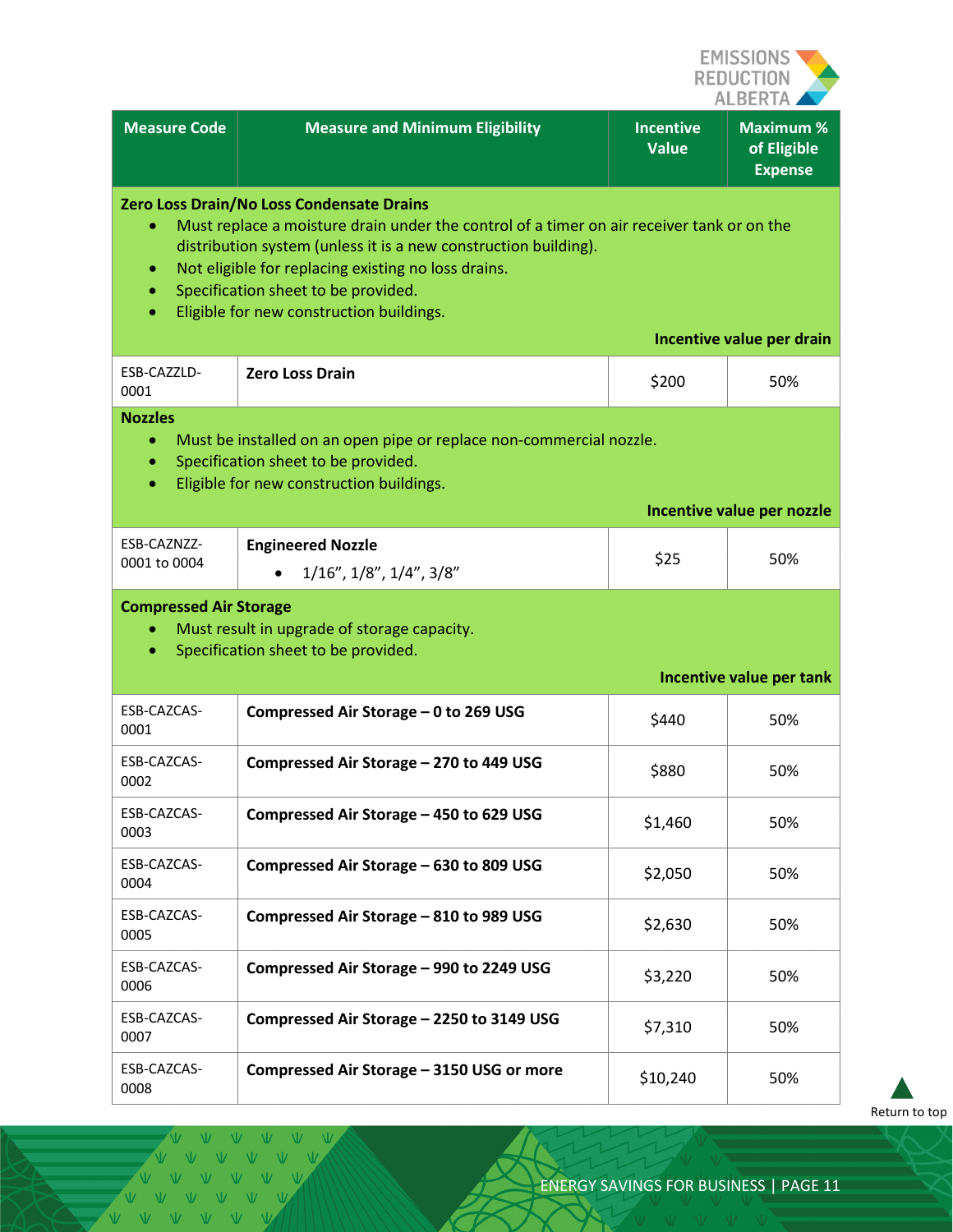

|                                               |                                                                                                                                                                                                                                                                                                                                                     |                                  | ALBERIA A                                         |
|-----------------------------------------------|-----------------------------------------------------------------------------------------------------------------------------------------------------------------------------------------------------------------------------------------------------------------------------------------------------------------------------------------------------|----------------------------------|---------------------------------------------------|
| <b>Measure Code</b>                           | <b>Measure and Minimum Eligibility</b>                                                                                                                                                                                                                                                                                                              | <b>Incentive</b><br><b>Value</b> | <b>Maximum %</b><br>of Eligible<br><b>Expense</b> |
| ۰<br>۰                                        | Zero Loss Drain/No Loss Condensate Drains<br>Must replace a moisture drain under the control of a timer on air receiver tank or on the<br>distribution system (unless it is a new construction building).<br>Not eligible for replacing existing no loss drains.<br>Specification sheet to be provided.<br>Eligible for new construction buildings. |                                  |                                                   |
|                                               |                                                                                                                                                                                                                                                                                                                                                     |                                  | Incentive value per drain                         |
| ESB-CAZZLD-<br>0001                           | <b>Zero Loss Drain</b>                                                                                                                                                                                                                                                                                                                              | \$200                            | 50%                                               |
| <b>Nozzles</b><br>$\bullet$<br>٠<br>$\bullet$ | Must be installed on an open pipe or replace non-commercial nozzle.<br>Specification sheet to be provided.<br>Eligible for new construction buildings.                                                                                                                                                                                              |                                  |                                                   |
|                                               |                                                                                                                                                                                                                                                                                                                                                     |                                  | Incentive value per nozzle                        |
| ESB-CAZNZZ-<br>0001 to 0004                   | <b>Engineered Nozzle</b><br>$1/16$ ", $1/8$ ", $1/4$ ", $3/8$ "                                                                                                                                                                                                                                                                                     | \$25                             | 50%                                               |
| <b>Compressed Air Storage</b><br>۰            | Must result in upgrade of storage capacity.<br>Specification sheet to be provided.                                                                                                                                                                                                                                                                  |                                  | Incentive value per tank                          |
| ESB-CAZCAS-<br>0001                           | Compressed Air Storage - 0 to 269 USG                                                                                                                                                                                                                                                                                                               | \$440                            | 50%                                               |
| ESB-CAZCAS-<br>0002                           | Compressed Air Storage - 270 to 449 USG                                                                                                                                                                                                                                                                                                             | \$880                            | 50%                                               |
| ESB-CAZCAS-<br>0003                           | Compressed Air Storage - 450 to 629 USG                                                                                                                                                                                                                                                                                                             | \$1,460                          | 50%                                               |
| ESB-CAZCAS-<br>0004                           | Compressed Air Storage - 630 to 809 USG                                                                                                                                                                                                                                                                                                             | \$2,050                          | 50%                                               |
| ESB-CAZCAS-<br>0005                           | Compressed Air Storage - 810 to 989 USG                                                                                                                                                                                                                                                                                                             | \$2,630                          | 50%                                               |
| ESB-CAZCAS-<br>0006                           | Compressed Air Storage - 990 to 2249 USG                                                                                                                                                                                                                                                                                                            | \$3,220                          | 50%                                               |
| ESB-CAZCAS-<br>0007                           | Compressed Air Storage - 2250 to 3149 USG                                                                                                                                                                                                                                                                                                           | \$7,310                          | 50%                                               |
| ESB-CAZCAS-<br>0008                           | Compressed Air Storage - 3150 USG or more                                                                                                                                                                                                                                                                                                           | \$10,240                         | 50%                                               |

[Return to top](#page-0-0)

VVVVVVV VVVVVV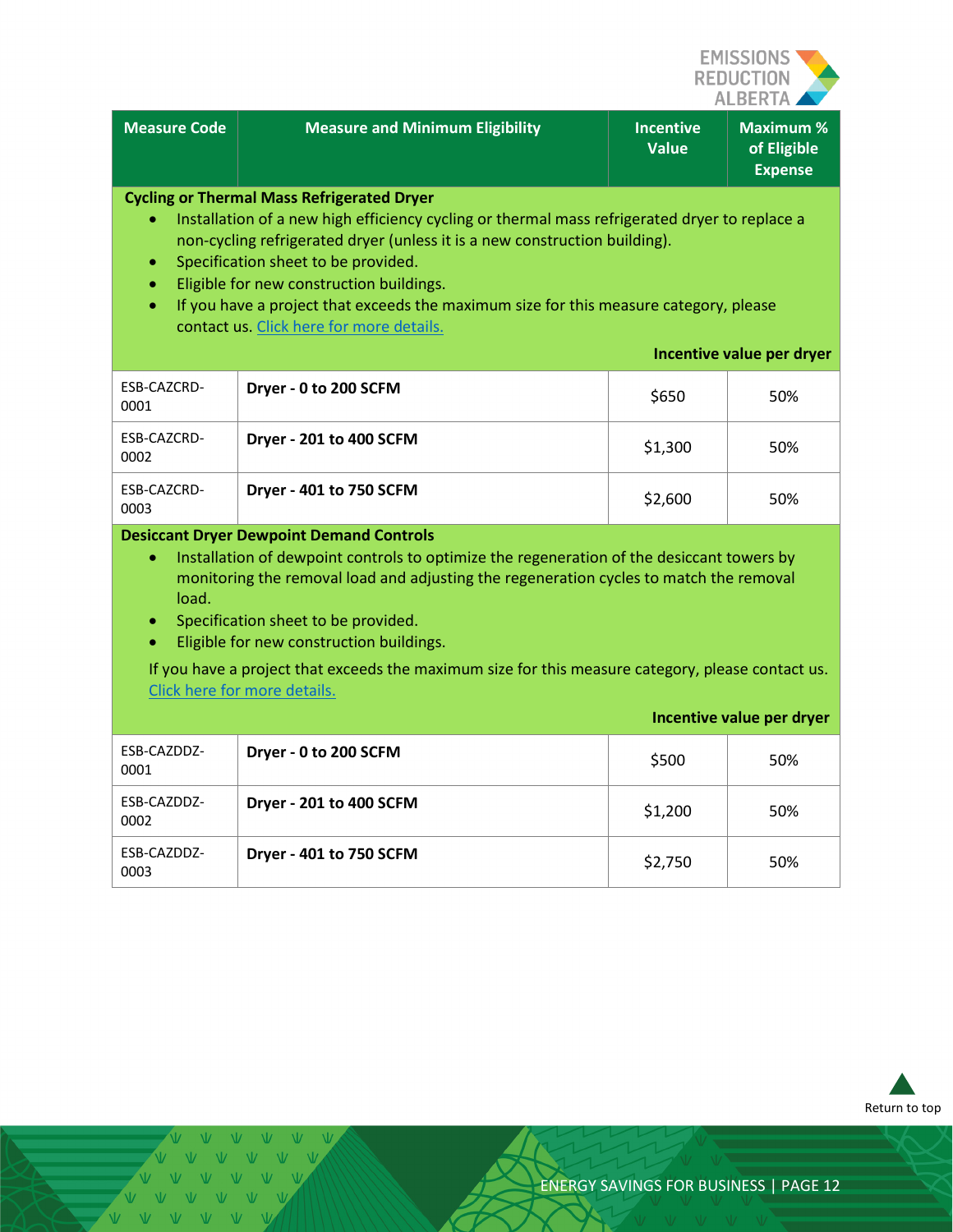

|                                                                                                                                                                                                                                                                                                                                                                                                                                                                                                                 |                                        |                                  | ALDERIA                                          |  |
|-----------------------------------------------------------------------------------------------------------------------------------------------------------------------------------------------------------------------------------------------------------------------------------------------------------------------------------------------------------------------------------------------------------------------------------------------------------------------------------------------------------------|----------------------------------------|----------------------------------|--------------------------------------------------|--|
| <b>Measure Code</b>                                                                                                                                                                                                                                                                                                                                                                                                                                                                                             | <b>Measure and Minimum Eligibility</b> | <b>Incentive</b><br><b>Value</b> | <b>Maximum%</b><br>of Eligible<br><b>Expense</b> |  |
| <b>Cycling or Thermal Mass Refrigerated Dryer</b><br>Installation of a new high efficiency cycling or thermal mass refrigerated dryer to replace a<br>non-cycling refrigerated dryer (unless it is a new construction building).<br>Specification sheet to be provided.<br>$\bullet$<br>Eligible for new construction buildings.<br>If you have a project that exceeds the maximum size for this measure category, please<br>$\bullet$<br>contact us. Click here for more details.<br>Incentive value per dryer |                                        |                                  |                                                  |  |
| ESB-CAZCRD-<br>0001                                                                                                                                                                                                                                                                                                                                                                                                                                                                                             | Dryer - 0 to 200 SCFM                  | \$650                            | 50%                                              |  |
| ESB-CAZCRD-<br>0002                                                                                                                                                                                                                                                                                                                                                                                                                                                                                             | Dryer - 201 to 400 SCFM                | \$1,300                          | 50%                                              |  |
| ESB-CAZCRD-<br>0003                                                                                                                                                                                                                                                                                                                                                                                                                                                                                             | Dryer - 401 to 750 SCFM                | \$2,600                          | 50%                                              |  |
| <b>Desiccant Dryer Dewpoint Demand Controls</b><br>Installation of dewpoint controls to optimize the regeneration of the desiccant towers by<br>$\bullet$<br>monitoring the removal load and adjusting the regeneration cycles to match the removal<br>load.<br>Specification sheet to be provided.<br>$\bullet$<br>Eligible for new construction buildings.<br>If you have a project that exceeds the maximum size for this measure category, please contact us.<br>Click here for more details.               |                                        |                                  |                                                  |  |
|                                                                                                                                                                                                                                                                                                                                                                                                                                                                                                                 |                                        |                                  | Incentive value per dryer                        |  |
| ESB-CAZDDZ-<br>0001                                                                                                                                                                                                                                                                                                                                                                                                                                                                                             | Dryer - 0 to 200 SCFM                  | \$500                            | 50%                                              |  |
| ESB-CAZDDZ-<br>0002                                                                                                                                                                                                                                                                                                                                                                                                                                                                                             | Dryer - 201 to 400 SCFM                | \$1,200                          | 50%                                              |  |
| ESB-CAZDDZ-<br>0003                                                                                                                                                                                                                                                                                                                                                                                                                                                                                             | Dryer - 401 to 750 SCFM                | \$2,750                          | 50%                                              |  |



V V V V V V VVVVVVV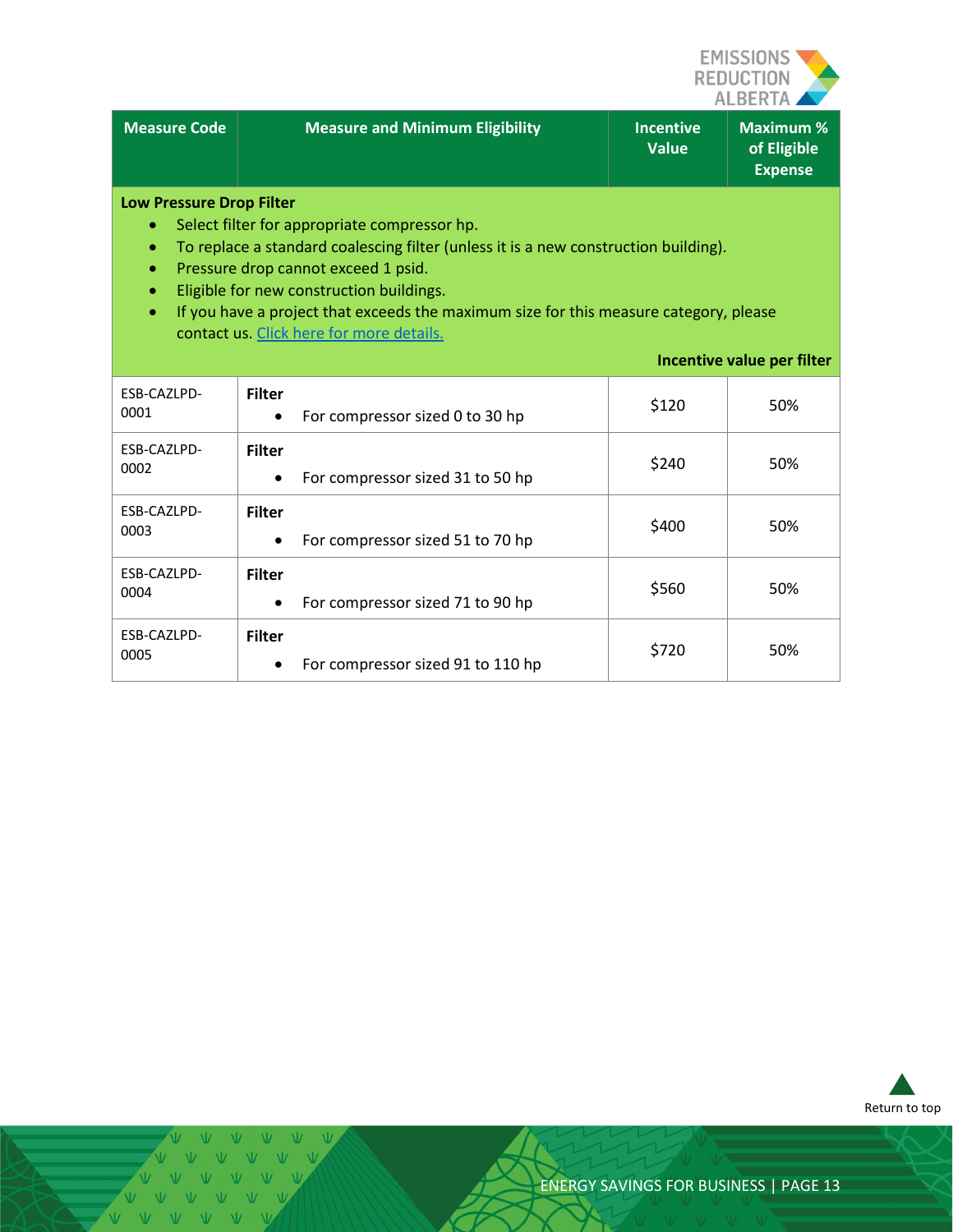

| <b>Measure Code</b>                                                                                                                                                                                                                                                                                                                                                                                                                            | <b>Measure and Minimum Eligibility</b>             | <b>Incentive</b><br><b>Value</b> | <b>Maximum %</b><br>of Eligible<br><b>Expense</b> |
|------------------------------------------------------------------------------------------------------------------------------------------------------------------------------------------------------------------------------------------------------------------------------------------------------------------------------------------------------------------------------------------------------------------------------------------------|----------------------------------------------------|----------------------------------|---------------------------------------------------|
| <b>Low Pressure Drop Filter</b><br>Select filter for appropriate compressor hp.<br>۰<br>To replace a standard coalescing filter (unless it is a new construction building).<br>Pressure drop cannot exceed 1 psid.<br>Eligible for new construction buildings.<br>If you have a project that exceeds the maximum size for this measure category, please<br>$\bullet$<br>contact us. Click here for more details.<br>Incentive value per filter |                                                    |                                  |                                                   |
| ESB-CAZLPD-<br>0001                                                                                                                                                                                                                                                                                                                                                                                                                            | <b>Filter</b><br>For compressor sized 0 to 30 hp   | \$120                            | 50%                                               |
| ESB-CAZLPD-<br>0002                                                                                                                                                                                                                                                                                                                                                                                                                            | <b>Filter</b><br>For compressor sized 31 to 50 hp  | \$240                            | 50%                                               |
| ESB-CAZLPD-<br>0003                                                                                                                                                                                                                                                                                                                                                                                                                            | <b>Filter</b><br>For compressor sized 51 to 70 hp  | \$400                            | 50%                                               |
| ESB-CAZLPD-<br>0004                                                                                                                                                                                                                                                                                                                                                                                                                            | <b>Filter</b><br>For compressor sized 71 to 90 hp  | \$560                            | 50%                                               |
| ESB-CAZLPD-<br>0005                                                                                                                                                                                                                                                                                                                                                                                                                            | <b>Filter</b><br>For compressor sized 91 to 110 hp | \$720                            | 50%                                               |



 $\mathbf{V}$  $V$  $V$   $V$  $\overline{M}$ VVVVVV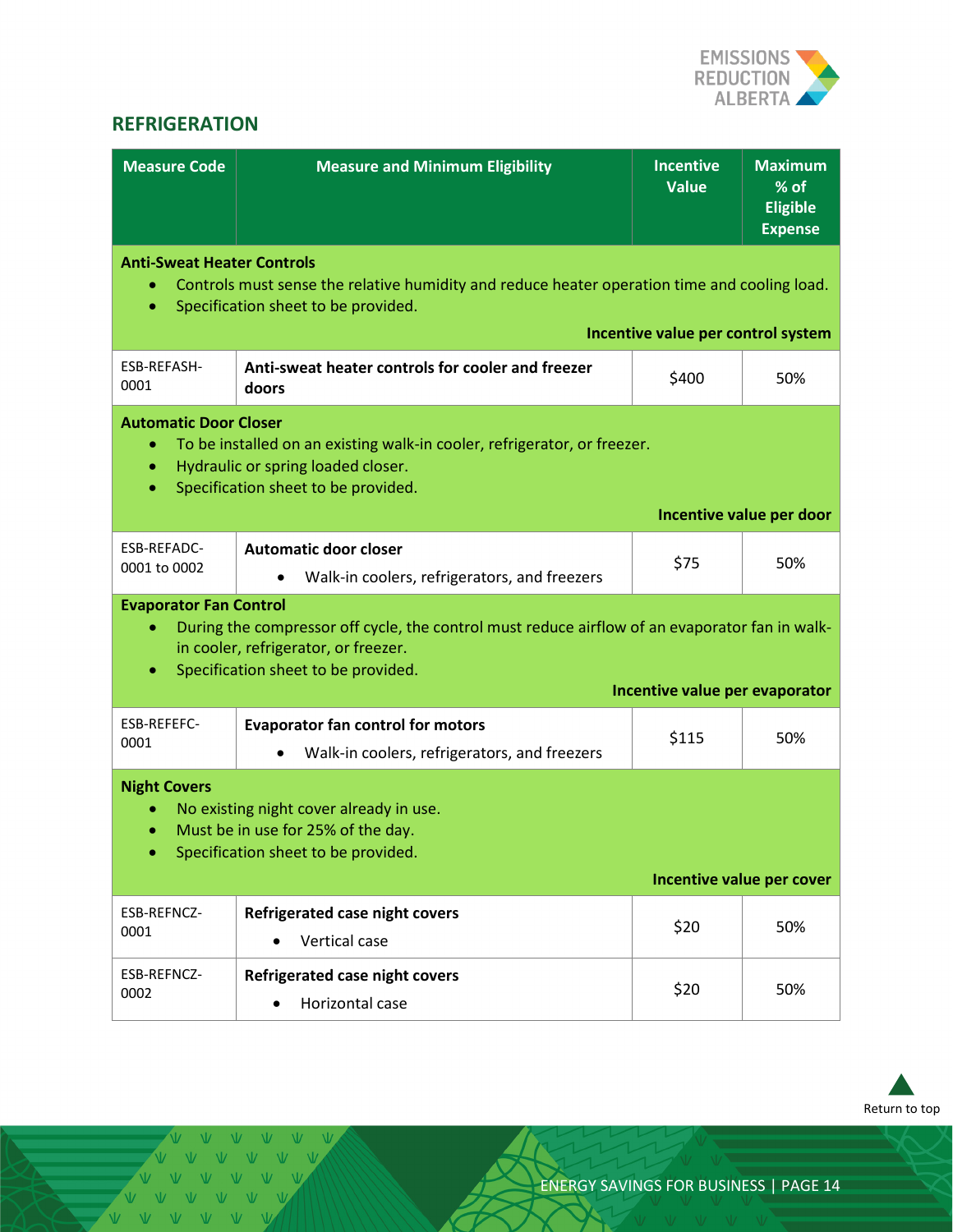

#### <span id="page-13-0"></span>**REFRIGERATION**

| <b>Measure Code</b>                                                                                                                                                                                             | <b>Measure and Minimum Eligibility</b>                                                                                                                                        | <b>Incentive</b><br><b>Value</b>   | <b>Maximum</b><br>% of<br><b>Eligible</b><br><b>Expense</b> |
|-----------------------------------------------------------------------------------------------------------------------------------------------------------------------------------------------------------------|-------------------------------------------------------------------------------------------------------------------------------------------------------------------------------|------------------------------------|-------------------------------------------------------------|
| <b>Anti-Sweat Heater Controls</b><br>$\bullet$                                                                                                                                                                  | Controls must sense the relative humidity and reduce heater operation time and cooling load.<br>Specification sheet to be provided.                                           | Incentive value per control system |                                                             |
| ESB-REFASH-<br>0001                                                                                                                                                                                             | Anti-sweat heater controls for cooler and freezer<br>doors                                                                                                                    | \$400                              | 50%                                                         |
| <b>Automatic Door Closer</b><br>To be installed on an existing walk-in cooler, refrigerator, or freezer.<br>$\bullet$<br>Hydraulic or spring loaded closer.<br>$\bullet$<br>Specification sheet to be provided. |                                                                                                                                                                               |                                    |                                                             |
|                                                                                                                                                                                                                 |                                                                                                                                                                               |                                    | Incentive value per door                                    |
| ESB-REFADC-<br>0001 to 0002                                                                                                                                                                                     | <b>Automatic door closer</b><br>Walk-in coolers, refrigerators, and freezers                                                                                                  | \$75                               | 50%                                                         |
| <b>Evaporator Fan Control</b><br>$\bullet$<br>۰                                                                                                                                                                 | During the compressor off cycle, the control must reduce airflow of an evaporator fan in walk-<br>in cooler, refrigerator, or freezer.<br>Specification sheet to be provided. |                                    |                                                             |
|                                                                                                                                                                                                                 |                                                                                                                                                                               | Incentive value per evaporator     |                                                             |
| ESB-REFEFC-<br>0001                                                                                                                                                                                             | <b>Evaporator fan control for motors</b><br>Walk-in coolers, refrigerators, and freezers                                                                                      | \$115                              | 50%                                                         |
| <b>Night Covers</b><br>No existing night cover already in use.<br>Must be in use for 25% of the day.<br>$\bullet$<br>Specification sheet to be provided.                                                        |                                                                                                                                                                               |                                    |                                                             |
|                                                                                                                                                                                                                 |                                                                                                                                                                               |                                    | Incentive value per cover                                   |
| ESB-REFNCZ-<br>0001                                                                                                                                                                                             | Refrigerated case night covers<br>Vertical case                                                                                                                               | \$20                               | 50%                                                         |
| ESB-REFNCZ-<br>0002                                                                                                                                                                                             | Refrigerated case night covers<br>Horizontal case                                                                                                                             | \$20                               | 50%                                                         |



V V V V V VVVVVV V V V V V VVVVVV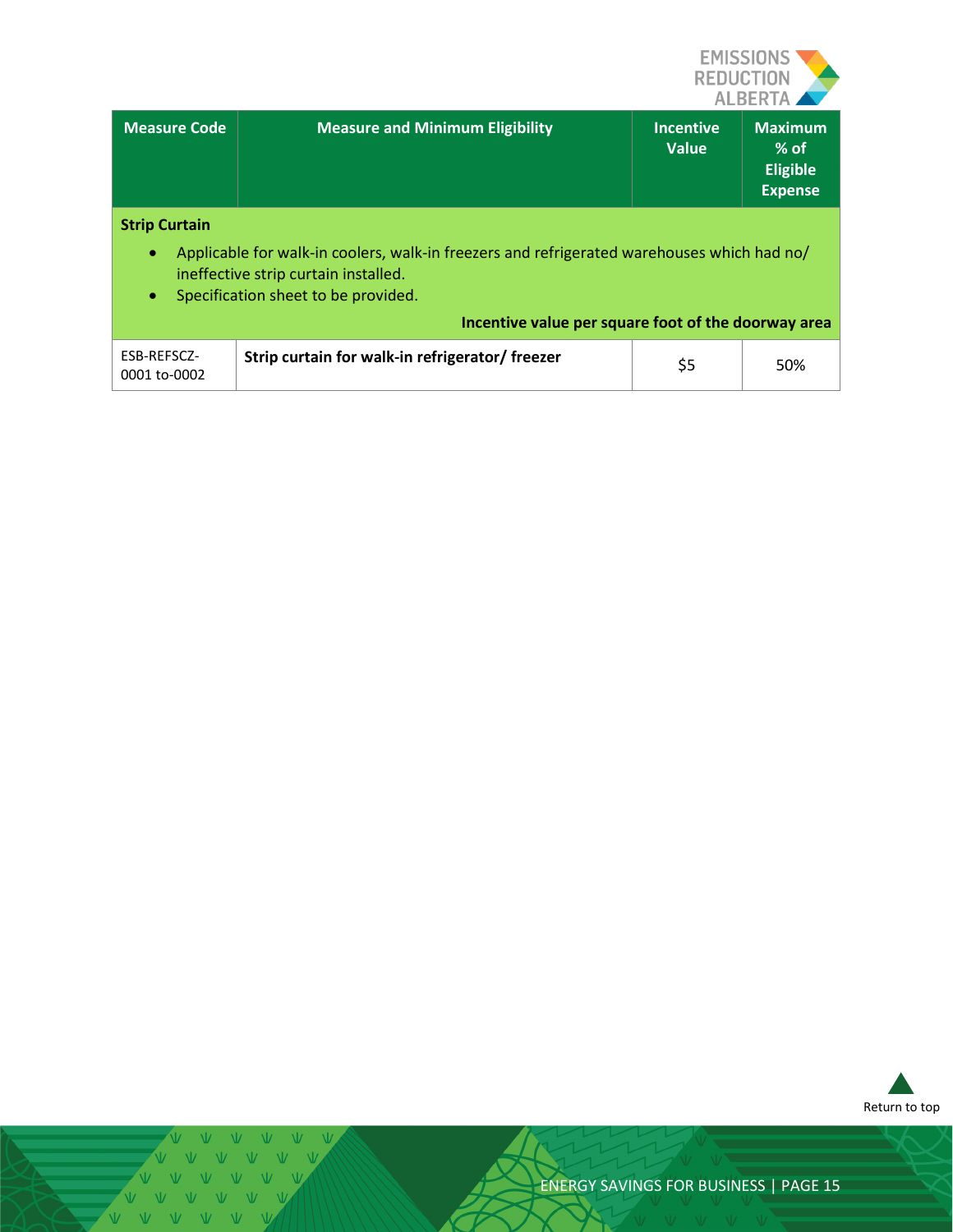

| Measure Code                                   | <b>Measure and Minimum Eligibility</b>                                                                                                                                                                                           |                           |                                                               |
|------------------------------------------------|----------------------------------------------------------------------------------------------------------------------------------------------------------------------------------------------------------------------------------|---------------------------|---------------------------------------------------------------|
|                                                |                                                                                                                                                                                                                                  | <b>Incentive</b><br>Value | <b>Maximum</b><br>$%$ of<br><b>Eligible</b><br><b>Expense</b> |
| <b>Strip Curtain</b><br>$\bullet$<br>$\bullet$ | Applicable for walk-in coolers, walk-in freezers and refrigerated warehouses which had no/<br>ineffective strip curtain installed.<br>Specification sheet to be provided.<br>Incentive value per square foot of the doorway area |                           |                                                               |

| 'ESB-REFSCZ-<br>0001 to-0002 | Strip curtain for walk-in refrigerator/ freezer | 50% |
|------------------------------|-------------------------------------------------|-----|



V V V V V V  $\begin{array}{c|c|c|c|c} \hline \multicolumn{1}{c|}{\mathsf{\footnotesize{w}}} & \multicolumn{1}{c}{\mathsf{\footnotesize{w}}} & \multicolumn{1}{c}{\mathsf{\footnotesize{w}}} & \multicolumn{1}{c}{\mathsf{\footnotesize{w}}} & \multicolumn{1}{c}{\mathsf{\footnotesize{w}}} & \multicolumn{1}{c}{\mathsf{\footnotesize{w}}} & \multicolumn{1}{c}{\mathsf{\footnotesize{w}}} & \multicolumn{1}{c}{\mathsf{\footnotesize{w}}} & \multicolumn{1}{c}{\mathsf{\footnotesize{w}}} & \multicolumn{1}{c}{\mathsf{\footnotesize{w}}} & \$ VVVVV VVVVV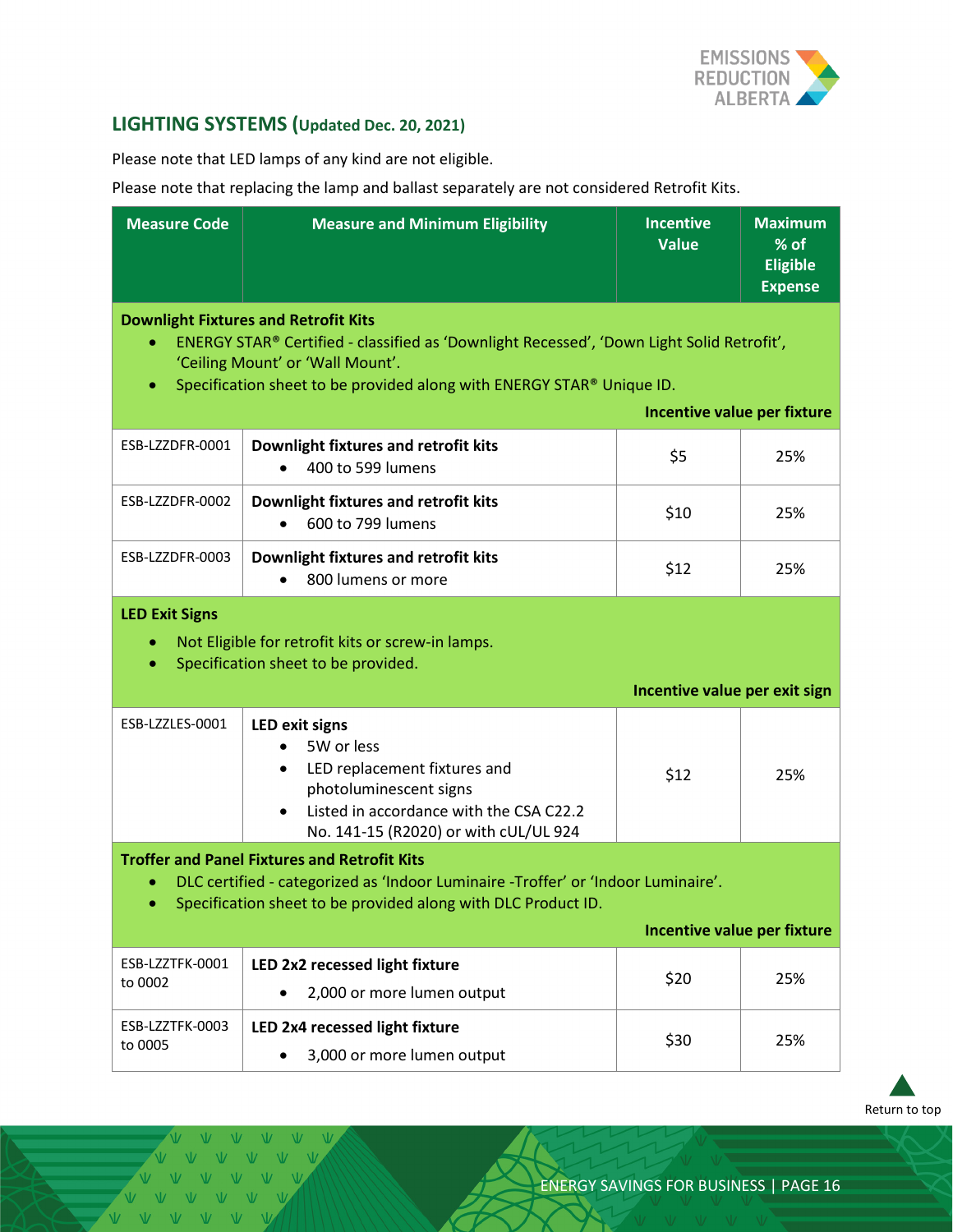

#### <span id="page-15-0"></span>**LIGHTING SYSTEMS (Updated Dec. 20, 2021)**

Please note that LED lamps of any kind are not eligible.

Please note that replacing the lamp and ballast separately are not considered Retrofit Kits.

| <b>Measure Code</b>                                                                                                                                                                                                                      | <b>Measure and Minimum Eligibility</b>                                                                                                                                                                                                                | <b>Incentive</b><br><b>Value</b> | <b>Maximum</b><br>% of<br><b>Eligible</b><br><b>Expense</b> |
|------------------------------------------------------------------------------------------------------------------------------------------------------------------------------------------------------------------------------------------|-------------------------------------------------------------------------------------------------------------------------------------------------------------------------------------------------------------------------------------------------------|----------------------------------|-------------------------------------------------------------|
| $\bullet$<br>$\bullet$                                                                                                                                                                                                                   | <b>Downlight Fixtures and Retrofit Kits</b><br>ENERGY STAR® Certified - classified as 'Downlight Recessed', 'Down Light Solid Retrofit',<br>'Ceiling Mount' or 'Wall Mount'.<br>Specification sheet to be provided along with ENERGY STAR® Unique ID. |                                  |                                                             |
|                                                                                                                                                                                                                                          |                                                                                                                                                                                                                                                       | Incentive value per fixture      |                                                             |
| ESB-LZZDFR-0001                                                                                                                                                                                                                          | Downlight fixtures and retrofit kits<br>400 to 599 lumens                                                                                                                                                                                             | \$5                              | 25%                                                         |
| ESB-LZZDFR-0002                                                                                                                                                                                                                          | Downlight fixtures and retrofit kits<br>600 to 799 lumens                                                                                                                                                                                             | \$10                             | 25%                                                         |
| ESB-LZZDFR-0003                                                                                                                                                                                                                          | Downlight fixtures and retrofit kits<br>800 lumens or more                                                                                                                                                                                            | \$12                             | 25%                                                         |
| <b>LED Exit Signs</b><br>Not Eligible for retrofit kits or screw-in lamps.<br>$\bullet$<br>Specification sheet to be provided.<br>$\bullet$<br>Incentive value per exit sign                                                             |                                                                                                                                                                                                                                                       |                                  |                                                             |
| ESB-LZZLES-0001                                                                                                                                                                                                                          | <b>LED exit signs</b><br>5W or less<br>LED replacement fixtures and<br>٠<br>photoluminescent signs<br>Listed in accordance with the CSA C22.2<br>No. 141-15 (R2020) or with cUL/UL 924                                                                | \$12                             | 25%                                                         |
| <b>Troffer and Panel Fixtures and Retrofit Kits</b><br>DLC certified - categorized as 'Indoor Luminaire -Troffer' or 'Indoor Luminaire'.<br>Specification sheet to be provided along with DLC Product ID.<br>Incentive value per fixture |                                                                                                                                                                                                                                                       |                                  |                                                             |
|                                                                                                                                                                                                                                          |                                                                                                                                                                                                                                                       |                                  |                                                             |
| ESB-LZZTFK-0001<br>to 0002                                                                                                                                                                                                               | LED 2x2 recessed light fixture<br>2,000 or more lumen output                                                                                                                                                                                          | \$20                             | 25%                                                         |
| ESB-LZZTFK-0003<br>to 0005                                                                                                                                                                                                               | LED 2x4 recessed light fixture<br>3,000 or more lumen output                                                                                                                                                                                          | \$30                             | 25%                                                         |

[Return to top](#page-0-0)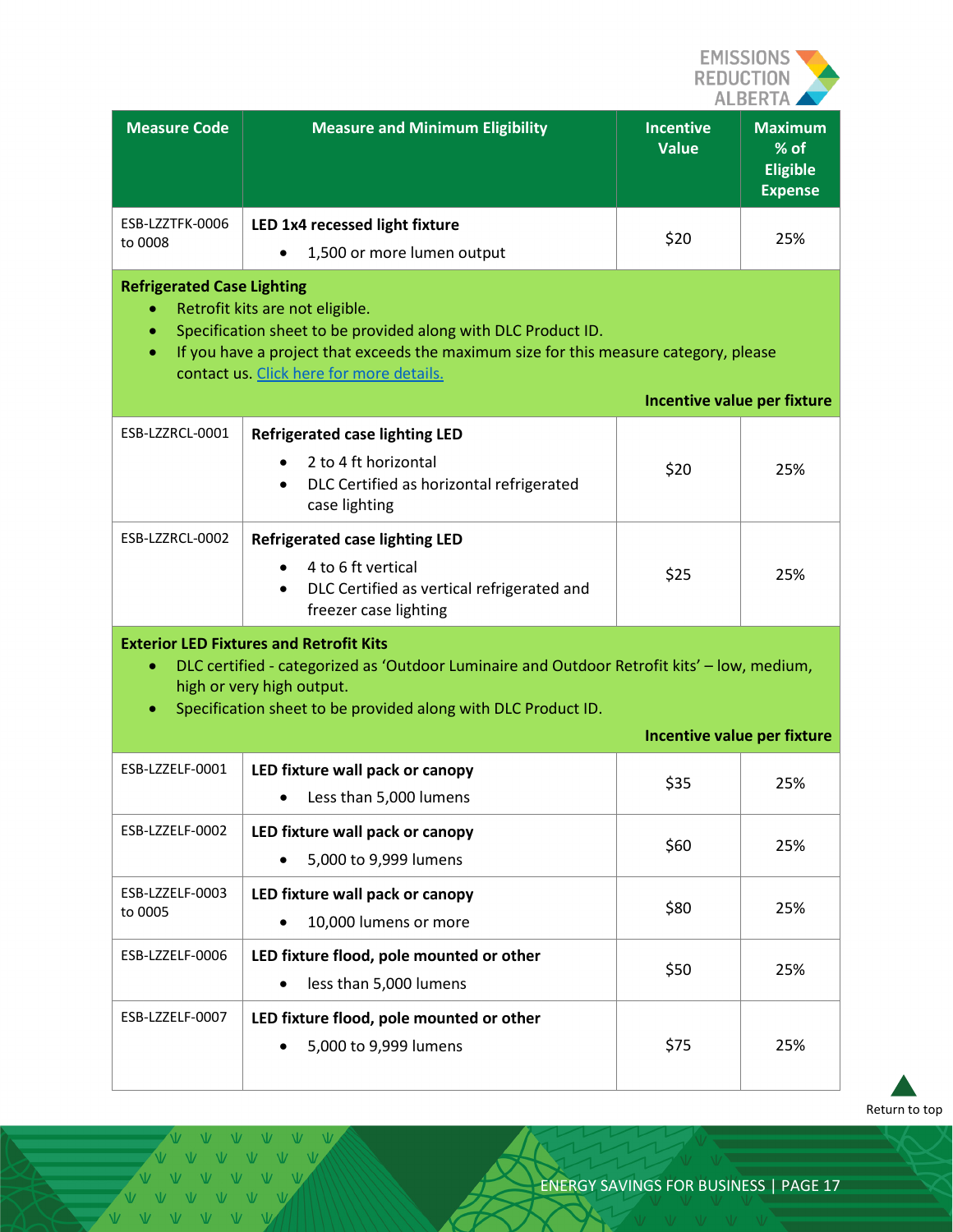

| <b>Measure Code</b>                                                                                                                                                                                                                                                                                                    | <b>Measure and Minimum Eligibility</b>                                                                                                          | <b>Incentive</b><br><b>Value</b> | <b>Maximum</b><br>% of<br><b>Eligible</b><br><b>Expense</b> |
|------------------------------------------------------------------------------------------------------------------------------------------------------------------------------------------------------------------------------------------------------------------------------------------------------------------------|-------------------------------------------------------------------------------------------------------------------------------------------------|----------------------------------|-------------------------------------------------------------|
| ESB-LZZTFK-0006<br>to 0008                                                                                                                                                                                                                                                                                             | LED 1x4 recessed light fixture<br>1,500 or more lumen output                                                                                    | \$20                             | 25%                                                         |
| <b>Refrigerated Case Lighting</b><br>Retrofit kits are not eligible.<br>Specification sheet to be provided along with DLC Product ID.<br>$\bullet$<br>If you have a project that exceeds the maximum size for this measure category, please<br>contact us. Click here for more details.<br>Incentive value per fixture |                                                                                                                                                 |                                  |                                                             |
| ESB-LZZRCL-0001                                                                                                                                                                                                                                                                                                        | <b>Refrigerated case lighting LED</b><br>2 to 4 ft horizontal<br>DLC Certified as horizontal refrigerated<br>case lighting                      | \$20                             | 25%                                                         |
| ESB-LZZRCL-0002                                                                                                                                                                                                                                                                                                        | <b>Refrigerated case lighting LED</b><br>4 to 6 ft vertical<br>DLC Certified as vertical refrigerated and<br>$\bullet$<br>freezer case lighting | \$25                             | 25%                                                         |
| <b>Exterior LED Fixtures and Retrofit Kits</b><br>DLC certified - categorized as 'Outdoor Luminaire and Outdoor Retrofit kits' - low, medium,<br>$\bullet$<br>high or very high output.<br>Specification sheet to be provided along with DLC Product ID.<br>$\bullet$<br>Incentive value per fixture                   |                                                                                                                                                 |                                  |                                                             |
| ESB-LZZELF-0001                                                                                                                                                                                                                                                                                                        | LED fixture wall pack or canopy<br>Less than 5,000 lumens                                                                                       | \$35                             | 25%                                                         |
| ESB-LZZELF-0002                                                                                                                                                                                                                                                                                                        | LED fixture wall pack or canopy<br>5,000 to 9,999 lumens                                                                                        | \$60                             | 25%                                                         |
| ESB-LZZELF-0003<br>to 0005                                                                                                                                                                                                                                                                                             | LED fixture wall pack or canopy<br>10,000 lumens or more                                                                                        | \$80                             | 25%                                                         |
| ESB-LZZELF-0006                                                                                                                                                                                                                                                                                                        | LED fixture flood, pole mounted or other<br>less than 5,000 lumens                                                                              | \$50                             | 25%                                                         |
| ESB-LZZELF-0007                                                                                                                                                                                                                                                                                                        | LED fixture flood, pole mounted or other<br>5,000 to 9,999 lumens                                                                               | \$75                             | 25%                                                         |

[Return to top](#page-0-0)

VVV  $V$   $V$  $\overline{V}$ VVVVVVV VVVVVVV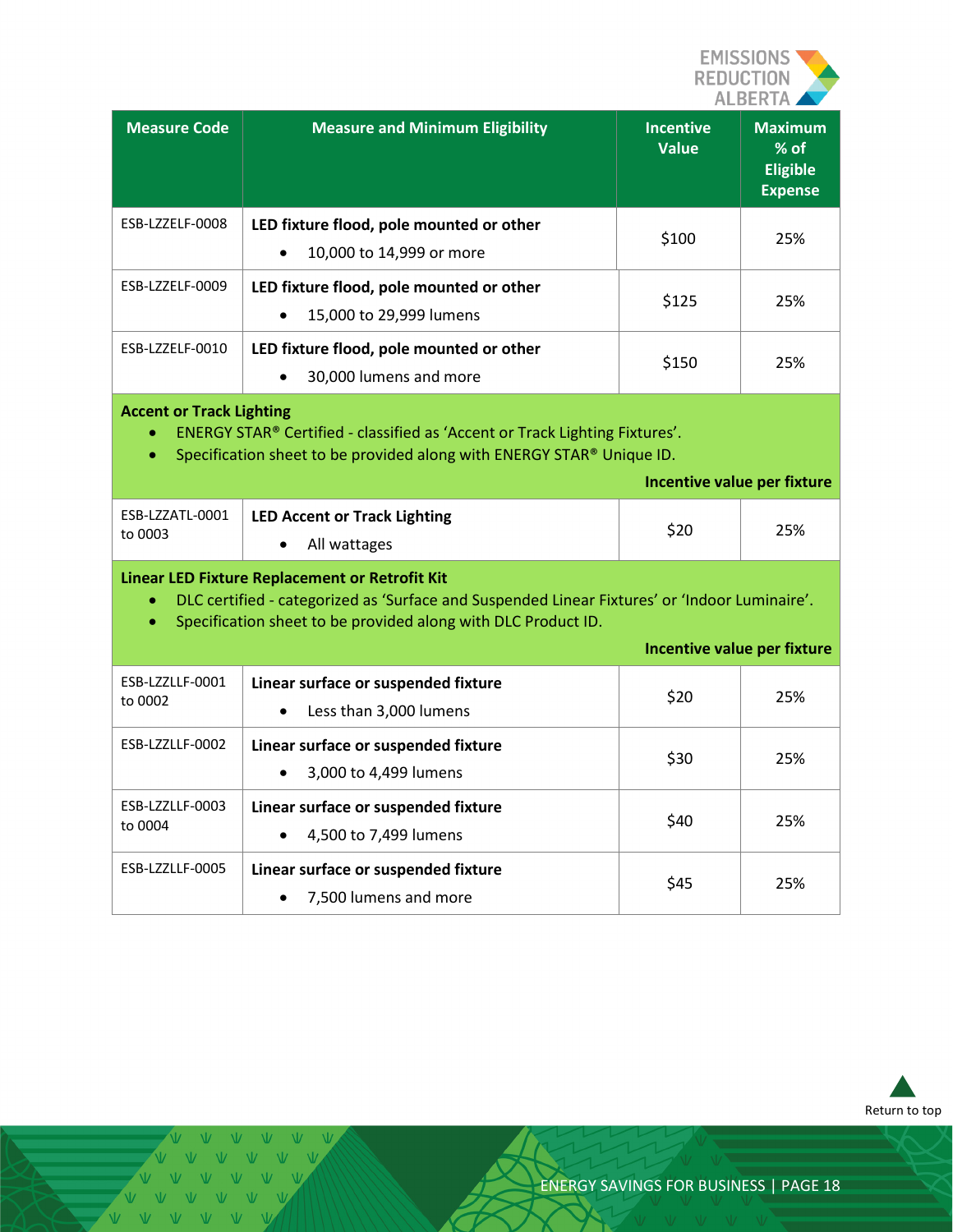

| <b>Measure Code</b> | <b>Measure and Minimum Eligibility</b>                                            | <b>Incentive</b><br><b>Value</b> | <b>Maximum</b><br>$%$ of<br><b>Eligible</b><br><b>Expense</b> |
|---------------------|-----------------------------------------------------------------------------------|----------------------------------|---------------------------------------------------------------|
| ESB-LZZELF-0008     | LED fixture flood, pole mounted or other<br>10,000 to 14,999 or more<br>$\bullet$ | \$100                            | 25%                                                           |
| ESB-LZZELF-0009     | LED fixture flood, pole mounted or other<br>15,000 to 29,999 lumens<br>$\bullet$  | \$125                            | 25%                                                           |
| ESB-LZZELF-0010     | LED fixture flood, pole mounted or other<br>30,000 lumens and more<br>$\bullet$   | \$150                            | 25%                                                           |

#### **Accent or Track Lighting**

- ENERGY STAR® Certified classified as 'Accent or Track Lighting Fixtures'.
- Specification sheet to be provided along with ENERGY STAR® Unique ID.

|                            |                                              | Incentive value per fixture |     |
|----------------------------|----------------------------------------------|-----------------------------|-----|
| ESB-LZZATL-0001<br>to 0003 | LED Accent or Track Lighting<br>All wattages | \$20                        | 25% |

#### **Linear LED Fixture Replacement or Retrofit Kit**

- DLC certified categorized as 'Surface and Suspended Linear Fixtures' or 'Indoor Luminaire'.
- Specification sheet to be provided along with DLC Product ID.

|                            |                                                                            |      | Incentive value per fixture |
|----------------------------|----------------------------------------------------------------------------|------|-----------------------------|
| ESB-LZZLLF-0001<br>to 0002 | Linear surface or suspended fixture<br>Less than 3,000 lumens<br>$\bullet$ | \$20 | 25%                         |
| ESB-LZZLLF-0002            | Linear surface or suspended fixture<br>3,000 to 4,499 lumens<br>$\bullet$  | \$30 | 25%                         |
| ESB-LZZLLF-0003<br>to 0004 | Linear surface or suspended fixture<br>4,500 to 7,499 lumens<br>$\bullet$  | \$40 | 25%                         |
| ESB-LZZLLF-0005            | Linear surface or suspended fixture<br>7,500 lumens and more<br>$\bullet$  | \$45 | 25%                         |



V V V V V V V V V V V V V V V V V V V V V V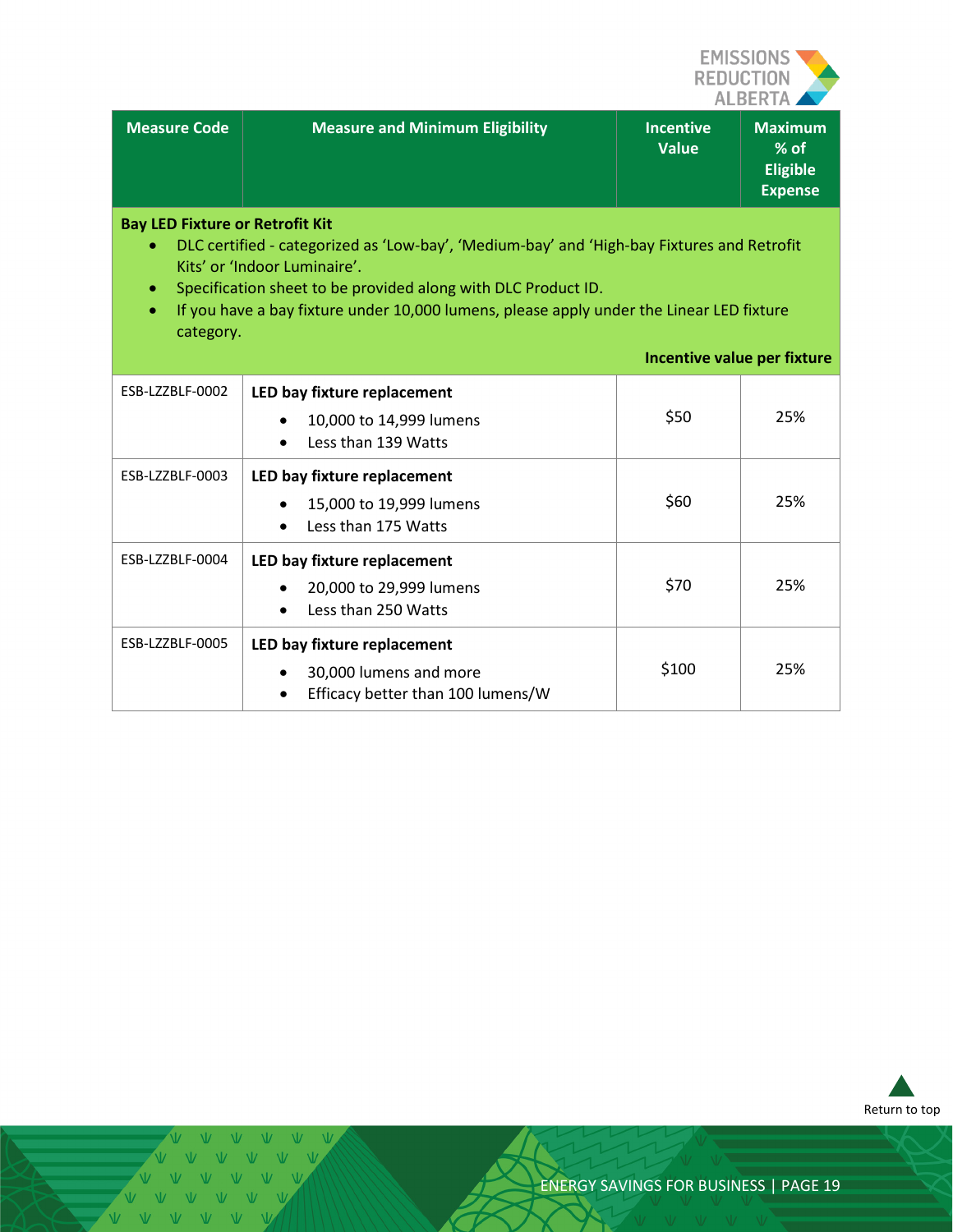

| <b>Measure Code</b> | Measure and Minimum Eligibility | <b>Incentive</b><br><b>Value</b> | <b>Maximum</b><br>$%$ of<br><b>Eligible</b><br><b>Expense</b> |
|---------------------|---------------------------------|----------------------------------|---------------------------------------------------------------|
|                     |                                 |                                  |                                                               |

#### **Bay LED Fixture or Retrofit Kit**

- DLC certified categorized as 'Low-bay', 'Medium-bay' and 'High-bay Fixtures and Retrofit Kits' or 'Indoor Luminaire'.
- Specification sheet to be provided along with DLC Product ID.
- If you have a bay fixture under 10,000 lumens, please apply under the Linear LED fixture category.

#### **Incentive value per fixture**

| ESB-LZZBLF-0002 | LED bay fixture replacement<br>10,000 to 14,999 lumens<br>$\bullet$<br>Less than 139 Watts<br>$\bullet$ | \$50  | 25% |
|-----------------|---------------------------------------------------------------------------------------------------------|-------|-----|
| ESB-LZZBLF-0003 | LED bay fixture replacement<br>15,000 to 19,999 lumens<br>Less than 175 Watts<br>$\bullet$              | \$60  | 25% |
| ESB-LZZBLF-0004 | LED bay fixture replacement<br>20,000 to 29,999 lumens<br>$\bullet$<br>Less than 250 Watts              | \$70  | 25% |
| ESB-LZZBLF-0005 | LED bay fixture replacement<br>30,000 lumens and more<br>Efficacy better than 100 lumens/W<br>$\bullet$ | \$100 | 25% |



V V V V V VVVVVV V V V V V V V V V V V V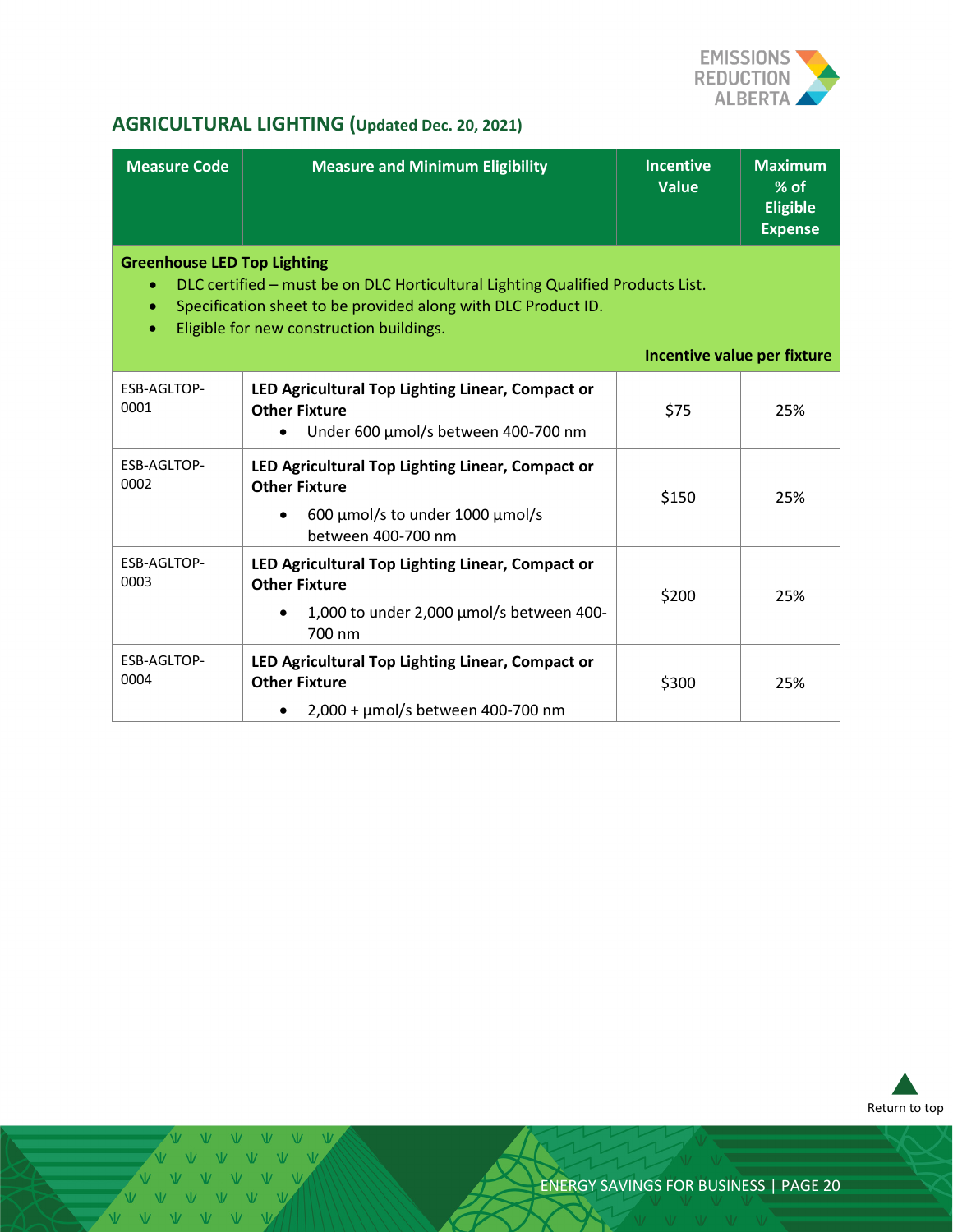

# <span id="page-19-0"></span>**AGRICULTURAL LIGHTING (Updated Dec. 20, 2021)**

| <b>Measure Code</b>                                                                                                                                                                                                                                                        | <b>Measure and Minimum Eligibility</b>                                                                                                      | <b>Incentive</b><br><b>Value</b> | <b>Maximum</b><br>$%$ of<br><b>Eligible</b><br><b>Expense</b> |
|----------------------------------------------------------------------------------------------------------------------------------------------------------------------------------------------------------------------------------------------------------------------------|---------------------------------------------------------------------------------------------------------------------------------------------|----------------------------------|---------------------------------------------------------------|
| <b>Greenhouse LED Top Lighting</b><br>DLC certified - must be on DLC Horticultural Lighting Qualified Products List.<br>۰<br>Specification sheet to be provided along with DLC Product ID.<br>۰<br>Eligible for new construction buildings.<br>Incentive value per fixture |                                                                                                                                             |                                  |                                                               |
| ESB-AGLTOP-<br>0001                                                                                                                                                                                                                                                        | LED Agricultural Top Lighting Linear, Compact or<br><b>Other Fixture</b><br>Under 600 µmol/s between 400-700 nm                             | \$75                             | 25%                                                           |
| ESB-AGLTOP-<br>0002                                                                                                                                                                                                                                                        | LED Agricultural Top Lighting Linear, Compact or<br><b>Other Fixture</b><br>600 $\mu$ mol/s to under 1000 $\mu$ mol/s<br>between 400-700 nm | \$150                            | 25%                                                           |
| ESB-AGLTOP-<br>0003                                                                                                                                                                                                                                                        | LED Agricultural Top Lighting Linear, Compact or<br><b>Other Fixture</b><br>1,000 to under 2,000 µmol/s between 400-<br>700 nm              | \$200                            | 25%                                                           |
| ESB-AGLTOP-<br>0004                                                                                                                                                                                                                                                        | LED Agricultural Top Lighting Linear, Compact or<br><b>Other Fixture</b><br>2,000 + µmol/s between 400-700 nm                               | \$300                            | 25%                                                           |



 $V - W$ VVVVV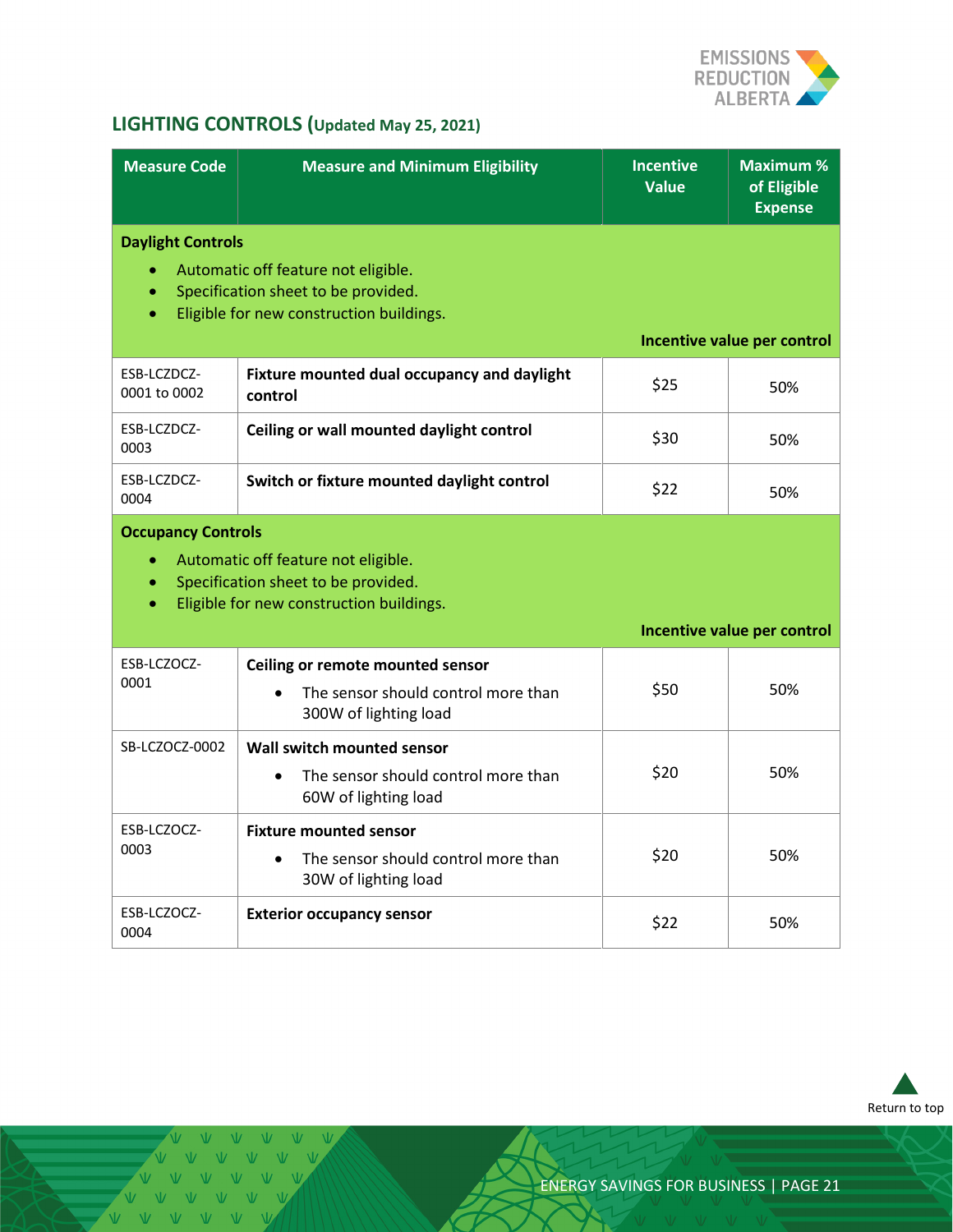

# <span id="page-20-0"></span>**LIGHTING CONTROLS (Updated May 25, 2021)**

| <b>Measure Code</b>                                | <b>Measure and Minimum Eligibility</b>                                                                                 | <b>Incentive</b><br><b>Value</b> | <b>Maximum %</b><br>of Eligible<br><b>Expense</b> |
|----------------------------------------------------|------------------------------------------------------------------------------------------------------------------------|----------------------------------|---------------------------------------------------|
| <b>Daylight Controls</b><br>$\bullet$<br>$\bullet$ | Automatic off feature not eligible.<br>Specification sheet to be provided.<br>Eligible for new construction buildings. |                                  | Incentive value per control                       |
| ESB-LCZDCZ-<br>0001 to 0002                        | Fixture mounted dual occupancy and daylight<br>control                                                                 | \$25                             | 50%                                               |
| ESB-LCZDCZ-<br>0003                                | Ceiling or wall mounted daylight control                                                                               | \$30                             | 50%                                               |
| ESB-LCZDCZ-<br>0004                                | Switch or fixture mounted daylight control                                                                             | \$22                             | 50%                                               |
| <b>Occupancy Controls</b><br>$\bullet$             | Automatic off feature not eligible.<br>Specification sheet to be provided.<br>Eligible for new construction buildings. |                                  | Incentive value per control                       |
|                                                    |                                                                                                                        |                                  |                                                   |
| ESB-LCZOCZ-<br>0001                                | Ceiling or remote mounted sensor<br>The sensor should control more than<br>300W of lighting load                       | \$50                             | 50%                                               |
| SB-LCZOCZ-0002                                     | Wall switch mounted sensor<br>The sensor should control more than<br>60W of lighting load                              | \$20                             | 50%                                               |
| ESB-LCZOCZ-<br>0003                                | <b>Fixture mounted sensor</b><br>The sensor should control more than<br>30W of lighting load                           | \$20                             | 50%                                               |
| ESB-LCZOCZ-<br>0004                                | <b>Exterior occupancy sensor</b>                                                                                       | \$22                             | 50%                                               |



 $W - W - W$ VVVVV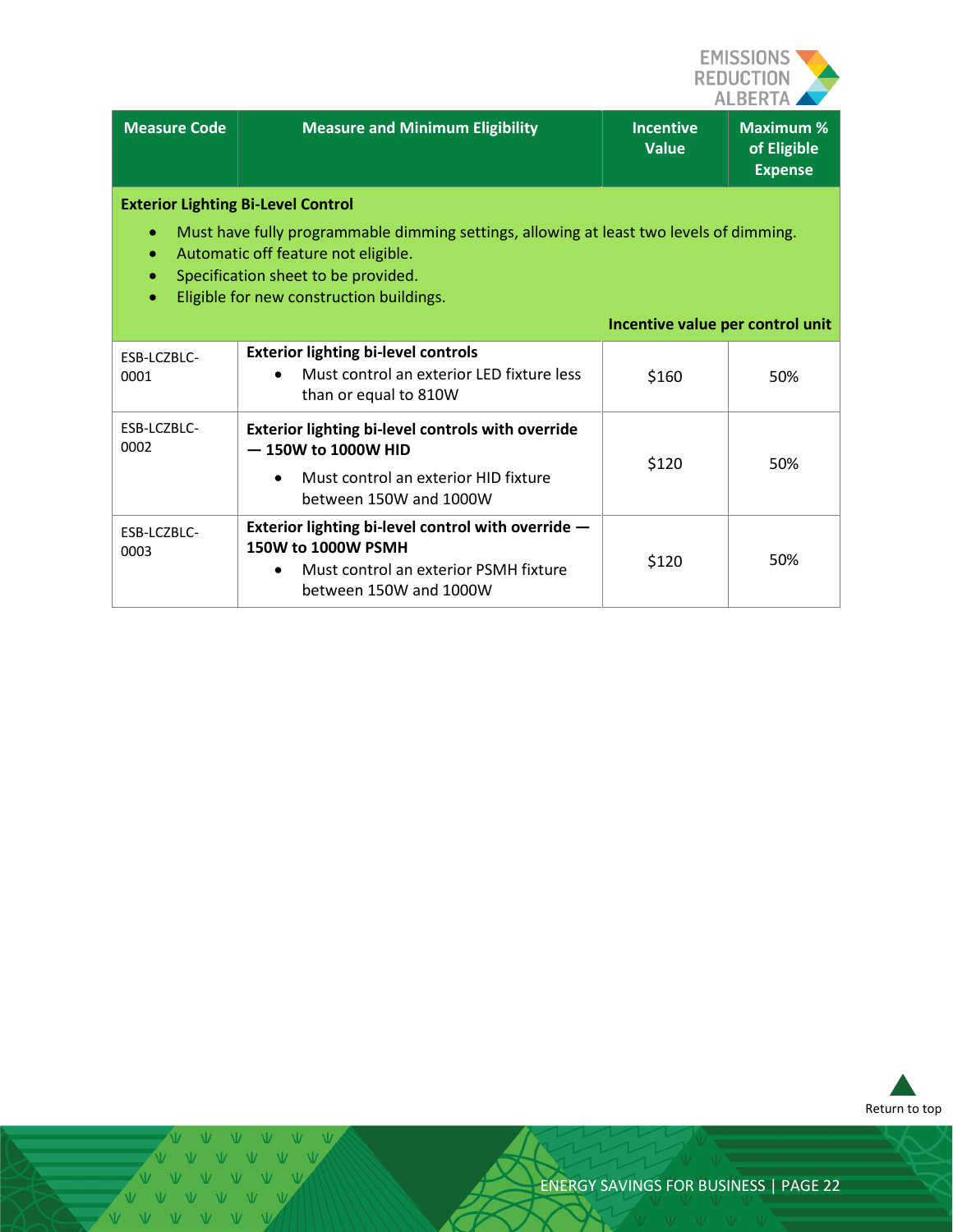

| <b>Measure Code</b>                                                                                                                                                                                                                                                                                   | <b>Measure and Minimum Eligibility</b>                                                                                                      | <b>Incentive</b><br><b>Value</b> | <b>Maximum %</b><br>of Eligible<br><b>Expense</b> |
|-------------------------------------------------------------------------------------------------------------------------------------------------------------------------------------------------------------------------------------------------------------------------------------------------------|---------------------------------------------------------------------------------------------------------------------------------------------|----------------------------------|---------------------------------------------------|
| <b>Exterior Lighting Bi-Level Control</b><br>Must have fully programmable dimming settings, allowing at least two levels of dimming.<br>Automatic off feature not eligible.<br>$\bullet$<br>Specification sheet to be provided.<br>$\bullet$<br>Eligible for new construction buildings.<br>$\bullet$ |                                                                                                                                             |                                  |                                                   |
|                                                                                                                                                                                                                                                                                                       |                                                                                                                                             | Incentive value per control unit |                                                   |
| ESB-LCZBLC-<br>0001                                                                                                                                                                                                                                                                                   | <b>Exterior lighting bi-level controls</b><br>Must control an exterior LED fixture less<br>than or equal to 810W                            | \$160                            | 50%                                               |
| ESB-LCZBLC-<br>0002                                                                                                                                                                                                                                                                                   | Exterior lighting bi-level controls with override<br>$-150W$ to 1000W HID<br>Must control an exterior HID fixture<br>between 150W and 1000W | \$120                            | 50%                                               |
| ESB-LCZBLC-<br>0003                                                                                                                                                                                                                                                                                   | Exterior lighting bi-level control with override -<br>150W to 1000W PSMH<br>Must control an exterior PSMH fixture<br>between 150W and 1000W | \$120                            | 50%                                               |



 $\overline{M}$ VVVVVVV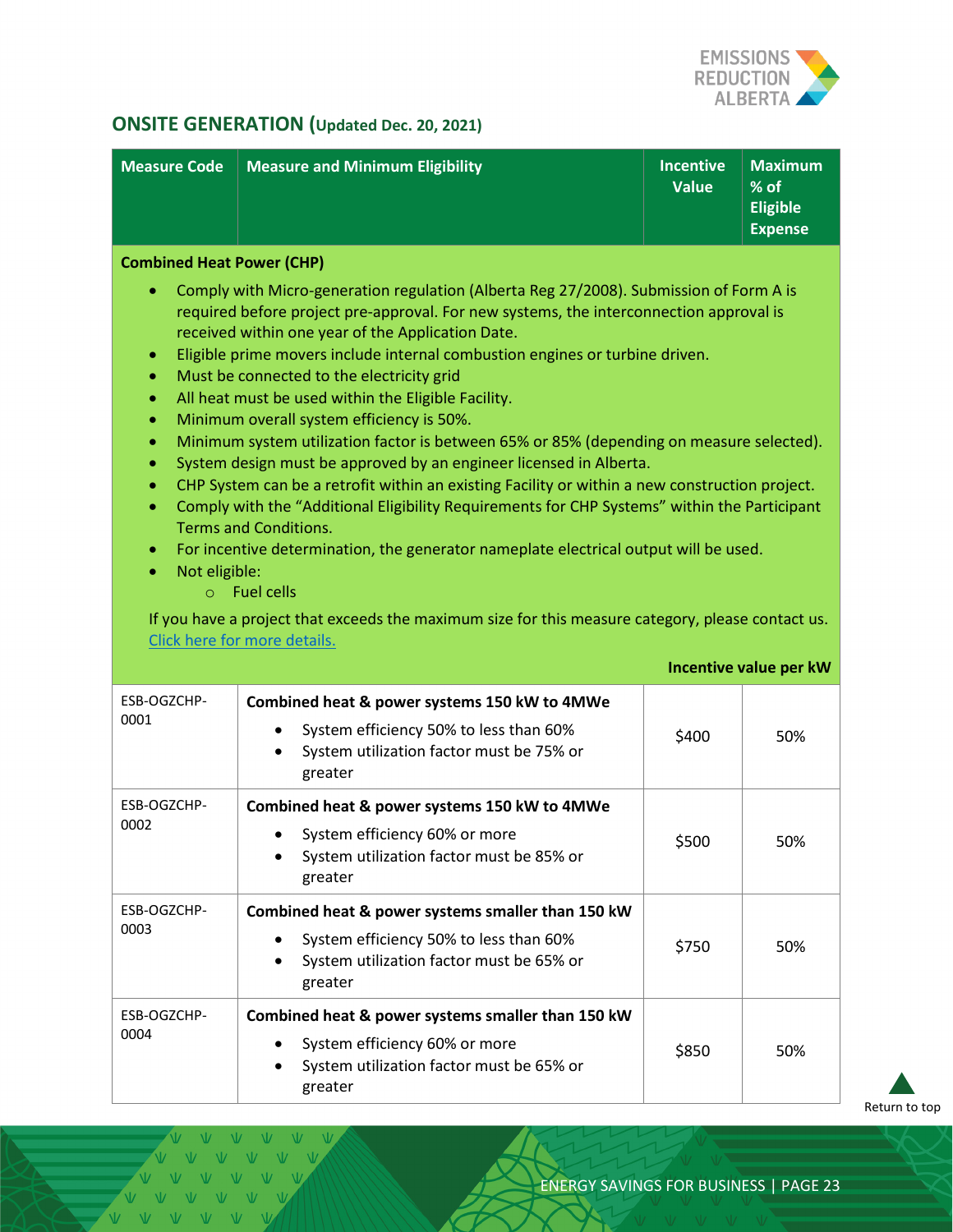

# <span id="page-22-0"></span>**ONSITE GENERATION (Updated Dec. 20, 2021)**

| <b>Measure Code</b>                                                                                                                                                                                                                                                                                                                                                                                                                                                                                                                                                                                                                                                                                                                                                                                                                                                                                                                                                                                                                                                                                                                                                                                                                                                                       | <b>Measure and Minimum Eligibility</b>                                                                                                                     | <b>Incentive</b><br><b>Value</b> | <b>Maximum</b><br>% of<br><b>Eligible</b><br><b>Expense</b> |  |
|-------------------------------------------------------------------------------------------------------------------------------------------------------------------------------------------------------------------------------------------------------------------------------------------------------------------------------------------------------------------------------------------------------------------------------------------------------------------------------------------------------------------------------------------------------------------------------------------------------------------------------------------------------------------------------------------------------------------------------------------------------------------------------------------------------------------------------------------------------------------------------------------------------------------------------------------------------------------------------------------------------------------------------------------------------------------------------------------------------------------------------------------------------------------------------------------------------------------------------------------------------------------------------------------|------------------------------------------------------------------------------------------------------------------------------------------------------------|----------------------------------|-------------------------------------------------------------|--|
| <b>Combined Heat Power (CHP)</b><br>Comply with Micro-generation regulation (Alberta Reg 27/2008). Submission of Form A is<br>۰<br>required before project pre-approval. For new systems, the interconnection approval is<br>received within one year of the Application Date.<br>Eligible prime movers include internal combustion engines or turbine driven.<br>$\bullet$<br>Must be connected to the electricity grid<br>$\bullet$<br>All heat must be used within the Eligible Facility.<br>$\bullet$<br>Minimum overall system efficiency is 50%.<br>$\bullet$<br>Minimum system utilization factor is between 65% or 85% (depending on measure selected).<br>$\bullet$<br>System design must be approved by an engineer licensed in Alberta.<br>$\bullet$<br>CHP System can be a retrofit within an existing Facility or within a new construction project.<br>$\bullet$<br>Comply with the "Additional Eligibility Requirements for CHP Systems" within the Participant<br>$\bullet$<br><b>Terms and Conditions.</b><br>For incentive determination, the generator nameplate electrical output will be used.<br>$\bullet$<br>Not eligible:<br>$\bullet$<br>$\circ$ Fuel cells<br>If you have a project that exceeds the maximum size for this measure category, please contact us. |                                                                                                                                                            |                                  |                                                             |  |
|                                                                                                                                                                                                                                                                                                                                                                                                                                                                                                                                                                                                                                                                                                                                                                                                                                                                                                                                                                                                                                                                                                                                                                                                                                                                                           | Click here for more details.                                                                                                                               |                                  | Incentive value per kW                                      |  |
| ESB-OGZCHP-<br>0001                                                                                                                                                                                                                                                                                                                                                                                                                                                                                                                                                                                                                                                                                                                                                                                                                                                                                                                                                                                                                                                                                                                                                                                                                                                                       | Combined heat & power systems 150 kW to 4MWe<br>System efficiency 50% to less than 60%<br>$\bullet$<br>System utilization factor must be 75% or<br>greater | \$400                            | 50%                                                         |  |
| ESB-OGZCHP-<br>0002                                                                                                                                                                                                                                                                                                                                                                                                                                                                                                                                                                                                                                                                                                                                                                                                                                                                                                                                                                                                                                                                                                                                                                                                                                                                       | Combined heat & power systems 150 kW to 4MWe<br>System efficiency 60% or more<br>System utilization factor must be 85% or<br>greater                       | \$500                            | 50%                                                         |  |
| ESB-OGZCHP-<br>0003                                                                                                                                                                                                                                                                                                                                                                                                                                                                                                                                                                                                                                                                                                                                                                                                                                                                                                                                                                                                                                                                                                                                                                                                                                                                       | Combined heat & power systems smaller than 150 kW<br>System efficiency 50% to less than 60%<br>System utilization factor must be 65% or<br>greater         | \$750                            | 50%                                                         |  |
| ESB-OGZCHP-<br>0004                                                                                                                                                                                                                                                                                                                                                                                                                                                                                                                                                                                                                                                                                                                                                                                                                                                                                                                                                                                                                                                                                                                                                                                                                                                                       | Combined heat & power systems smaller than 150 kW<br>System efficiency 60% or more<br>System utilization factor must be 65% or<br>greater                  | \$850                            | 50%                                                         |  |

[Return to top](#page-0-0)

V V V V V VVVVV VVVVV VVVVVV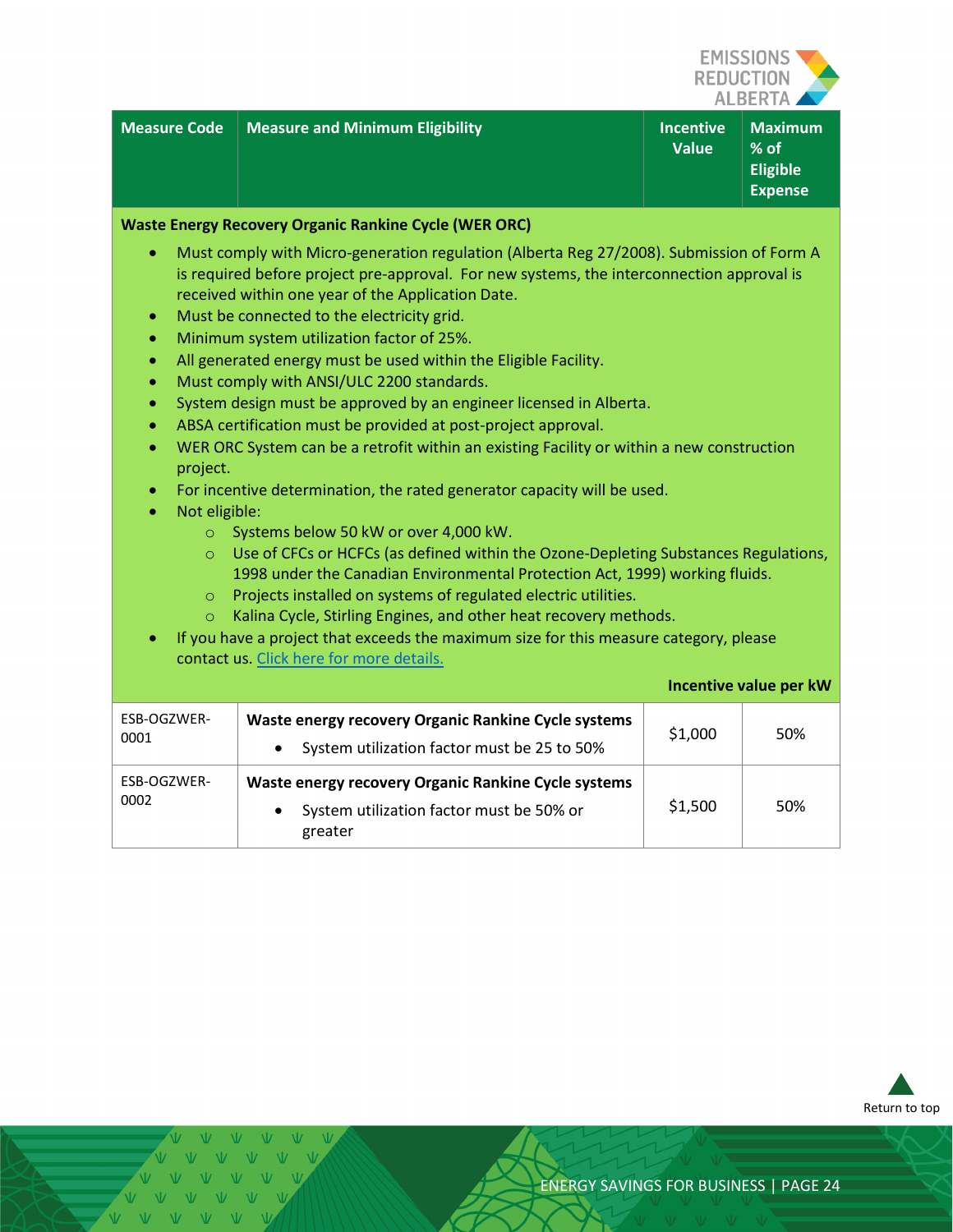

| <b>Measure Code   Measure and Minimum Eligibility</b> | <b>Incentive</b><br><b>Value</b> | $\parallel$ Maximum $\parallel$<br>$%$ of<br><b>Eligible</b><br><b>Expense</b> |
|-------------------------------------------------------|----------------------------------|--------------------------------------------------------------------------------|

#### **Waste Energy Recovery Organic Rankine Cycle (WER ORC)**

- Must comply with Micro-generation regulation (Alberta Reg 27/2008). Submission of Form A is required before project pre-approval. For new systems, the interconnection approval is received within one year of the Application Date.
- Must be connected to the electricity grid.
- Minimum system utilization factor of 25%.
- All generated energy must be used within the Eligible Facility.
- Must comply with ANSI/ULC 2200 standards.
- System design must be approved by an engineer licensed in Alberta.
- ABSA certification must be provided at post-project approval.
- WER ORC System can be a retrofit within an existing Facility or within a new construction project.
- For incentive determination, the rated generator capacity will be used.
- Not eligible:
	- o Systems below 50 kW or over 4,000 kW.
	- o Use of CFCs or HCFCs (as defined within the Ozone-Depleting Substances Regulations, 1998 under the Canadian Environmental Protection Act, 1999) working fluids.
	- o Projects installed on systems of regulated electric utilities.
	- o Kalina Cycle, Stirling Engines, and other heat recovery methods.
- If you have a project that exceeds the maximum size for this measure category, please contact us. Click [here for more details.](#page-3-1)

|                     |                                                                                                                         | Incentive value per kW |     |
|---------------------|-------------------------------------------------------------------------------------------------------------------------|------------------------|-----|
| ESB-OGZWER-<br>0001 | Waste energy recovery Organic Rankine Cycle systems<br>System utilization factor must be 25 to 50%                      | \$1,000                | 50% |
| ESB-OGZWER-<br>0002 | Waste energy recovery Organic Rankine Cycle systems<br>System utilization factor must be 50% or<br>$\bullet$<br>greater | \$1,500                | 50% |



 $V = V$   $V = V$  $V - W - W - W$ 

VVVVV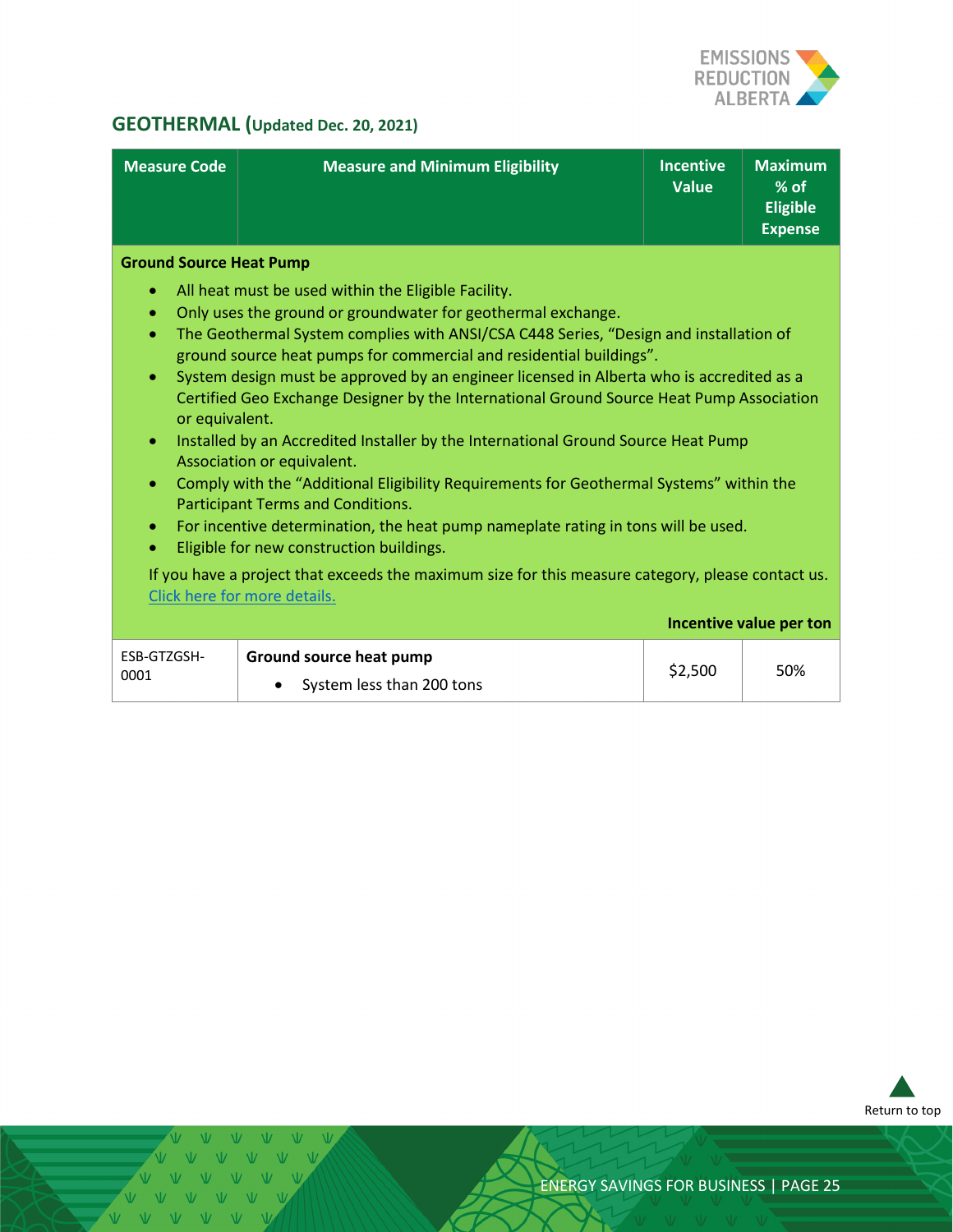

# <span id="page-24-0"></span>**GEOTHERMAL (Updated Dec. 20, 2021)**

| <b>Measure Code</b>                                                                                              | <b>Measure and Minimum Eligibility</b>                                                                                                                                                                                                                                                                                                                                                                                                                                                                                                                                                                                                                                                                                                                                                                                                                                                                                                                                                               | <b>Incentive</b><br><b>Value</b> | <b>Maximum</b><br>$%$ of<br><b>Eligible</b><br><b>Expense</b> |
|------------------------------------------------------------------------------------------------------------------|------------------------------------------------------------------------------------------------------------------------------------------------------------------------------------------------------------------------------------------------------------------------------------------------------------------------------------------------------------------------------------------------------------------------------------------------------------------------------------------------------------------------------------------------------------------------------------------------------------------------------------------------------------------------------------------------------------------------------------------------------------------------------------------------------------------------------------------------------------------------------------------------------------------------------------------------------------------------------------------------------|----------------------------------|---------------------------------------------------------------|
| <b>Ground Source Heat Pump</b><br>۰<br>۰<br>$\bullet$<br>۰<br>or equivalent.<br>$\bullet$<br>۰<br>$\bullet$<br>۰ | All heat must be used within the Eligible Facility.<br>Only uses the ground or groundwater for geothermal exchange.<br>The Geothermal System complies with ANSI/CSA C448 Series, "Design and installation of<br>ground source heat pumps for commercial and residential buildings".<br>System design must be approved by an engineer licensed in Alberta who is accredited as a<br>Certified Geo Exchange Designer by the International Ground Source Heat Pump Association<br>Installed by an Accredited Installer by the International Ground Source Heat Pump<br>Association or equivalent.<br>Comply with the "Additional Eligibility Requirements for Geothermal Systems" within the<br>Participant Terms and Conditions.<br>For incentive determination, the heat pump nameplate rating in tons will be used.<br>Eligible for new construction buildings.<br>If you have a project that exceeds the maximum size for this measure category, please contact us.<br>Click here for more details. |                                  |                                                               |
|                                                                                                                  |                                                                                                                                                                                                                                                                                                                                                                                                                                                                                                                                                                                                                                                                                                                                                                                                                                                                                                                                                                                                      |                                  | Incentive value per ton                                       |
| ESB-GTZGSH-<br>0001                                                                                              | Ground source heat pump<br>System less than 200 tons                                                                                                                                                                                                                                                                                                                                                                                                                                                                                                                                                                                                                                                                                                                                                                                                                                                                                                                                                 | \$2,500                          | 50%                                                           |



VVV V V V V VVVV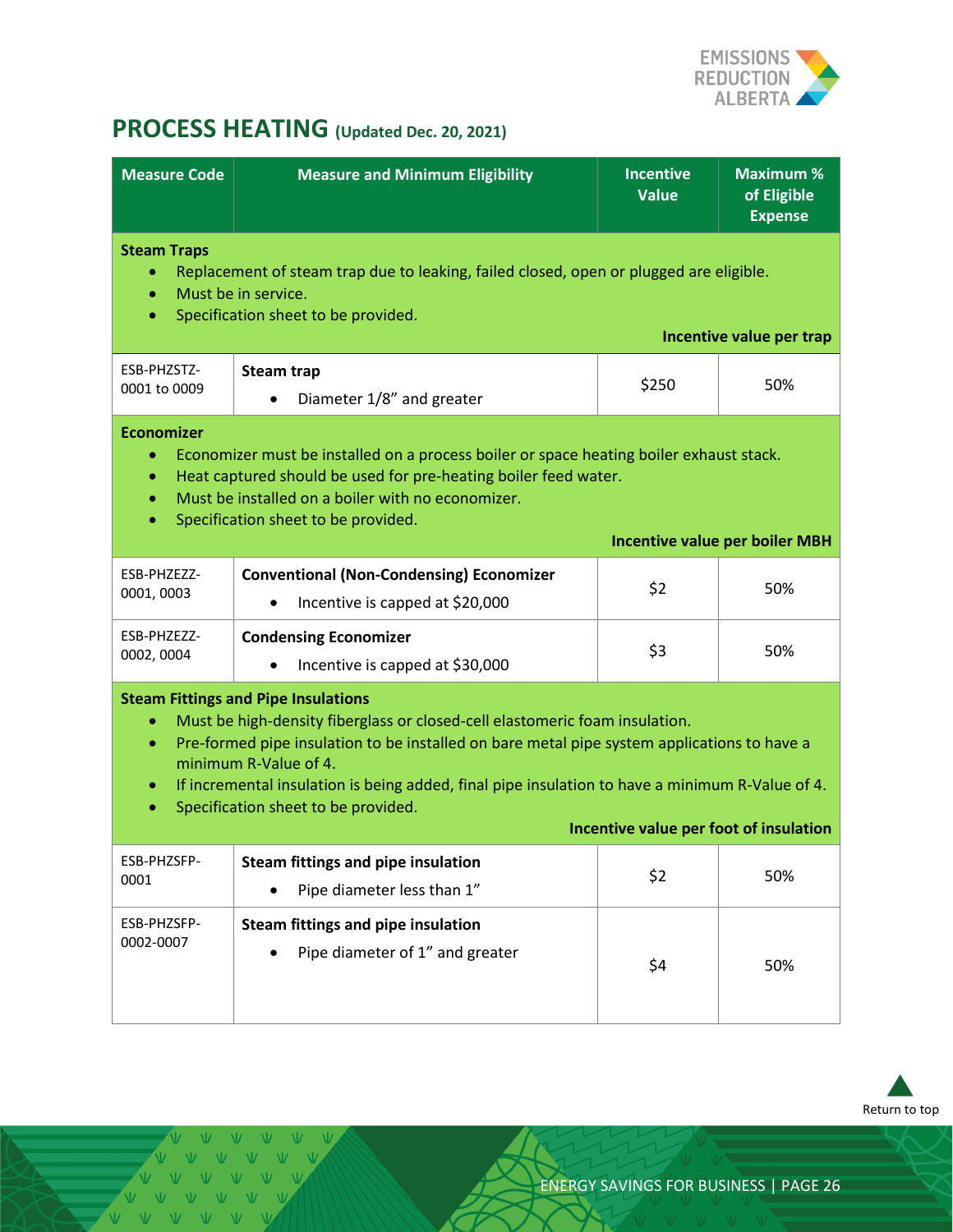

# <span id="page-25-0"></span>**PROCESS HEATING (Updated Dec. 20, 2021)**

| <b>Measure Code</b>                                                                                                                                                                                                                                                                                                                                                                                                                                                  | <b>Measure and Minimum Eligibility</b>                                                          | <b>Incentive</b><br><b>Value</b> | <b>Maximum %</b><br>of Eligible<br><b>Expense</b> |  |
|----------------------------------------------------------------------------------------------------------------------------------------------------------------------------------------------------------------------------------------------------------------------------------------------------------------------------------------------------------------------------------------------------------------------------------------------------------------------|-------------------------------------------------------------------------------------------------|----------------------------------|---------------------------------------------------|--|
| <b>Steam Traps</b><br>Replacement of steam trap due to leaking, failed closed, open or plugged are eligible.<br>Must be in service.<br>$\bullet$<br>Specification sheet to be provided.<br>$\bullet$<br>Incentive value per trap                                                                                                                                                                                                                                     |                                                                                                 |                                  |                                                   |  |
| ESB-PHZSTZ-<br>0001 to 0009                                                                                                                                                                                                                                                                                                                                                                                                                                          | <b>Steam trap</b><br>Diameter 1/8" and greater                                                  | \$250                            | 50%                                               |  |
| <b>Economizer</b><br>Economizer must be installed on a process boiler or space heating boiler exhaust stack.<br>Heat captured should be used for pre-heating boiler feed water.<br>۰<br>Must be installed on a boiler with no economizer.<br>$\bullet$<br>Specification sheet to be provided.<br>$\bullet$<br><b>Incentive value per boiler MBH</b>                                                                                                                  |                                                                                                 |                                  |                                                   |  |
| ESB-PHZEZZ-<br>0001,0003                                                                                                                                                                                                                                                                                                                                                                                                                                             | <b>Conventional (Non-Condensing) Economizer</b><br>Incentive is capped at \$20,000<br>$\bullet$ | \$2                              | 50%                                               |  |
| ESB-PHZEZZ-<br>0002, 0004                                                                                                                                                                                                                                                                                                                                                                                                                                            | <b>Condensing Economizer</b><br>Incentive is capped at \$30,000                                 | \$3                              | 50%                                               |  |
| <b>Steam Fittings and Pipe Insulations</b><br>Must be high-density fiberglass or closed-cell elastomeric foam insulation.<br>Pre-formed pipe insulation to be installed on bare metal pipe system applications to have a<br>$\bullet$<br>minimum R-Value of 4.<br>If incremental insulation is being added, final pipe insulation to have a minimum R-Value of 4.<br>۰<br>Specification sheet to be provided.<br>$\bullet$<br>Incentive value per foot of insulation |                                                                                                 |                                  |                                                   |  |
| ESB-PHZSFP-<br>0001                                                                                                                                                                                                                                                                                                                                                                                                                                                  | Steam fittings and pipe insulation<br>Pipe diameter less than 1"                                | \$2                              | 50%                                               |  |
| ESB-PHZSFP-<br>0002-0007                                                                                                                                                                                                                                                                                                                                                                                                                                             | Steam fittings and pipe insulation<br>Pipe diameter of 1" and greater                           | \$4                              | 50%                                               |  |



VVVVV V V V V VVVVVV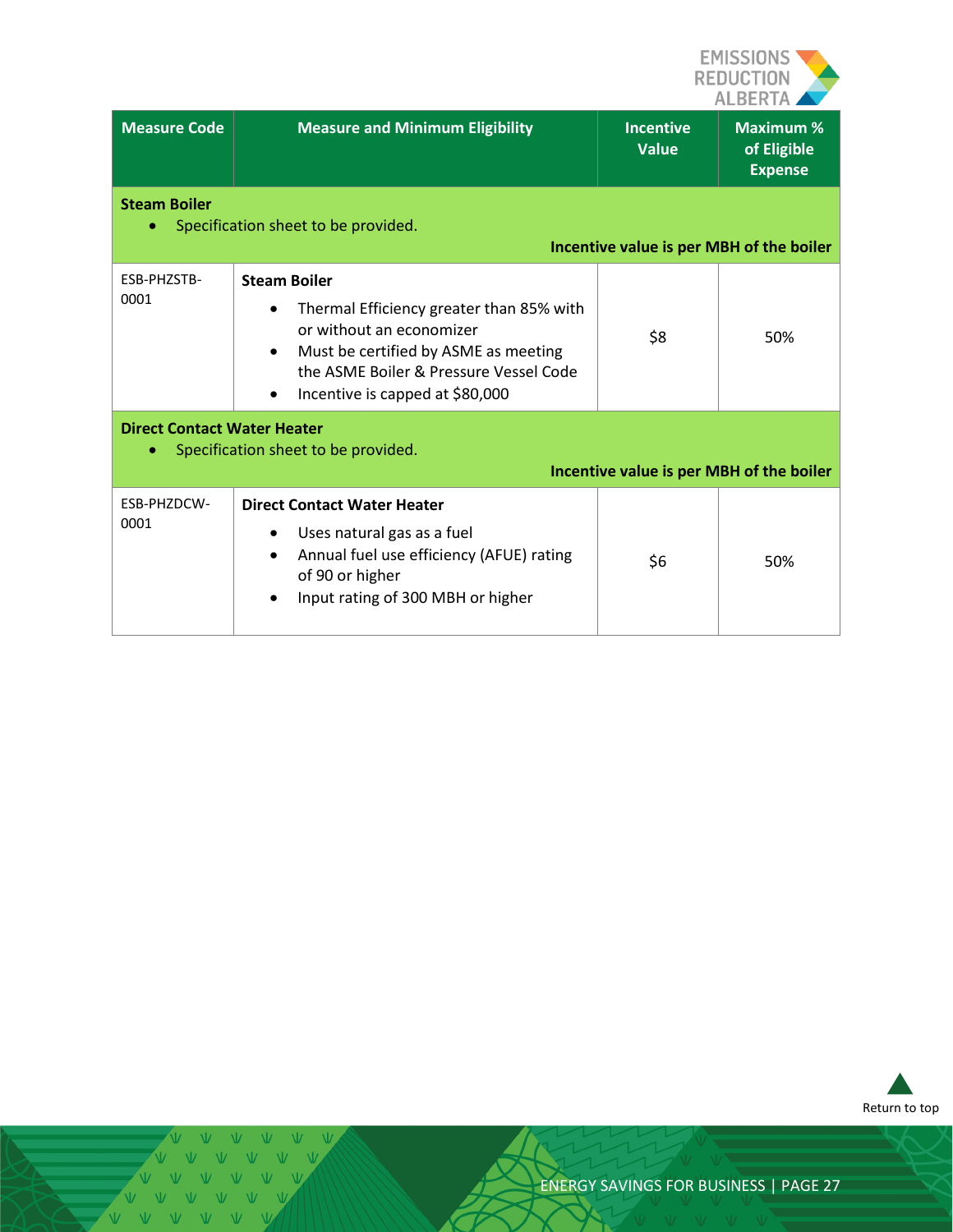

| <b>Measure Code</b> | <b>Measure and Minimum Eligibility</b>                                                                                                                                                                                                          | <b>Incentive</b><br><b>Value</b>         | <b>Maximum %</b><br>of Eligible<br><b>Expense</b> |  |
|---------------------|-------------------------------------------------------------------------------------------------------------------------------------------------------------------------------------------------------------------------------------------------|------------------------------------------|---------------------------------------------------|--|
| <b>Steam Boiler</b> | Specification sheet to be provided.                                                                                                                                                                                                             | Incentive value is per MBH of the boiler |                                                   |  |
| ESB-PHZSTB-<br>0001 | <b>Steam Boiler</b><br>Thermal Efficiency greater than 85% with<br>٠<br>or without an economizer<br>Must be certified by ASME as meeting<br>$\bullet$<br>the ASME Boiler & Pressure Vessel Code<br>Incentive is capped at \$80,000<br>$\bullet$ | \$8                                      | 50%                                               |  |
| ۰                   | <b>Direct Contact Water Heater</b><br>Specification sheet to be provided.<br>Incentive value is per MBH of the boiler                                                                                                                           |                                          |                                                   |  |
| ESB-PHZDCW-<br>0001 | <b>Direct Contact Water Heater</b><br>Uses natural gas as a fuel<br>Annual fuel use efficiency (AFUE) rating<br>of 90 or higher<br>Input rating of 300 MBH or higher                                                                            | \$6                                      | 50%                                               |  |



 $\overline{M}$ VVVVVV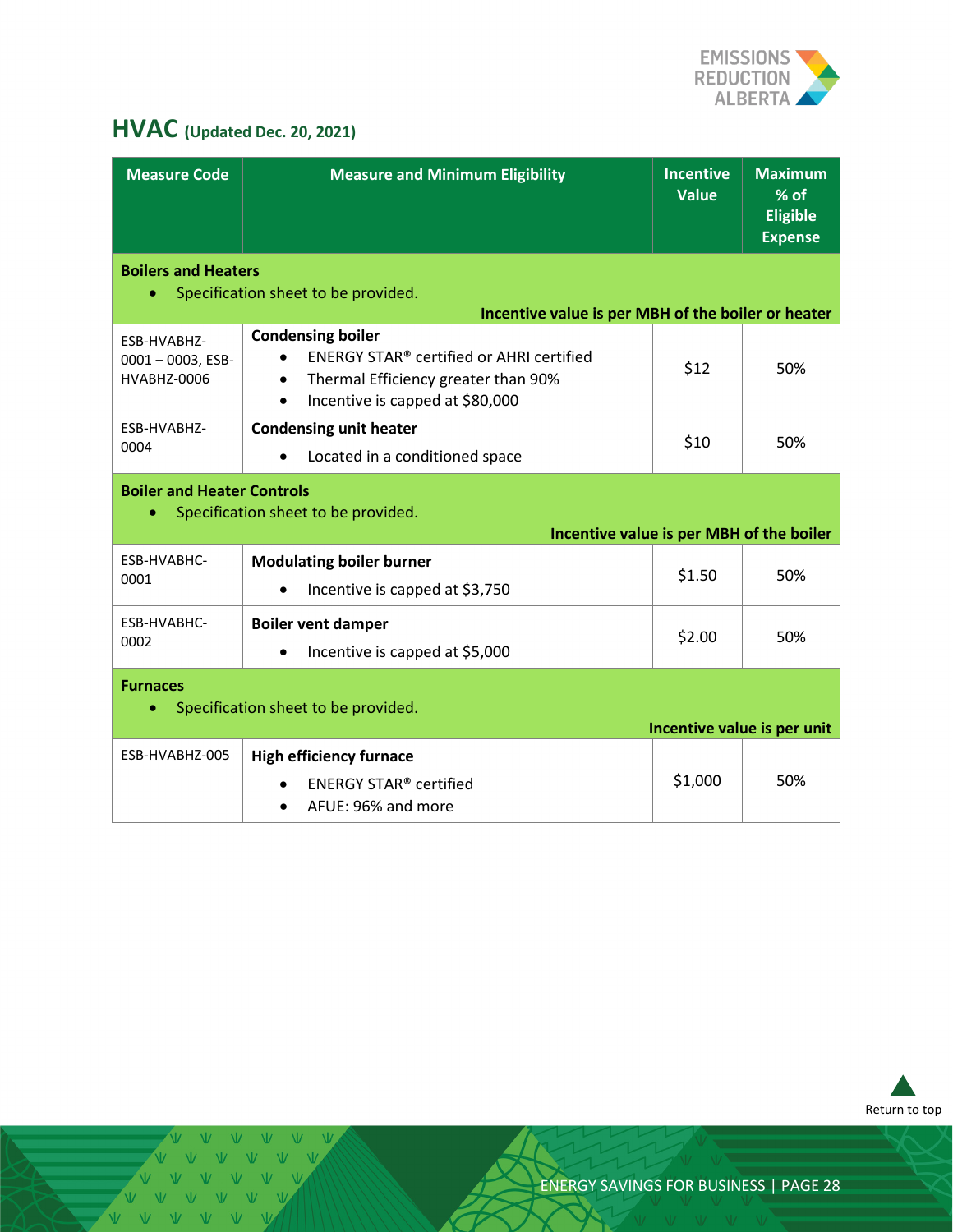

# <span id="page-27-0"></span>**HVAC (Updated Dec. 20, 2021)**

| <b>Measure Code</b>                                | <b>Measure and Minimum Eligibility</b>                                                                                                                                  | <b>Incentive</b><br><b>Value</b> | <b>Maximum</b><br>$%$ of<br><b>Eligible</b><br><b>Expense</b> |
|----------------------------------------------------|-------------------------------------------------------------------------------------------------------------------------------------------------------------------------|----------------------------------|---------------------------------------------------------------|
| <b>Boilers and Heaters</b><br>$\bullet$            | Specification sheet to be provided.                                                                                                                                     |                                  |                                                               |
|                                                    | Incentive value is per MBH of the boiler or heater                                                                                                                      |                                  |                                                               |
| ESB-HVABHZ-<br>$0001 - 0003$ , ESB-<br>HVABHZ-0006 | <b>Condensing boiler</b><br>ENERGY STAR <sup>®</sup> certified or AHRI certified<br>Thermal Efficiency greater than 90%<br>$\bullet$<br>Incentive is capped at \$80,000 | \$12                             | 50%                                                           |
| ESB-HVABHZ-                                        | <b>Condensing unit heater</b>                                                                                                                                           | \$10                             | 50%                                                           |
| 0004                                               | Located in a conditioned space                                                                                                                                          |                                  |                                                               |
| <b>Boiler and Heater Controls</b><br>$\bullet$     | Specification sheet to be provided.<br>Incentive value is per MBH of the boiler                                                                                         |                                  |                                                               |
| ESB-HVABHC-                                        | <b>Modulating boiler burner</b>                                                                                                                                         |                                  |                                                               |
| 0001                                               | Incentive is capped at \$3,750                                                                                                                                          | \$1.50                           | 50%                                                           |
| ESB-HVABHC-<br>0002                                | <b>Boiler vent damper</b><br>Incentive is capped at \$5,000                                                                                                             | \$2.00                           | 50%                                                           |
| <b>Furnaces</b>                                    | Specification sheet to be provided.                                                                                                                                     |                                  |                                                               |
|                                                    |                                                                                                                                                                         |                                  | Incentive value is per unit                                   |
| ESB-HVABHZ-005                                     | <b>High efficiency furnace</b><br><b>ENERGY STAR® certified</b><br>AFUE: 96% and more                                                                                   | \$1,000                          | 50%                                                           |



V V V V V V V V V V VVVVVV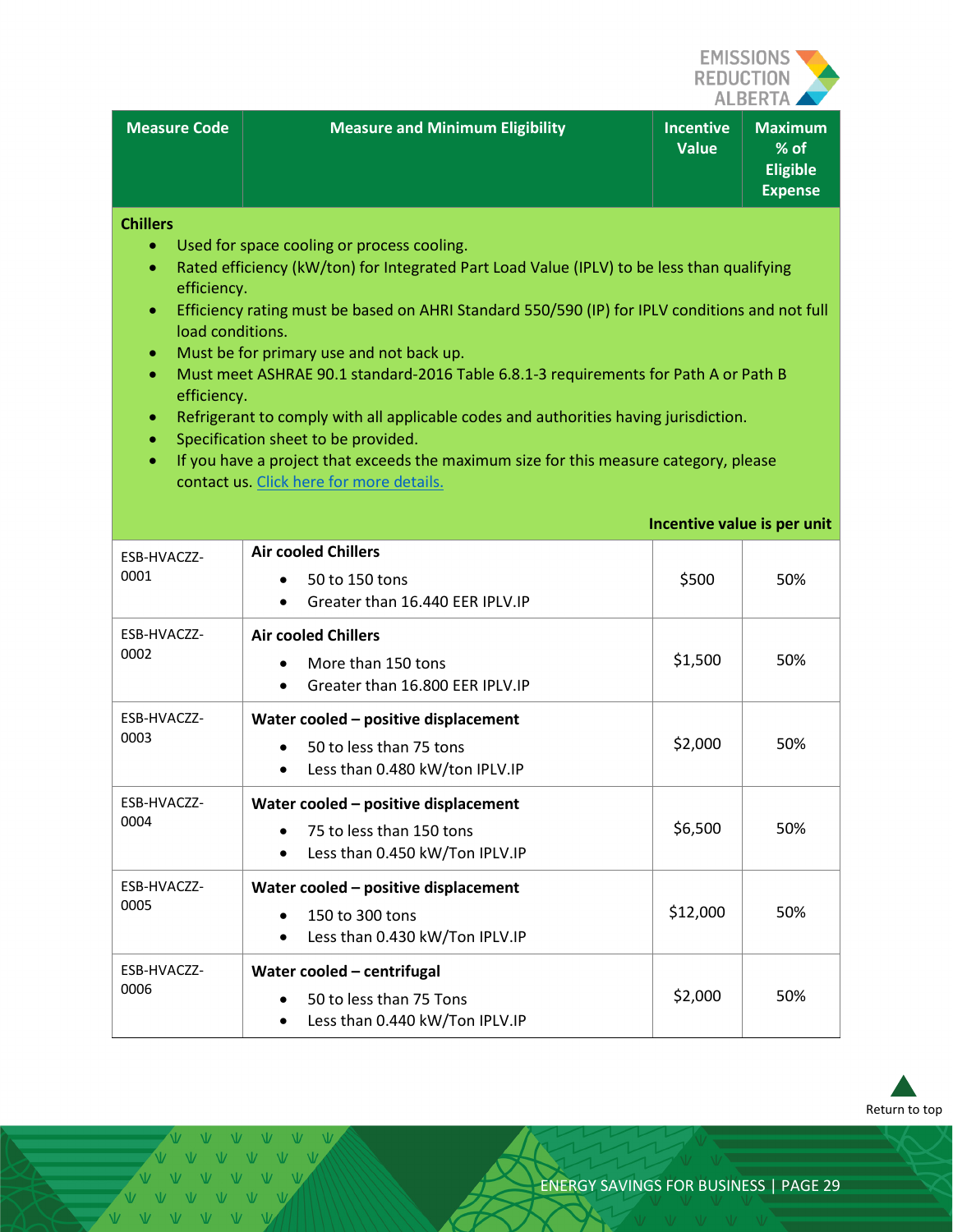

**Incentive value is per unit**

| <b>Measure Code</b> ا | <b>Measure and Minimum Eligibility</b> | <b>Incentive</b><br><b>Value</b> | <b>Maximum</b><br>$%$ of<br><b>Eligible</b><br><b>Expense</b> |
|-----------------------|----------------------------------------|----------------------------------|---------------------------------------------------------------|

**Chillers**

- Used for space cooling or process cooling.
- Rated efficiency (kW/ton) for Integrated Part Load Value (IPLV) to be less than qualifying efficiency.
- Efficiency rating must be based on AHRI Standard 550/590 (IP) for IPLV conditions and not full load conditions.
- Must be for primary use and not back up.
- Must meet ASHRAE 90.1 standard-2016 Table 6.8.1-3 requirements for Path A or Path B efficiency.
- Refrigerant to comply with all applicable codes and authorities having jurisdiction.
- Specification sheet to be provided.
- If you have a project that exceeds the maximum size for this measure category, please contact us. Click [here for more details.](#page-3-1)

| ESB-HVACZZ-<br>0001 | <b>Air cooled Chillers</b><br>50 to 150 tons<br>$\bullet$<br>Greater than 16.440 EER IPLV.IP<br>$\bullet$                    | \$500    | 50% |
|---------------------|------------------------------------------------------------------------------------------------------------------------------|----------|-----|
| ESB-HVACZZ-<br>0002 | <b>Air cooled Chillers</b><br>More than 150 tons<br>$\bullet$<br>Greater than 16,800 EER IPLV.IP<br>$\bullet$                | \$1,500  | 50% |
| ESB-HVACZZ-<br>0003 | Water cooled - positive displacement<br>50 to less than 75 tons<br>$\bullet$<br>Less than 0.480 kW/ton IPLV.IP<br>$\bullet$  | \$2,000  | 50% |
| ESB-HVACZZ-<br>0004 | Water cooled - positive displacement<br>75 to less than 150 tons<br>$\bullet$<br>Less than 0.450 kW/Ton IPLV.IP<br>$\bullet$ | \$6,500  | 50% |
| ESB-HVACZZ-<br>0005 | Water cooled - positive displacement<br>150 to 300 tons<br>$\bullet$<br>Less than 0.430 kW/Ton IPLV.IP<br>$\bullet$          | \$12,000 | 50% |
| ESB-HVACZZ-<br>0006 | Water cooled - centrifugal<br>50 to less than 75 Tons<br>$\bullet$<br>Less than 0.440 kW/Ton IPLV.IP<br>$\bullet$            | \$2,000  | 50% |



 $V - W - W$  $V = V - V$  $\sqrt{V}$   $\sqrt{V}$   $\sqrt{V}$   $\sqrt{V}$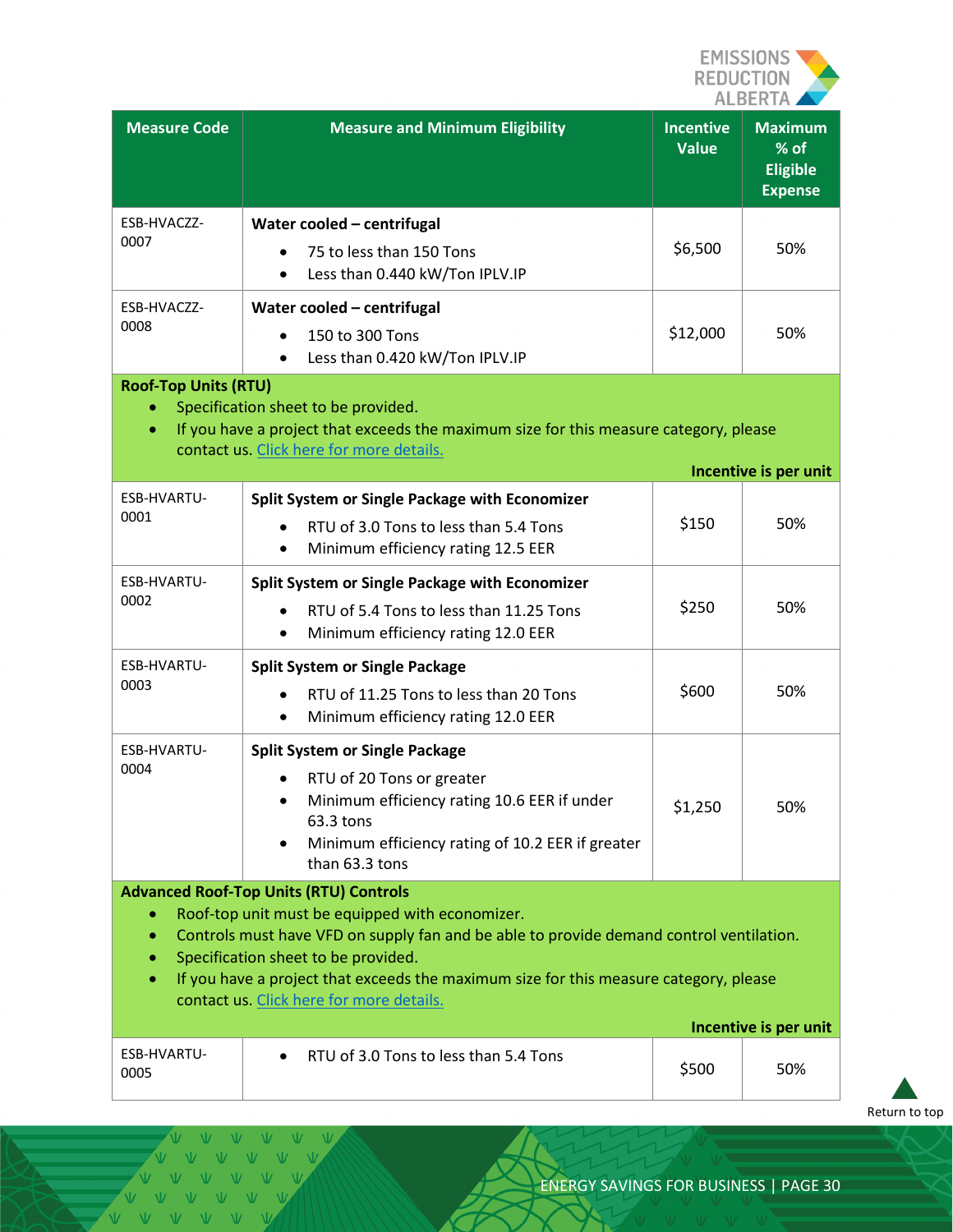

| <b>Measure Code</b>                                                                                                                                                                                                                                                                                                                                                                                         | <b>Measure and Minimum Eligibility</b>                                                                                                                                                               | <b>Incentive</b><br><b>Value</b> | <b>Maximum</b><br>% of<br><b>Eligible</b><br><b>Expense</b> |
|-------------------------------------------------------------------------------------------------------------------------------------------------------------------------------------------------------------------------------------------------------------------------------------------------------------------------------------------------------------------------------------------------------------|------------------------------------------------------------------------------------------------------------------------------------------------------------------------------------------------------|----------------------------------|-------------------------------------------------------------|
| ESB-HVACZZ-<br>0007                                                                                                                                                                                                                                                                                                                                                                                         | Water cooled - centrifugal<br>75 to less than 150 Tons<br>Less than 0.440 kW/Ton IPLV.IP<br>$\bullet$                                                                                                | \$6,500                          | 50%                                                         |
| ESB-HVACZZ-<br>0008                                                                                                                                                                                                                                                                                                                                                                                         | Water cooled - centrifugal<br>150 to 300 Tons<br>Less than 0.420 kW/Ton IPLV.IP<br>$\bullet$                                                                                                         | \$12,000                         | 50%                                                         |
| <b>Roof-Top Units (RTU)</b><br>$\bullet$                                                                                                                                                                                                                                                                                                                                                                    | Specification sheet to be provided.<br>If you have a project that exceeds the maximum size for this measure category, please<br>contact us. Click here for more details.                             |                                  | Incentive is per unit                                       |
| ESB-HVARTU-                                                                                                                                                                                                                                                                                                                                                                                                 | Split System or Single Package with Economizer                                                                                                                                                       |                                  |                                                             |
| 0001                                                                                                                                                                                                                                                                                                                                                                                                        | RTU of 3.0 Tons to less than 5.4 Tons<br>Minimum efficiency rating 12.5 EER<br>$\bullet$                                                                                                             | \$150                            | 50%                                                         |
| ESB-HVARTU-                                                                                                                                                                                                                                                                                                                                                                                                 | Split System or Single Package with Economizer                                                                                                                                                       |                                  |                                                             |
| 0002                                                                                                                                                                                                                                                                                                                                                                                                        | RTU of 5.4 Tons to less than 11.25 Tons<br>Minimum efficiency rating 12.0 EER<br>$\bullet$                                                                                                           | \$250                            | 50%                                                         |
| ESB-HVARTU-                                                                                                                                                                                                                                                                                                                                                                                                 | <b>Split System or Single Package</b>                                                                                                                                                                |                                  |                                                             |
| 0003                                                                                                                                                                                                                                                                                                                                                                                                        | RTU of 11.25 Tons to less than 20 Tons<br>Minimum efficiency rating 12.0 EER<br>$\bullet$                                                                                                            | \$600                            | 50%                                                         |
| ESB-HVARTU-<br>0004                                                                                                                                                                                                                                                                                                                                                                                         | <b>Split System or Single Package</b><br>RTU of 20 Tons or greater<br>Minimum efficiency rating 10.6 EER if under<br>63.3 tons<br>Minimum efficiency rating of 10.2 EER if greater<br>than 63.3 tons | \$1,250                          | 50%                                                         |
| <b>Advanced Roof-Top Units (RTU) Controls</b><br>Roof-top unit must be equipped with economizer.<br>۰<br>Controls must have VFD on supply fan and be able to provide demand control ventilation.<br>٠<br>Specification sheet to be provided.<br>$\bullet$<br>If you have a project that exceeds the maximum size for this measure category, please<br>$\bullet$<br>contact us. Click here for more details. |                                                                                                                                                                                                      |                                  |                                                             |
|                                                                                                                                                                                                                                                                                                                                                                                                             |                                                                                                                                                                                                      |                                  | Incentive is per unit                                       |
| ESB-HVARTU-<br>0005                                                                                                                                                                                                                                                                                                                                                                                         | RTU of 3.0 Tons to less than 5.4 Tons                                                                                                                                                                | \$500                            | 50%                                                         |

[Return to top](#page-0-0)

 $\begin{picture}(20,20) \put(0,0){\dashbox{0.5}(5,0){ }} \put(15,0){\dashbox{0.5}(5,0){ }} \put(15,0){\dashbox{0.5}(5,0){ }} \put(15,0){\dashbox{0.5}(5,0){ }} \put(15,0){\dashbox{0.5}(5,0){ }} \put(15,0){\dashbox{0.5}(5,0){ }} \put(15,0){\dashbox{0.5}(5,0){ }} \put(15,0){\dashbox{0.5}(5,0){ }} \put(15,0){\dashbox{0.5}(5,0){ }} \put(15,0){\dashbox{0.5}(5,0){ }}$  $V$   $V$  $\overline{M}$ VVVVVVV VVVVVV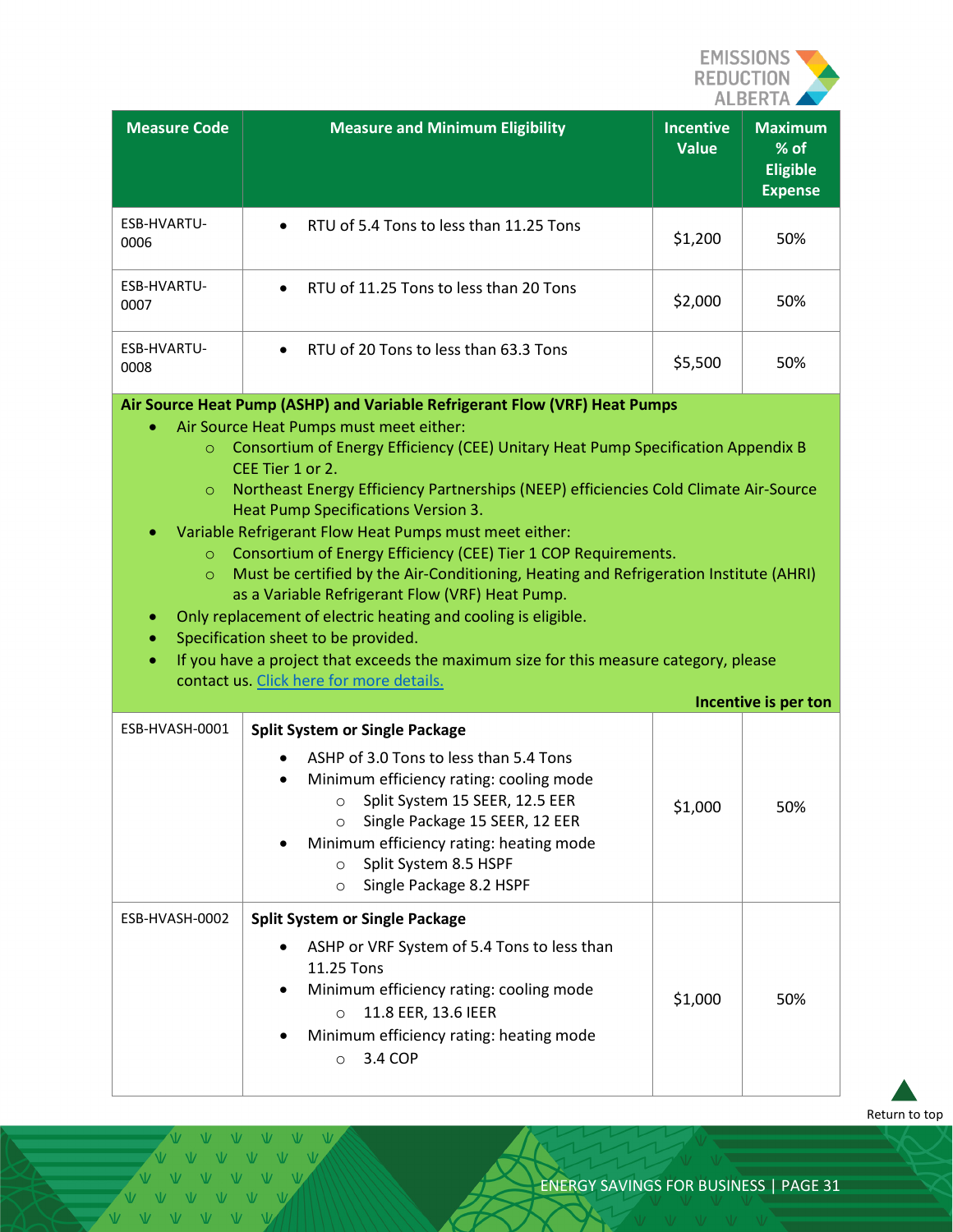

| <b>Measure Code</b>                                                                                                                                                                                                                                                                                                                                                                                                                                                                                                                                                                                                                                             | <b>Measure and Minimum Eligibility</b>                                                                                                                                                                                                                                                                                     | <b>Incentive</b><br><b>Value</b> | <b>Maximum</b><br>% of<br><b>Eligible</b><br><b>Expense</b> |
|-----------------------------------------------------------------------------------------------------------------------------------------------------------------------------------------------------------------------------------------------------------------------------------------------------------------------------------------------------------------------------------------------------------------------------------------------------------------------------------------------------------------------------------------------------------------------------------------------------------------------------------------------------------------|----------------------------------------------------------------------------------------------------------------------------------------------------------------------------------------------------------------------------------------------------------------------------------------------------------------------------|----------------------------------|-------------------------------------------------------------|
| ESB-HVARTU-<br>0006                                                                                                                                                                                                                                                                                                                                                                                                                                                                                                                                                                                                                                             | RTU of 5.4 Tons to less than 11.25 Tons                                                                                                                                                                                                                                                                                    | \$1,200                          | 50%                                                         |
| ESB-HVARTU-<br>0007                                                                                                                                                                                                                                                                                                                                                                                                                                                                                                                                                                                                                                             | RTU of 11.25 Tons to less than 20 Tons                                                                                                                                                                                                                                                                                     | \$2,000                          | 50%                                                         |
| ESB-HVARTU-<br>0008                                                                                                                                                                                                                                                                                                                                                                                                                                                                                                                                                                                                                                             | RTU of 20 Tons to less than 63.3 Tons<br>$\bullet$                                                                                                                                                                                                                                                                         | \$5,500                          | 50%                                                         |
| Consortium of Energy Efficiency (CEE) Unitary Heat Pump Specification Appendix B<br>$\circ$<br>CEE Tier 1 or 2.<br>Northeast Energy Efficiency Partnerships (NEEP) efficiencies Cold Climate Air-Source<br>$\circ$<br>Heat Pump Specifications Version 3.<br>Variable Refrigerant Flow Heat Pumps must meet either:<br>Consortium of Energy Efficiency (CEE) Tier 1 COP Requirements.<br>$\circ$<br>Must be certified by the Air-Conditioning, Heating and Refrigeration Institute (AHRI)<br>$\circ$<br>as a Variable Refrigerant Flow (VRF) Heat Pump.<br>Only replacement of electric heating and cooling is eligible.<br>Specification sheet to be provided. |                                                                                                                                                                                                                                                                                                                            |                                  |                                                             |
|                                                                                                                                                                                                                                                                                                                                                                                                                                                                                                                                                                                                                                                                 | If you have a project that exceeds the maximum size for this measure category, please<br>contact us. Click here for more details.                                                                                                                                                                                          |                                  | Incentive is per ton                                        |
| ESB-HVASH-0001                                                                                                                                                                                                                                                                                                                                                                                                                                                                                                                                                                                                                                                  | <b>Split System or Single Package</b><br>ASHP of 3.0 Tons to less than 5.4 Tons<br>Minimum efficiency rating: cooling mode<br>○ Split System 15 SEER, 12.5 EER<br>Single Package 15 SEER, 12 EER<br>$\circ$<br>Minimum efficiency rating: heating mode<br>Split System 8.5 HSPF<br>$\circ$<br>Single Package 8.2 HSPF<br>O | \$1,000                          | 50%                                                         |
| ESB-HVASH-0002                                                                                                                                                                                                                                                                                                                                                                                                                                                                                                                                                                                                                                                  | <b>Split System or Single Package</b><br>ASHP or VRF System of 5.4 Tons to less than<br>11.25 Tons<br>Minimum efficiency rating: cooling mode<br>11.8 EER, 13.6 IEER<br>$\circ$<br>Minimum efficiency rating: heating mode<br>3.4 COP<br>$\circ$                                                                           | \$1,000                          | 50%                                                         |

[Return to top](#page-0-0)

Ŵ. VVVVVV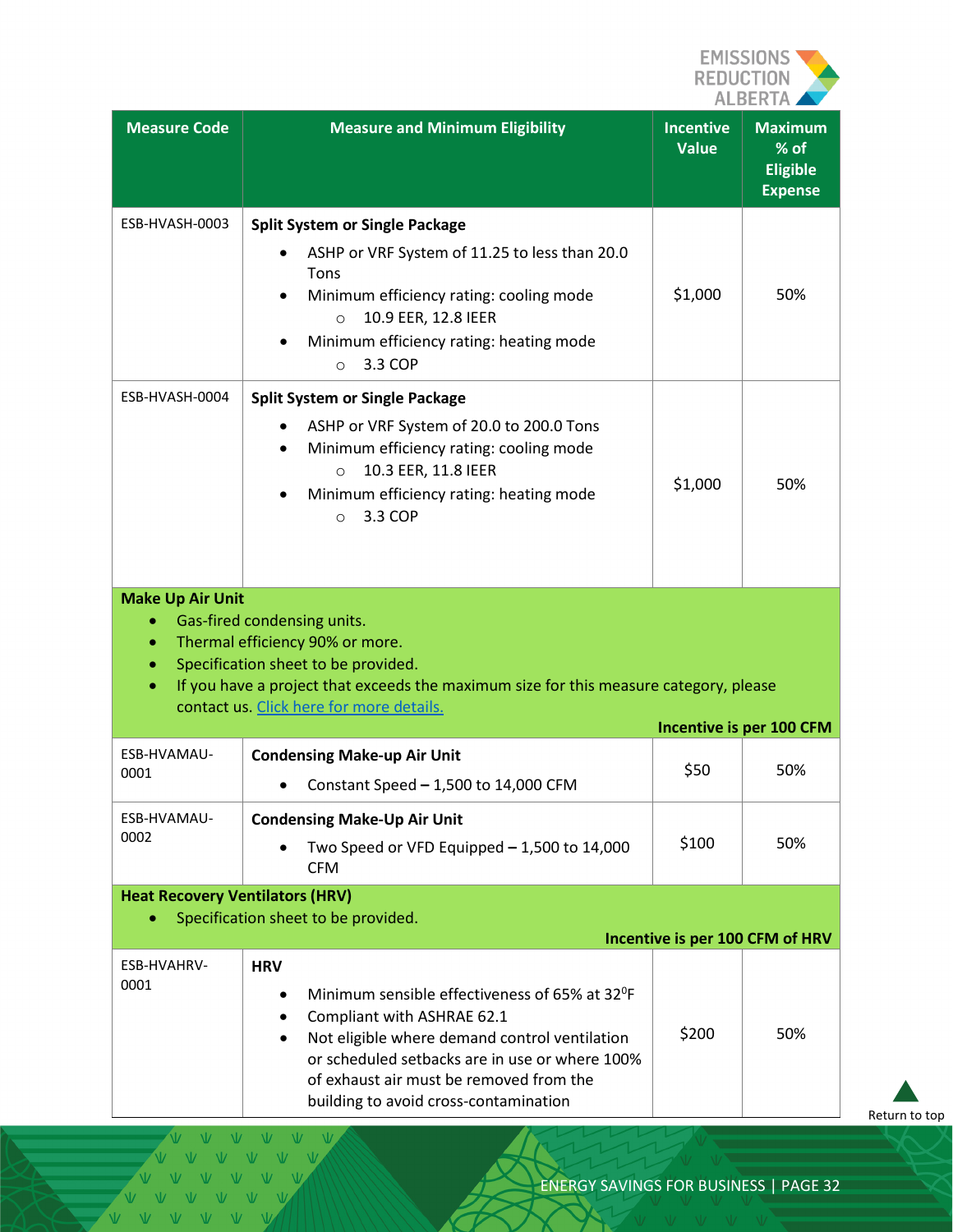

| <b>Measure Code</b>                    | <b>Measure and Minimum Eligibility</b>                                                                                                                                                                                                                                                        | <b>Incentive</b><br><b>Value</b> | <b>Maximum</b><br>% of<br><b>Eligible</b><br><b>Expense</b> |
|----------------------------------------|-----------------------------------------------------------------------------------------------------------------------------------------------------------------------------------------------------------------------------------------------------------------------------------------------|----------------------------------|-------------------------------------------------------------|
| ESB-HVASH-0003                         | <b>Split System or Single Package</b><br>ASHP or VRF System of 11.25 to less than 20.0<br>Tons<br>Minimum efficiency rating: cooling mode<br>10.9 EER, 12.8 IEER<br>$\circ$<br>Minimum efficiency rating: heating mode<br>3.3 COP<br>$\circ$                                                  | \$1,000                          | 50%                                                         |
| ESB-HVASH-0004                         | <b>Split System or Single Package</b><br>ASHP or VRF System of 20.0 to 200.0 Tons<br>Minimum efficiency rating: cooling mode<br>10.3 EER, 11.8 IEER<br>$\circ$<br>Minimum efficiency rating: heating mode<br>3.3 COP<br>$\circ$                                                               | \$1,000                          | 50%                                                         |
| <b>Make Up Air Unit</b><br>۰           | Gas-fired condensing units.<br>Thermal efficiency 90% or more.<br>Specification sheet to be provided.<br>If you have a project that exceeds the maximum size for this measure category, please<br>contact us. Click here for more details.                                                    |                                  |                                                             |
| ESB-HVAMAU-                            |                                                                                                                                                                                                                                                                                               |                                  | Incentive is per 100 CFM                                    |
| 0001                                   | <b>Condensing Make-up Air Unit</b><br>Constant Speed $-1,500$ to 14,000 CFM                                                                                                                                                                                                                   | \$50                             | 50%                                                         |
| ESB-HVAMAU-<br>0002                    | <b>Condensing Make-Up Air Unit</b><br>Two Speed or VFD Equipped - 1,500 to 14,000<br><b>CFM</b>                                                                                                                                                                                               | \$100                            | 50%                                                         |
| <b>Heat Recovery Ventilators (HRV)</b> | Specification sheet to be provided.                                                                                                                                                                                                                                                           |                                  |                                                             |
|                                        |                                                                                                                                                                                                                                                                                               |                                  | Incentive is per 100 CFM of HRV                             |
| ESB-HVAHRV-<br>0001                    | <b>HRV</b><br>Minimum sensible effectiveness of 65% at 32 <sup>o</sup> F<br>Compliant with ASHRAE 62.1<br>Not eligible where demand control ventilation<br>or scheduled setbacks are in use or where 100%<br>of exhaust air must be removed from the<br>building to avoid cross-contamination | \$200                            | 50%                                                         |

Ŵ. VVVVVV

[Return to top](#page-0-0)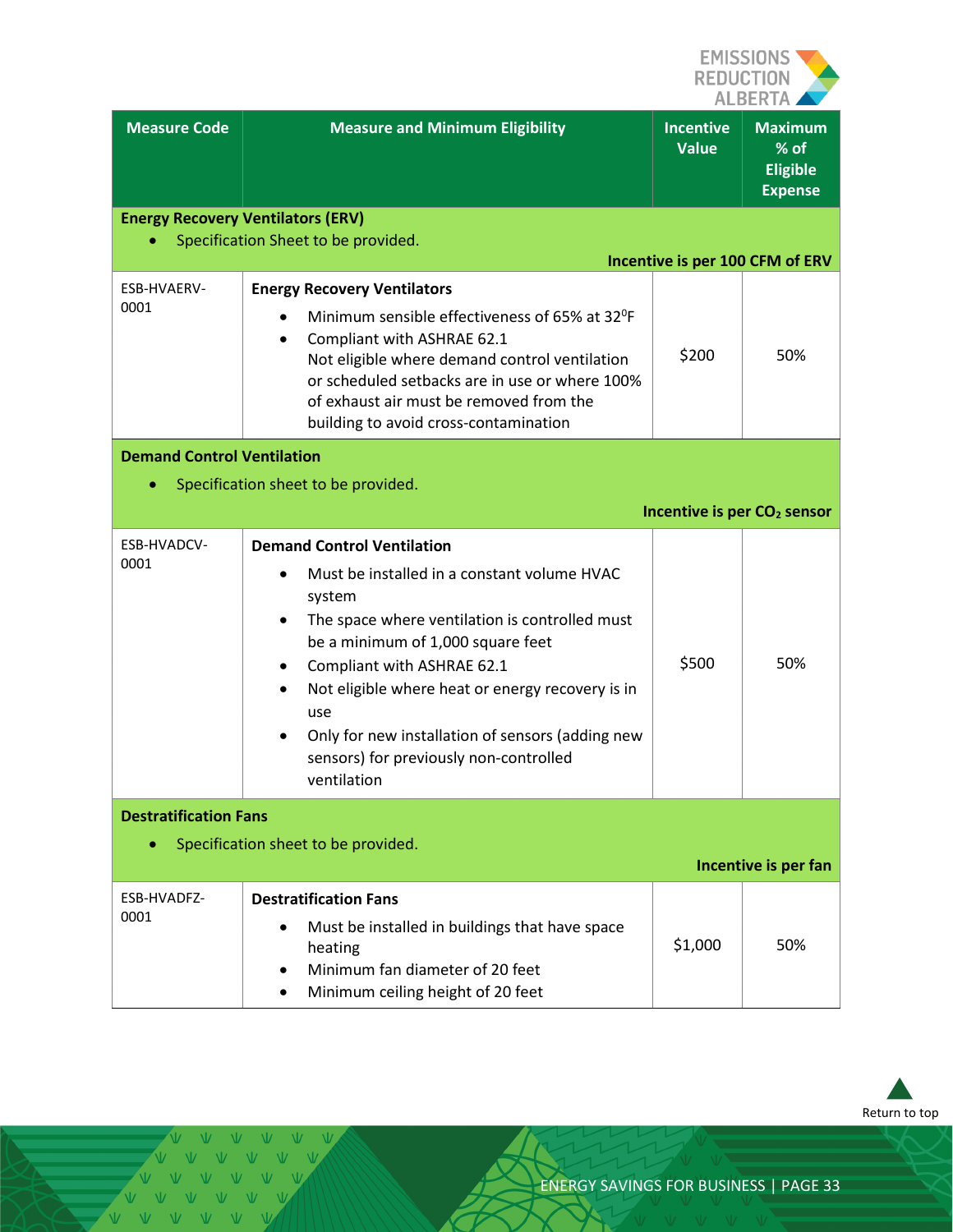

| <b>Measure Code</b>                      | <b>Measure and Minimum Eligibility</b>                                                                                                                                                                                                                                                                                                                                                                    | <b>Incentive</b><br><b>Value</b> | <b>Maximum</b><br>% of<br><b>Eligible</b><br><b>Expense</b> |
|------------------------------------------|-----------------------------------------------------------------------------------------------------------------------------------------------------------------------------------------------------------------------------------------------------------------------------------------------------------------------------------------------------------------------------------------------------------|----------------------------------|-------------------------------------------------------------|
| <b>Energy Recovery Ventilators (ERV)</b> | Specification Sheet to be provided.                                                                                                                                                                                                                                                                                                                                                                       |                                  |                                                             |
|                                          |                                                                                                                                                                                                                                                                                                                                                                                                           |                                  | Incentive is per 100 CFM of ERV                             |
| <b>ESB-HVAERV-</b><br>0001               | <b>Energy Recovery Ventilators</b><br>Minimum sensible effectiveness of 65% at 32 <sup>o</sup> F<br>Compliant with ASHRAE 62.1<br>Not eligible where demand control ventilation<br>or scheduled setbacks are in use or where 100%<br>of exhaust air must be removed from the<br>building to avoid cross-contamination                                                                                     | \$200                            | 50%                                                         |
| <b>Demand Control Ventilation</b>        | Specification sheet to be provided.                                                                                                                                                                                                                                                                                                                                                                       |                                  |                                                             |
|                                          |                                                                                                                                                                                                                                                                                                                                                                                                           |                                  | Incentive is per CO <sub>2</sub> sensor                     |
| ESB-HVADCV-<br>0001                      | <b>Demand Control Ventilation</b><br>Must be installed in a constant volume HVAC<br>system<br>The space where ventilation is controlled must<br>٠<br>be a minimum of 1,000 square feet<br>Compliant with ASHRAE 62.1<br>Not eligible where heat or energy recovery is in<br>use<br>Only for new installation of sensors (adding new<br>$\bullet$<br>sensors) for previously non-controlled<br>ventilation | \$500                            | 50%                                                         |
| <b>Destratification Fans</b>             |                                                                                                                                                                                                                                                                                                                                                                                                           |                                  |                                                             |
|                                          | Specification sheet to be provided.                                                                                                                                                                                                                                                                                                                                                                       |                                  | Incentive is per fan                                        |
| ESB-HVADFZ-<br>0001                      | <b>Destratification Fans</b><br>Must be installed in buildings that have space<br>heating<br>Minimum fan diameter of 20 feet<br>Minimum ceiling height of 20 feet                                                                                                                                                                                                                                         | \$1,000                          | 50%                                                         |



 $\mathbbmss{W}^ \mathbf{V}$  $\overline{M}$ VVVVVV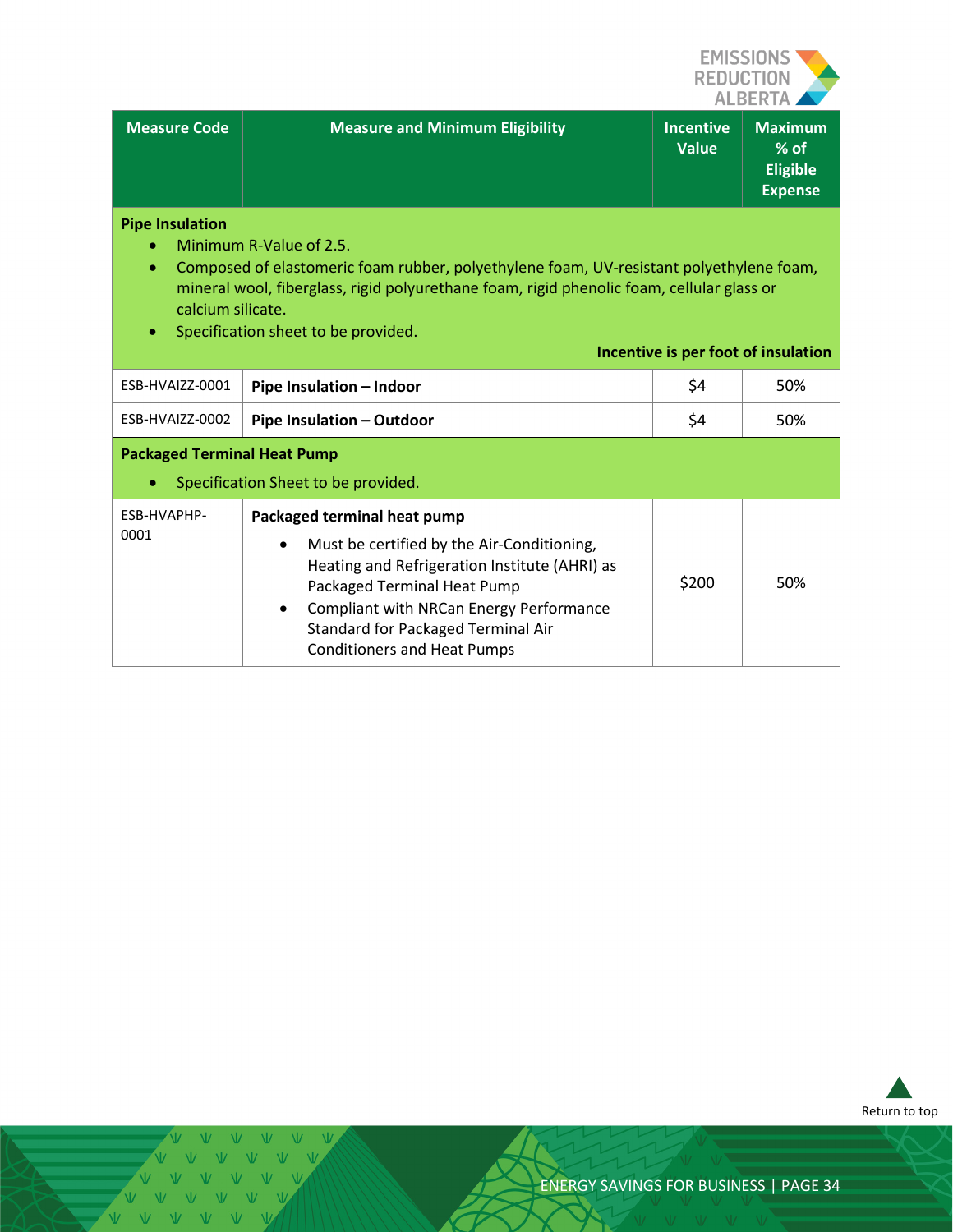

| Measure Code                                     | <b>Measure and Minimum Eligibility</b>                                                                                                                                                                          | <b>Incentive</b><br><b>Value</b> | <b>Maximum</b><br>$%$ of<br><b>Eligible</b><br><b>Expense</b> |
|--------------------------------------------------|-----------------------------------------------------------------------------------------------------------------------------------------------------------------------------------------------------------------|----------------------------------|---------------------------------------------------------------|
| <b>Pipe Insulation</b><br>۰<br>calcium silicate. | Minimum R-Value of 2.5.<br>Composed of elastomeric foam rubber, polyethylene foam, UV-resistant polyethylene foam,<br>mineral wool, fiberglass, rigid polyurethane foam, rigid phenolic foam, cellular glass or |                                  |                                                               |

• Specification sheet to be provided.

|                                                                                |                                                                                                                                                                                                                                                                                                            |       | Incentive is per foot of insulation |
|--------------------------------------------------------------------------------|------------------------------------------------------------------------------------------------------------------------------------------------------------------------------------------------------------------------------------------------------------------------------------------------------------|-------|-------------------------------------|
| ESB-HVAIZZ-0001                                                                | Pipe Insulation - Indoor                                                                                                                                                                                                                                                                                   | \$4   | 50%                                 |
| ESB-HVAIZZ-0002                                                                | Pipe Insulation - Outdoor                                                                                                                                                                                                                                                                                  | \$4   | 50%                                 |
| <b>Packaged Terminal Heat Pump</b><br>Specification Sheet to be provided.<br>۰ |                                                                                                                                                                                                                                                                                                            |       |                                     |
| ESB-HVAPHP-<br>0001                                                            | Packaged terminal heat pump<br>Must be certified by the Air-Conditioning,<br>$\bullet$<br>Heating and Refrigeration Institute (AHRI) as<br>Packaged Terminal Heat Pump<br>Compliant with NRCan Energy Performance<br>$\bullet$<br>Standard for Packaged Terminal Air<br><b>Conditioners and Heat Pumps</b> | \$200 | 50%                                 |



 $V$   $V$ V V V V V V V V V VVVVVVV V V V V V V VVVVVVV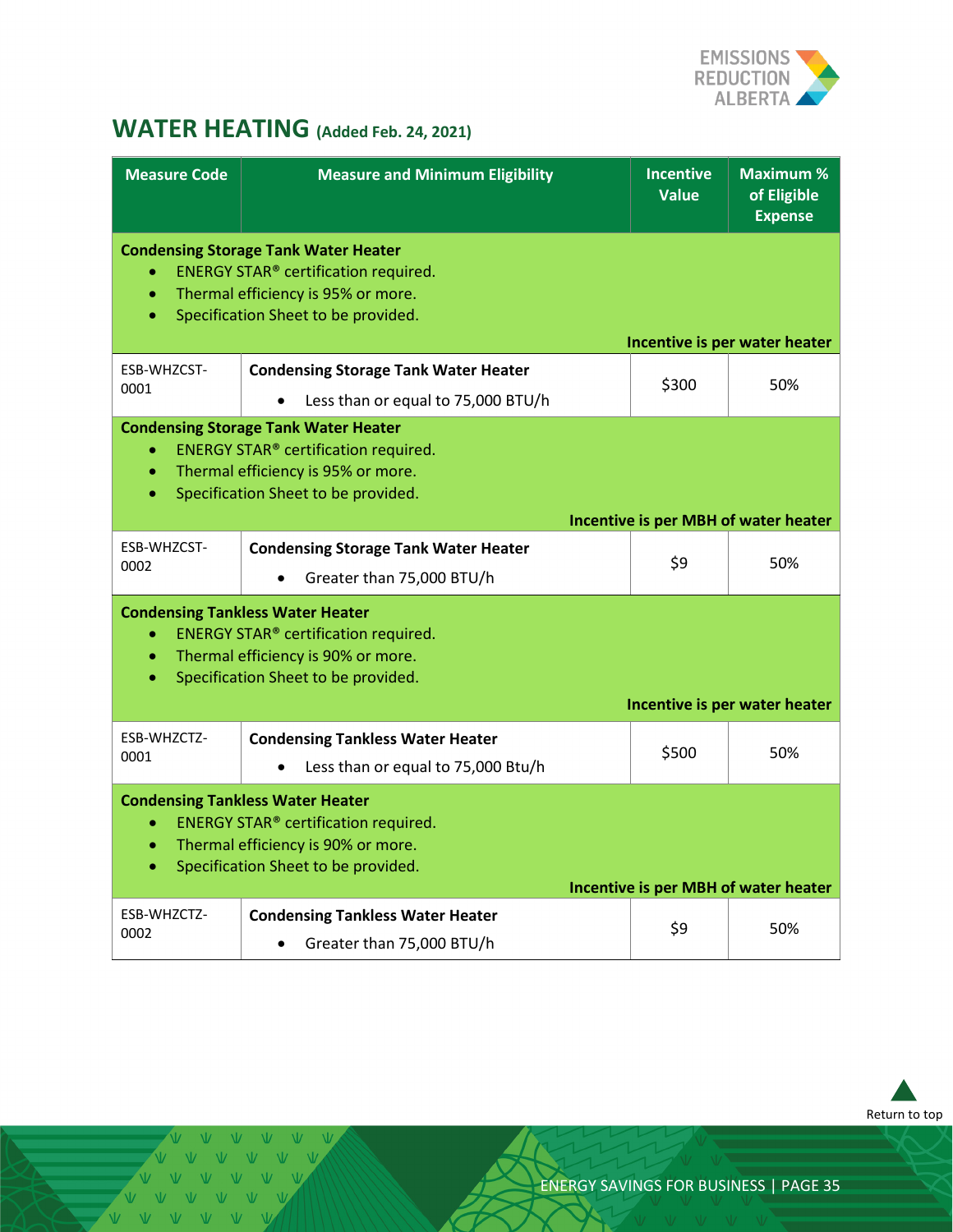

# <span id="page-34-0"></span>**WATER HEATING (Added Feb. 24, 2021)**

| <b>Measure Code</b>                 | <b>Measure and Minimum Eligibility</b>                                                                                                                                  | <b>Incentive</b><br><b>Value</b> | <b>Maximum %</b><br>of Eligible<br><b>Expense</b> |
|-------------------------------------|-------------------------------------------------------------------------------------------------------------------------------------------------------------------------|----------------------------------|---------------------------------------------------|
|                                     | <b>Condensing Storage Tank Water Heater</b><br>ENERGY STAR® certification required.<br>Thermal efficiency is 95% or more.<br>Specification Sheet to be provided.        |                                  | Incentive is per water heater                     |
| ESB-WHZCST-                         | <b>Condensing Storage Tank Water Heater</b>                                                                                                                             |                                  |                                                   |
| 0001                                | Less than or equal to 75,000 BTU/h                                                                                                                                      | \$300                            | 50%                                               |
| $\bullet$<br>$\bullet$<br>$\bullet$ | <b>Condensing Storage Tank Water Heater</b><br><b>ENERGY STAR®</b> certification required.<br>Thermal efficiency is 95% or more.<br>Specification Sheet to be provided. |                                  |                                                   |
|                                     |                                                                                                                                                                         |                                  | <b>Incentive is per MBH of water heater</b>       |
| ESB-WHZCST-<br>0002                 | <b>Condensing Storage Tank Water Heater</b><br>Greater than 75,000 BTU/h                                                                                                | \$9                              | 50%                                               |
| $\bullet$<br>$\bullet$<br>$\bullet$ | <b>Condensing Tankless Water Heater</b><br><b>ENERGY STAR®</b> certification required.<br>Thermal efficiency is 90% or more.<br>Specification Sheet to be provided.     |                                  |                                                   |
|                                     |                                                                                                                                                                         |                                  | Incentive is per water heater                     |
| ESB-WHZCTZ-<br>0001                 | <b>Condensing Tankless Water Heater</b><br>Less than or equal to 75,000 Btu/h                                                                                           | \$500                            | 50%                                               |
| $\bullet$<br>۰<br>۰                 | <b>Condensing Tankless Water Heater</b><br><b>ENERGY STAR®</b> certification required.<br>Thermal efficiency is 90% or more.<br>Specification Sheet to be provided.     |                                  | <b>Incentive is per MBH of water heater</b>       |
| ESB-WHZCTZ-<br>0002                 | <b>Condensing Tankless Water Heater</b><br>Greater than 75,000 BTU/h                                                                                                    | \$9                              | 50%                                               |



VVVVV V V V V VVVVVV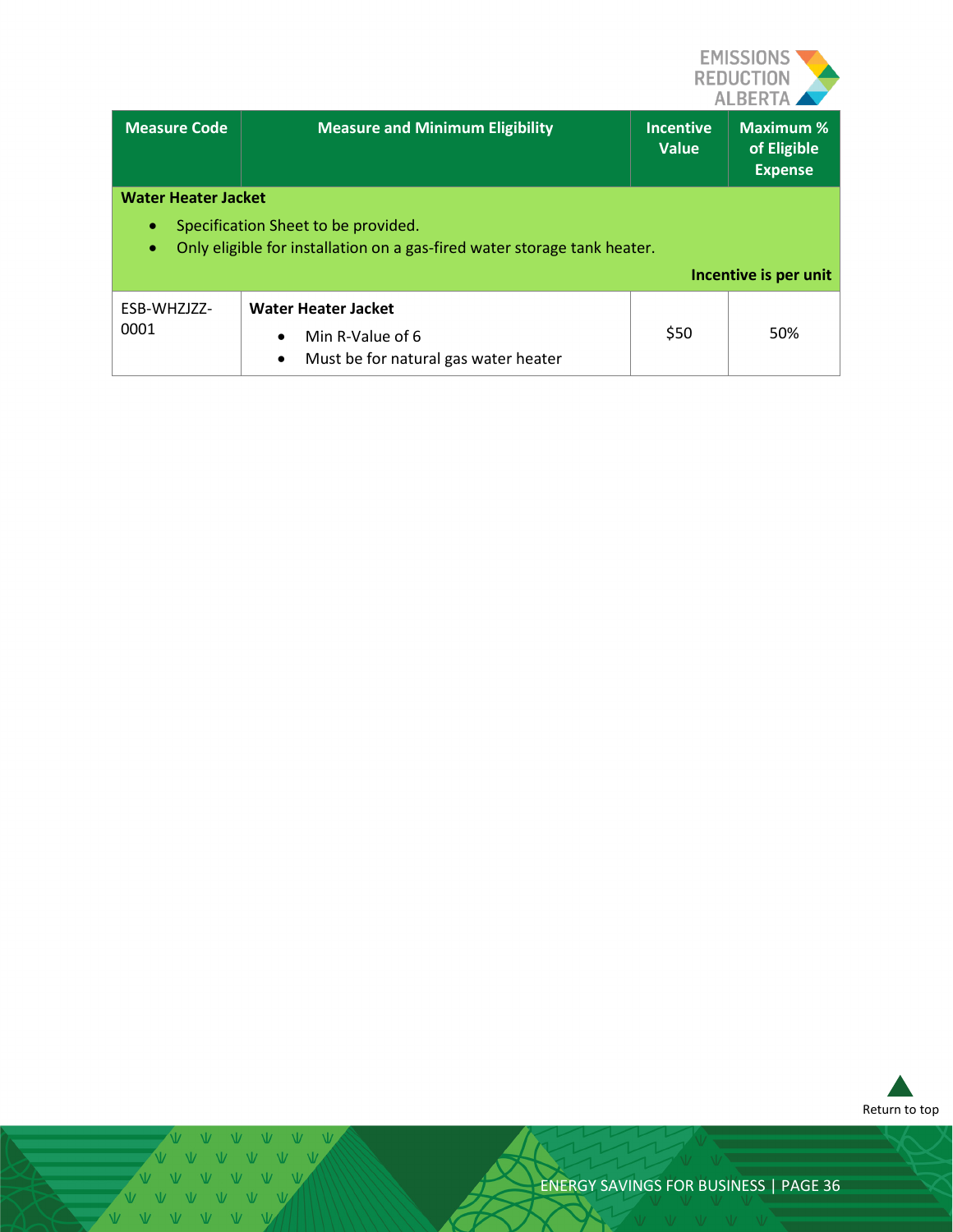

| <b>Measure Code</b>                              | <b>Measure and Minimum Eligibility</b>                                   | <b>Incentive</b><br><b>Value</b> | <b>Maximum %</b><br>of Eligible<br><b>Expense</b> |  |  |
|--------------------------------------------------|--------------------------------------------------------------------------|----------------------------------|---------------------------------------------------|--|--|
|                                                  | <b>Water Heater Jacket</b>                                               |                                  |                                                   |  |  |
| Specification Sheet to be provided.<br>$\bullet$ |                                                                          |                                  |                                                   |  |  |
| $\bullet$                                        | Only eligible for installation on a gas-fired water storage tank heater. |                                  |                                                   |  |  |
|                                                  |                                                                          |                                  | Incentive is per unit                             |  |  |
| ESB-WHZJZZ-                                      | <b>Water Heater Jacket</b>                                               |                                  |                                                   |  |  |
| 0001                                             | Min R-Value of 6<br>$\bullet$                                            | \$50                             | 50%                                               |  |  |
|                                                  | Must be for natural gas water heater<br>$\bullet$                        |                                  |                                                   |  |  |



 $V - V - V$  $\overline{M}$  $N$ V V V V V V V V V V V V VVVVVVV VVVVVV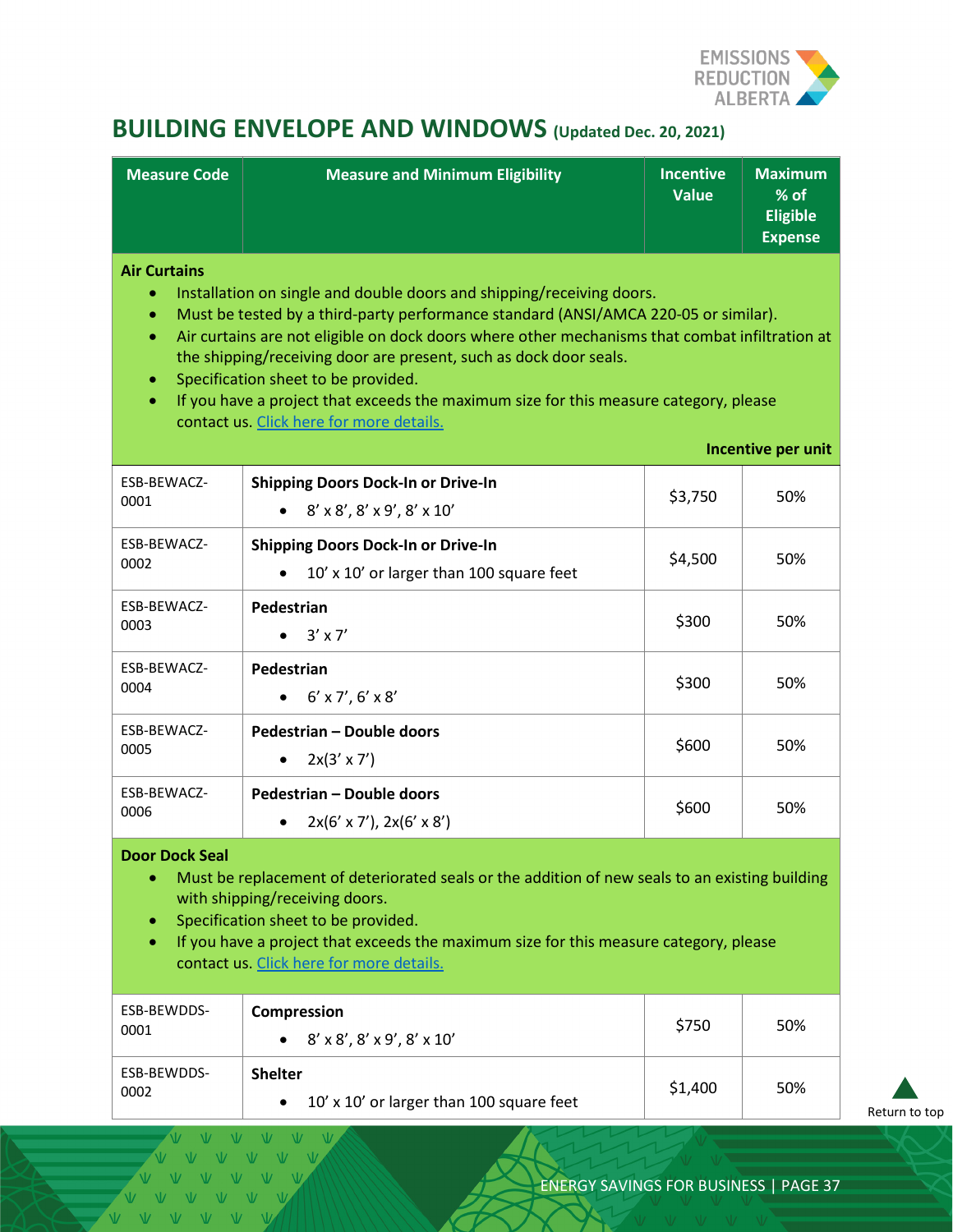

# <span id="page-36-0"></span>**BUILDING ENVELOPE AND WINDOWS (Updated Dec. 20, 2021)**

| <b>Measure Code</b>                                                                                                                                                                                                                                                                                                                                                                                                                                                                                                                                                                                      | <b>Measure and Minimum Eligibility</b>                                                         | <b>Incentive</b><br><b>Value</b> | <b>Maximum</b><br>% of<br><b>Eligible</b><br><b>Expense</b> |  |
|----------------------------------------------------------------------------------------------------------------------------------------------------------------------------------------------------------------------------------------------------------------------------------------------------------------------------------------------------------------------------------------------------------------------------------------------------------------------------------------------------------------------------------------------------------------------------------------------------------|------------------------------------------------------------------------------------------------|----------------------------------|-------------------------------------------------------------|--|
| <b>Air Curtains</b><br>Installation on single and double doors and shipping/receiving doors.<br>Must be tested by a third-party performance standard (ANSI/AMCA 220-05 or similar).<br>$\bullet$<br>Air curtains are not eligible on dock doors where other mechanisms that combat infiltration at<br>$\bullet$<br>the shipping/receiving door are present, such as dock door seals.<br>Specification sheet to be provided.<br>۰<br>If you have a project that exceeds the maximum size for this measure category, please<br>$\bullet$<br>contact us. Click here for more details.<br>Incentive per unit |                                                                                                |                                  |                                                             |  |
| ESB-BEWACZ-<br>0001                                                                                                                                                                                                                                                                                                                                                                                                                                                                                                                                                                                      | <b>Shipping Doors Dock-In or Drive-In</b><br>$8' \times 8'$ , $8' \times 9'$ , $8' \times 10'$ | \$3,750                          | 50%                                                         |  |
| ESB-BEWACZ-<br>0002                                                                                                                                                                                                                                                                                                                                                                                                                                                                                                                                                                                      | <b>Shipping Doors Dock-In or Drive-In</b><br>10' x 10' or larger than 100 square feet          | \$4,500                          | 50%                                                         |  |
| ESB-BEWACZ-<br>0003                                                                                                                                                                                                                                                                                                                                                                                                                                                                                                                                                                                      | Pedestrian<br>$3' \times 7'$                                                                   | \$300                            | 50%                                                         |  |
| ESB-BEWACZ-<br>0004                                                                                                                                                                                                                                                                                                                                                                                                                                                                                                                                                                                      | Pedestrian<br>$6' \times 7'$ , $6' \times 8'$                                                  | \$300                            | 50%                                                         |  |
| ESB-BEWACZ-<br>0005                                                                                                                                                                                                                                                                                                                                                                                                                                                                                                                                                                                      | Pedestrian - Double doors<br>$2x(3' \times 7')$                                                | \$600                            | 50%                                                         |  |
| ESB-BEWACZ-<br>0006                                                                                                                                                                                                                                                                                                                                                                                                                                                                                                                                                                                      | Pedestrian - Double doors<br>$2x(6' \times 7')$ , $2x(6' \times 8')$                           | \$600                            | 50%                                                         |  |
| <b>Door Dock Seal</b><br>Must be replacement of deteriorated seals or the addition of new seals to an existing building<br>۰<br>with shipping/receiving doors.<br>Specification sheet to be provided.<br>۰<br>If you have a project that exceeds the maximum size for this measure category, please<br>۰<br>contact us. Click here for more details.                                                                                                                                                                                                                                                     |                                                                                                |                                  |                                                             |  |
| ESB-BEWDDS-<br>0001                                                                                                                                                                                                                                                                                                                                                                                                                                                                                                                                                                                      | Compression<br>$8' \times 8'$ , $8' \times 9'$ , $8' \times 10'$                               | \$750                            | 50%                                                         |  |
| ESB-BEWDDS-<br>0002                                                                                                                                                                                                                                                                                                                                                                                                                                                                                                                                                                                      | <b>Shelter</b><br>10' x 10' or larger than 100 square feet                                     | \$1,400                          | 50%                                                         |  |

[Return to top](#page-0-0)

 $V - W$ VVVVV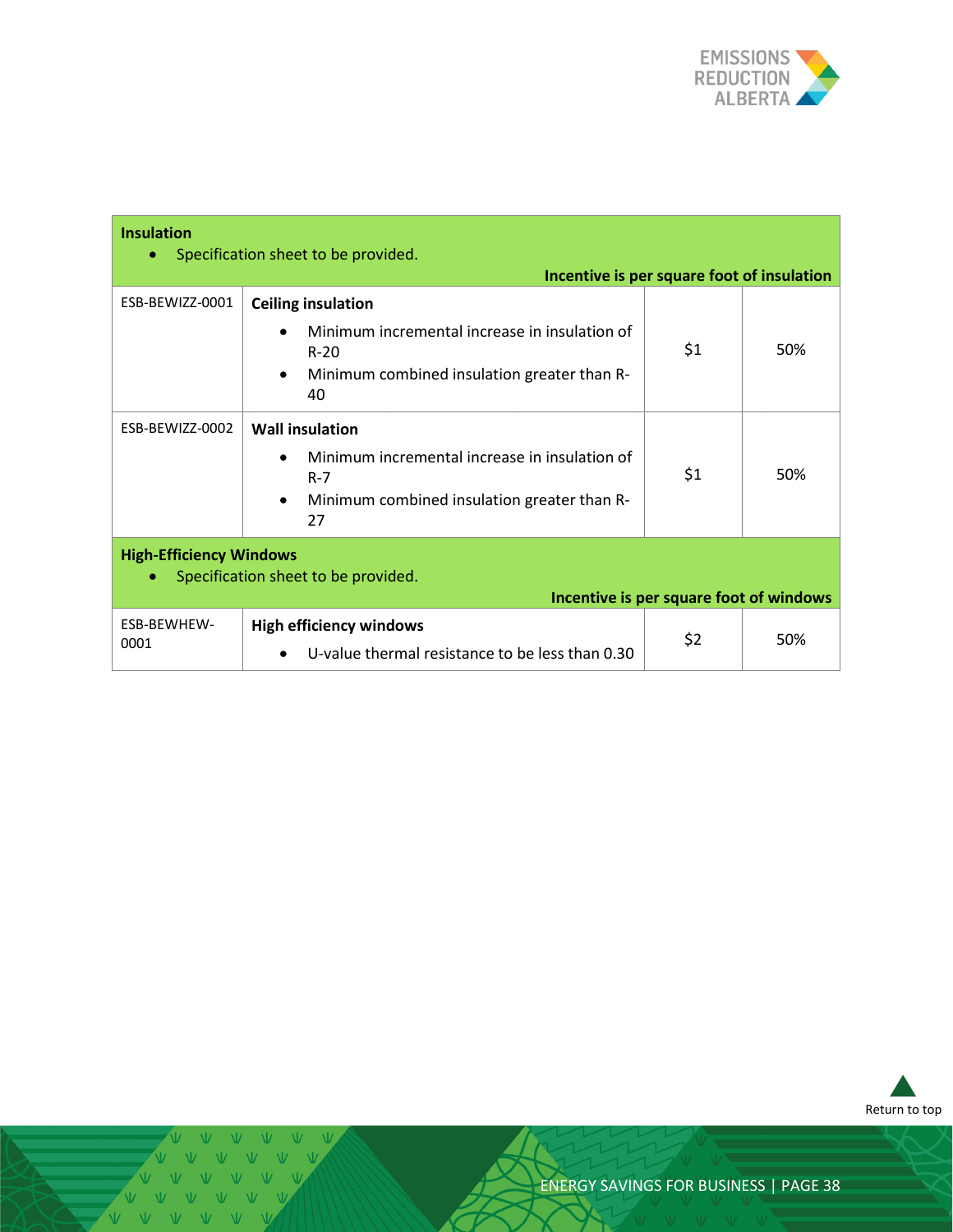

| <b>Insulation</b>                                                                                                | Specification sheet to be provided.<br>Incentive is per square foot of insulation                                                                      |     |     |
|------------------------------------------------------------------------------------------------------------------|--------------------------------------------------------------------------------------------------------------------------------------------------------|-----|-----|
| ESB-BEWIZZ-0001                                                                                                  | <b>Ceiling insulation</b><br>Minimum incremental increase in insulation of<br>$R-20$<br>Minimum combined insulation greater than R-<br>$\bullet$<br>40 | \$1 | 50% |
| ESB-BEWIZZ-0002                                                                                                  | <b>Wall insulation</b><br>Minimum incremental increase in insulation of<br>$R - 7$<br>Minimum combined insulation greater than R-<br>$\bullet$<br>27   | \$1 | 50% |
| <b>High-Efficiency Windows</b><br>Specification sheet to be provided.<br>Incentive is per square foot of windows |                                                                                                                                                        |     |     |
| ESB-BEWHEW-<br>0001                                                                                              | <b>High efficiency windows</b><br>U-value thermal resistance to be less than 0.30<br>$\bullet$                                                         | \$2 | 50% |



Ŵ. VVVVVV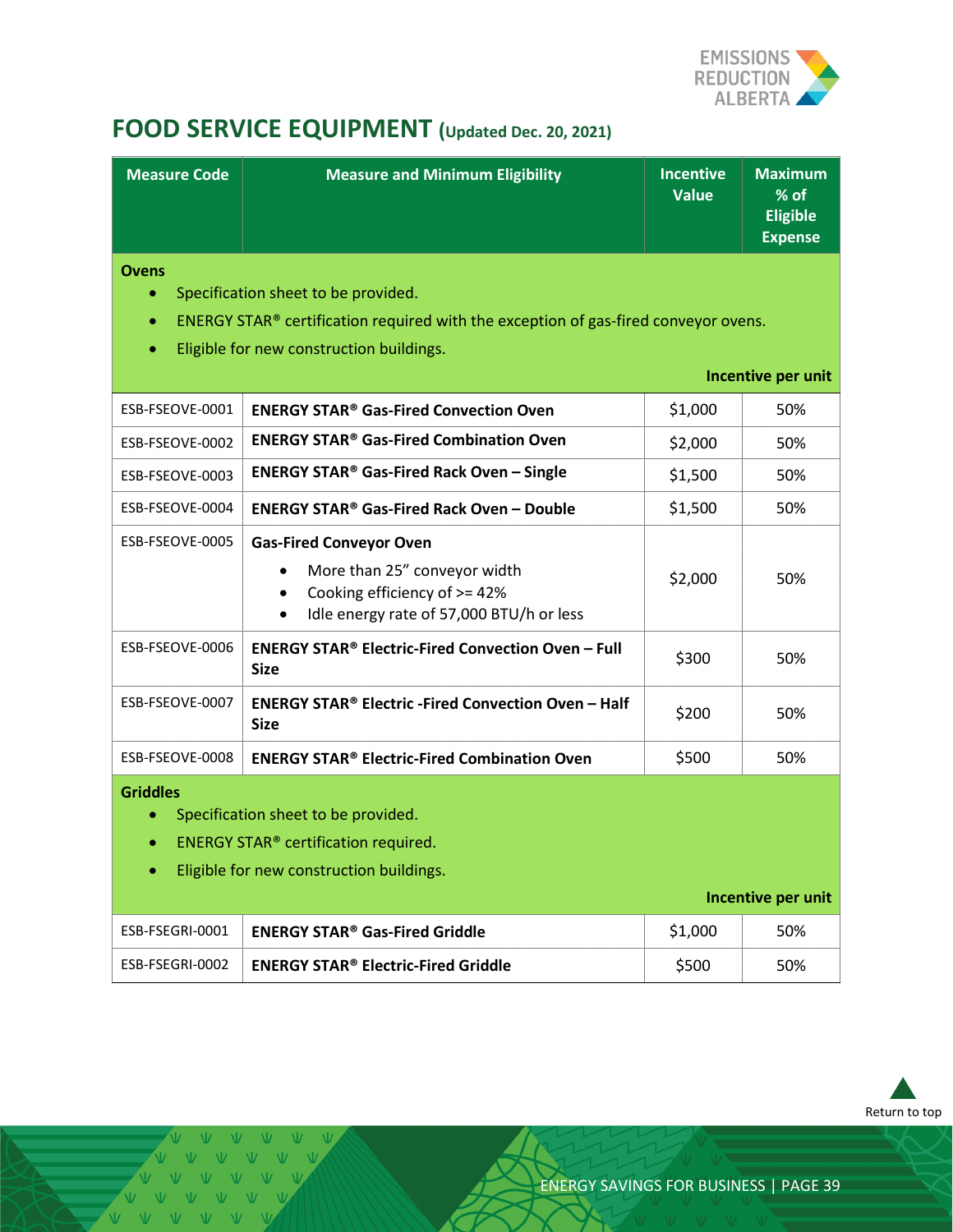

# <span id="page-38-0"></span>**FOOD SERVICE EQUIPMENT (Updated Dec. 20, 2021)**

| <b>Measure Code</b>                                                                                                                                                                               | <b>Measure and Minimum Eligibility</b>                                                                                                                               | <b>Incentive</b><br><b>Value</b> | <b>Maximum</b><br>% of<br><b>Eligible</b><br><b>Expense</b> |
|---------------------------------------------------------------------------------------------------------------------------------------------------------------------------------------------------|----------------------------------------------------------------------------------------------------------------------------------------------------------------------|----------------------------------|-------------------------------------------------------------|
| <b>Ovens</b><br>$\bullet$                                                                                                                                                                         | Specification sheet to be provided.                                                                                                                                  |                                  |                                                             |
| $\bullet$                                                                                                                                                                                         | ENERGY STAR® certification required with the exception of gas-fired conveyor ovens.                                                                                  |                                  |                                                             |
| $\bullet$                                                                                                                                                                                         | Eligible for new construction buildings.                                                                                                                             |                                  |                                                             |
|                                                                                                                                                                                                   |                                                                                                                                                                      |                                  | Incentive per unit                                          |
| ESB-FSEOVE-0001                                                                                                                                                                                   | <b>ENERGY STAR<sup>®</sup> Gas-Fired Convection Oven</b>                                                                                                             | \$1,000                          | 50%                                                         |
| ESB-FSEOVE-0002                                                                                                                                                                                   | <b>ENERGY STAR<sup>®</sup> Gas-Fired Combination Oven</b>                                                                                                            | \$2,000                          | 50%                                                         |
| ESB-FSEOVE-0003                                                                                                                                                                                   | <b>ENERGY STAR® Gas-Fired Rack Oven - Single</b>                                                                                                                     | \$1,500                          | 50%                                                         |
| ESB-FSEOVE-0004                                                                                                                                                                                   | <b>ENERGY STAR<sup>®</sup> Gas-Fired Rack Oven - Double</b>                                                                                                          | \$1,500                          | 50%                                                         |
| ESB-FSEOVE-0005                                                                                                                                                                                   | <b>Gas-Fired Conveyor Oven</b><br>More than 25" conveyor width<br>Cooking efficiency of >= 42%<br>$\bullet$<br>Idle energy rate of 57,000 BTU/h or less<br>$\bullet$ | \$2,000                          | 50%                                                         |
| ESB-FSEOVE-0006                                                                                                                                                                                   | <b>ENERGY STAR<sup>®</sup> Electric-Fired Convection Oven - Full</b><br><b>Size</b>                                                                                  | \$300                            | 50%                                                         |
| ESB-FSEOVE-0007                                                                                                                                                                                   | <b>ENERGY STAR<sup>®</sup> Electric -Fired Convection Oven - Half</b><br><b>Size</b>                                                                                 | \$200                            | 50%                                                         |
| ESB-FSEOVE-0008                                                                                                                                                                                   | <b>ENERGY STAR<sup>®</sup> Electric-Fired Combination Oven</b>                                                                                                       | \$500                            | 50%                                                         |
| <b>Griddles</b><br>Specification sheet to be provided.<br>$\bullet$<br><b>ENERGY STAR®</b> certification required.<br>$\bullet$<br>Eligible for new construction buildings.<br>Incentive per unit |                                                                                                                                                                      |                                  |                                                             |
| ESB-FSEGRI-0001                                                                                                                                                                                   | <b>ENERGY STAR<sup>®</sup> Gas-Fired Griddle</b>                                                                                                                     | \$1,000                          | 50%                                                         |
| ESB-FSEGRI-0002                                                                                                                                                                                   | <b>ENERGY STAR® Electric-Fired Griddle</b>                                                                                                                           | \$500                            | 50%                                                         |



 $V - V - V$ VVVVV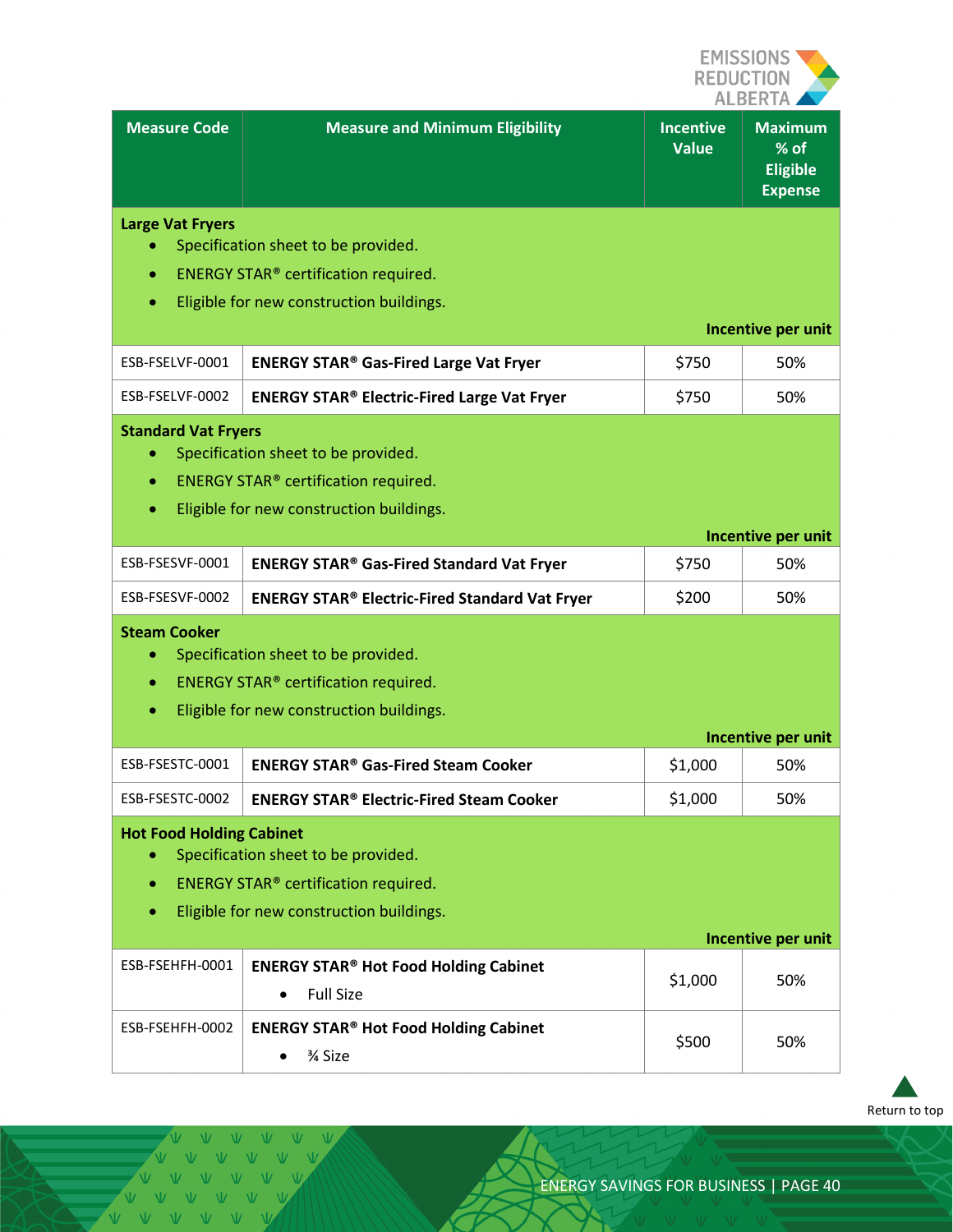

|                                            |                                                                                                                                           |                                  | ALBERTA                                                     |
|--------------------------------------------|-------------------------------------------------------------------------------------------------------------------------------------------|----------------------------------|-------------------------------------------------------------|
| <b>Measure Code</b>                        | <b>Measure and Minimum Eligibility</b>                                                                                                    | <b>Incentive</b><br><b>Value</b> | <b>Maximum</b><br>% of<br><b>Eligible</b><br><b>Expense</b> |
| <b>Large Vat Fryers</b><br>۰<br>$\bullet$  | Specification sheet to be provided.<br><b>ENERGY STAR®</b> certification required.<br>Eligible for new construction buildings.            |                                  | Incentive per unit                                          |
| ESB-FSELVF-0001                            | <b>ENERGY STAR® Gas-Fired Large Vat Fryer</b>                                                                                             | \$750                            | 50%                                                         |
| ESB-FSELVF-0002                            | <b>ENERGY STAR® Electric-Fired Large Vat Fryer</b>                                                                                        | \$750                            | 50%                                                         |
| <b>Standard Vat Fryers</b><br>۰<br>۰<br>۰  | Specification sheet to be provided.<br><b>ENERGY STAR®</b> certification required.<br>Eligible for new construction buildings.            |                                  |                                                             |
|                                            |                                                                                                                                           |                                  | Incentive per unit                                          |
| ESB-FSESVF-0001                            | <b>ENERGY STAR® Gas-Fired Standard Vat Fryer</b>                                                                                          | \$750                            | 50%                                                         |
| ESB-FSESVF-0002                            | <b>ENERGY STAR® Electric-Fired Standard Vat Fryer</b>                                                                                     | \$200                            | 50%                                                         |
| <b>Steam Cooker</b><br>۰<br>۰<br>$\bullet$ | Specification sheet to be provided.<br><b>ENERGY STAR<sup>®</sup> certification required.</b><br>Eligible for new construction buildings. |                                  |                                                             |
|                                            |                                                                                                                                           |                                  | Incentive per unit                                          |
| ESB-FSESTC-0001                            | <b>ENERGY STAR® Gas-Fired Steam Cooker</b>                                                                                                | \$1,000                          | 50%                                                         |
| ESB-FSESTC-0002                            | <b>ENERGY STAR® Electric-Fired Steam Cooker</b>                                                                                           | \$1,000                          | 50%                                                         |
| <b>Hot Food Holding Cabinet</b><br>۰<br>۰  | Specification sheet to be provided.<br><b>ENERGY STAR®</b> certification required.<br>Eligible for new construction buildings.            |                                  |                                                             |
|                                            |                                                                                                                                           |                                  | Incentive per unit                                          |
| ESB-FSEHFH-0001                            | <b>ENERGY STAR<sup>®</sup> Hot Food Holding Cabinet</b><br><b>Full Size</b><br>$\bullet$                                                  | \$1,000                          | 50%                                                         |
| ESB-FSEHFH-0002                            | <b>ENERGY STAR® Hot Food Holding Cabinet</b><br>3⁄4 Size                                                                                  | \$500                            | 50%                                                         |



VVVVVV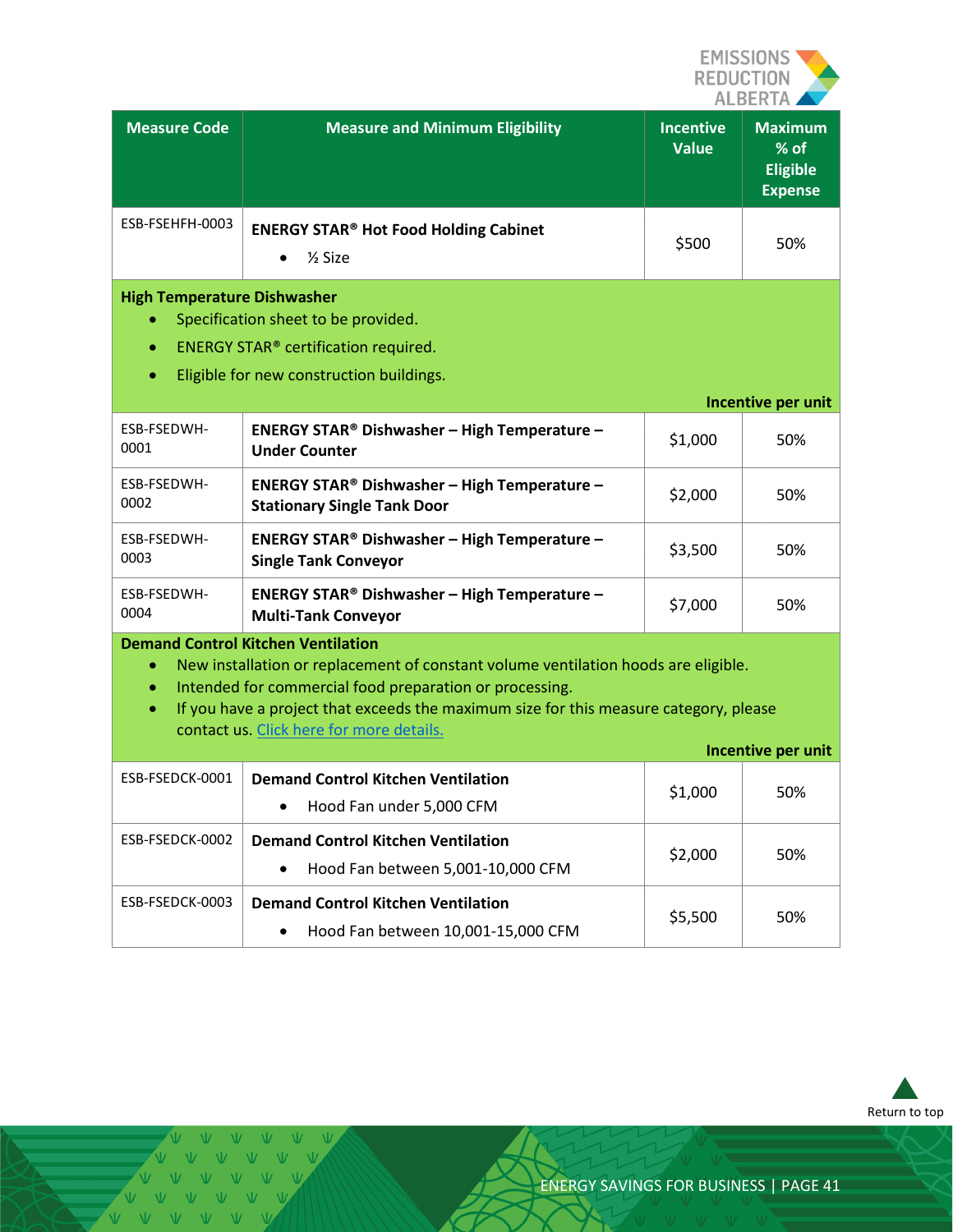

| <b>Measure Code</b>                                                                                                                                                                          | <b>Measure and Minimum Eligibility</b>                                                                                                                                                                                                                                                                                          | <b>Incentive</b><br><b>Value</b> | <b>Maximum</b><br>% of<br><b>Eligible</b><br><b>Expense</b> |
|----------------------------------------------------------------------------------------------------------------------------------------------------------------------------------------------|---------------------------------------------------------------------------------------------------------------------------------------------------------------------------------------------------------------------------------------------------------------------------------------------------------------------------------|----------------------------------|-------------------------------------------------------------|
| ESB-FSEHFH-0003                                                                                                                                                                              | <b>ENERGY STAR® Hot Food Holding Cabinet</b><br>$\frac{1}{2}$ Size                                                                                                                                                                                                                                                              | \$500                            | 50%                                                         |
| <b>High Temperature Dishwasher</b><br>Specification sheet to be provided.<br>۰<br>ENERGY STAR® certification required.<br>$\bullet$<br>Eligible for new construction buildings.<br>$\bullet$ |                                                                                                                                                                                                                                                                                                                                 |                                  |                                                             |
|                                                                                                                                                                                              |                                                                                                                                                                                                                                                                                                                                 |                                  | Incentive per unit                                          |
| ESB-FSEDWH-<br>0001                                                                                                                                                                          | <b>ENERGY STAR® Dishwasher - High Temperature -</b><br><b>Under Counter</b>                                                                                                                                                                                                                                                     | \$1,000                          | 50%                                                         |
| ESB-FSEDWH-<br>0002                                                                                                                                                                          | <b>ENERGY STAR® Dishwasher - High Temperature -</b><br><b>Stationary Single Tank Door</b>                                                                                                                                                                                                                                       | \$2,000                          | 50%                                                         |
| ESB-FSEDWH-<br>0003                                                                                                                                                                          | <b>ENERGY STAR® Dishwasher - High Temperature -</b><br><b>Single Tank Conveyor</b>                                                                                                                                                                                                                                              | \$3,500                          | 50%                                                         |
| ESB-FSEDWH-<br>0004                                                                                                                                                                          | <b>ENERGY STAR® Dishwasher - High Temperature -</b><br><b>Multi-Tank Conveyor</b>                                                                                                                                                                                                                                               | \$7,000                          | 50%                                                         |
| $\bullet$<br>۰<br>$\bullet$                                                                                                                                                                  | <b>Demand Control Kitchen Ventilation</b><br>New installation or replacement of constant volume ventilation hoods are eligible.<br>Intended for commercial food preparation or processing.<br>If you have a project that exceeds the maximum size for this measure category, please<br>contact us. Click here for more details. |                                  |                                                             |
|                                                                                                                                                                                              |                                                                                                                                                                                                                                                                                                                                 |                                  | Incentive per unit                                          |
| ESB-FSEDCK-0001                                                                                                                                                                              | <b>Demand Control Kitchen Ventilation</b><br>Hood Fan under 5,000 CFM                                                                                                                                                                                                                                                           | \$1,000                          | 50%                                                         |
| ESB-FSEDCK-0002                                                                                                                                                                              | <b>Demand Control Kitchen Ventilation</b><br>Hood Fan between 5,001-10,000 CFM<br>$\bullet$                                                                                                                                                                                                                                     | \$2,000                          | 50%                                                         |
| ESB-FSEDCK-0003                                                                                                                                                                              | <b>Demand Control Kitchen Ventilation</b><br>Hood Fan between 10,001-15,000 CFM                                                                                                                                                                                                                                                 | \$5,500                          | 50%                                                         |



Ŵ VVVVVV